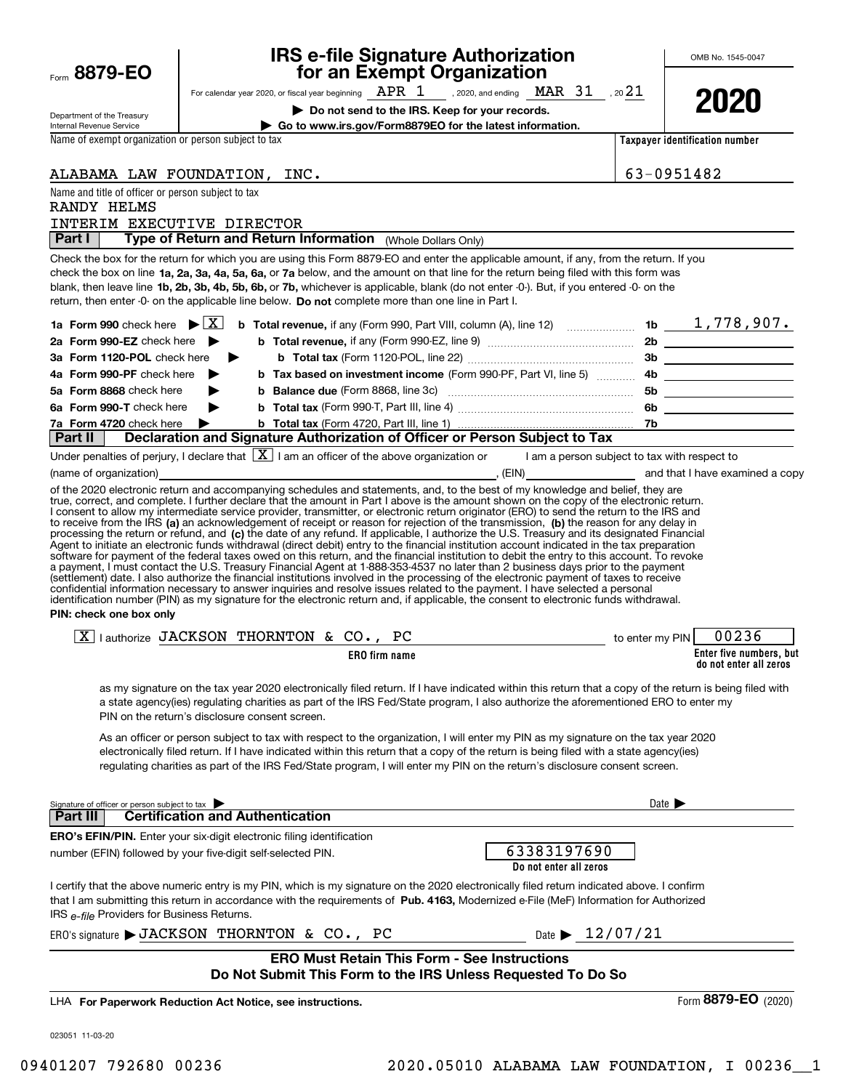## **IRS e-file Signature Authorization for an Exempt Organization**

OMB No. 1545-0047

| Department of the Treasury |
|----------------------------|
| Internal Revenue Service   |

For calendar year 2020, or fiscal year beginning  $\frac{\text{APR}}{\text{QCD}}$ , 2020, and ending  $\frac{\text{MAR}}{\text{QCD}}$ , 20 $\frac{21}{\text{QCD}}$ 

**| Do not send to the IRS. Keep for your records.**



**| Go to www.irs.gov/Form8879EO for the latest information.**

Name of exempt organization or person subject to tax

Name and title of officer or person subject to tax

| Taxpayer identification number |  |
|--------------------------------|--|
|                                |  |

ALABAMA LAW FOUNDATION, INC. 63-0951482

| RANDY HELMS<br>INTERIM EXECUTIVE DIRECTOR                                                                                                                                                                                                                                                                                                                                                                                                                                                                                                                                                                                                                                                                                                                                                                                                                                                                                                                                                                                                                                                                                                                                                                                                                                                                                                                                                                                                                                                                                                                            |                                                            |
|----------------------------------------------------------------------------------------------------------------------------------------------------------------------------------------------------------------------------------------------------------------------------------------------------------------------------------------------------------------------------------------------------------------------------------------------------------------------------------------------------------------------------------------------------------------------------------------------------------------------------------------------------------------------------------------------------------------------------------------------------------------------------------------------------------------------------------------------------------------------------------------------------------------------------------------------------------------------------------------------------------------------------------------------------------------------------------------------------------------------------------------------------------------------------------------------------------------------------------------------------------------------------------------------------------------------------------------------------------------------------------------------------------------------------------------------------------------------------------------------------------------------------------------------------------------------|------------------------------------------------------------|
| Type of Return and Return Information (Whole Dollars Only)<br>Part I                                                                                                                                                                                                                                                                                                                                                                                                                                                                                                                                                                                                                                                                                                                                                                                                                                                                                                                                                                                                                                                                                                                                                                                                                                                                                                                                                                                                                                                                                                 |                                                            |
| Check the box for the return for which you are using this Form 8879-EO and enter the applicable amount, if any, from the return. If you                                                                                                                                                                                                                                                                                                                                                                                                                                                                                                                                                                                                                                                                                                                                                                                                                                                                                                                                                                                                                                                                                                                                                                                                                                                                                                                                                                                                                              |                                                            |
| check the box on line 1a, 2a, 3a, 4a, 5a, 6a, or 7a below, and the amount on that line for the return being filed with this form was                                                                                                                                                                                                                                                                                                                                                                                                                                                                                                                                                                                                                                                                                                                                                                                                                                                                                                                                                                                                                                                                                                                                                                                                                                                                                                                                                                                                                                 |                                                            |
| blank, then leave line 1b, 2b, 3b, 4b, 5b, 6b, or 7b, whichever is applicable, blank (do not enter -0-). But, if you entered -0- on the                                                                                                                                                                                                                                                                                                                                                                                                                                                                                                                                                                                                                                                                                                                                                                                                                                                                                                                                                                                                                                                                                                                                                                                                                                                                                                                                                                                                                              |                                                            |
| return, then enter -0- on the applicable line below. Do not complete more than one line in Part I.                                                                                                                                                                                                                                                                                                                                                                                                                                                                                                                                                                                                                                                                                                                                                                                                                                                                                                                                                                                                                                                                                                                                                                                                                                                                                                                                                                                                                                                                   |                                                            |
| 1a Form 990 check here $\triangleright$ $\mid$ X                                                                                                                                                                                                                                                                                                                                                                                                                                                                                                                                                                                                                                                                                                                                                                                                                                                                                                                                                                                                                                                                                                                                                                                                                                                                                                                                                                                                                                                                                                                     |                                                            |
| 2a Form 990-EZ check here $\blacktriangleright$                                                                                                                                                                                                                                                                                                                                                                                                                                                                                                                                                                                                                                                                                                                                                                                                                                                                                                                                                                                                                                                                                                                                                                                                                                                                                                                                                                                                                                                                                                                      |                                                            |
| ▶<br>3a Form 1120-POL check here                                                                                                                                                                                                                                                                                                                                                                                                                                                                                                                                                                                                                                                                                                                                                                                                                                                                                                                                                                                                                                                                                                                                                                                                                                                                                                                                                                                                                                                                                                                                     |                                                            |
| b Tax based on investment income (Form 990-PF, Part VI, line 5) 4b ______________<br>4a Form 990-PF check here                                                                                                                                                                                                                                                                                                                                                                                                                                                                                                                                                                                                                                                                                                                                                                                                                                                                                                                                                                                                                                                                                                                                                                                                                                                                                                                                                                                                                                                       |                                                            |
| 5a Form 8868 check here                                                                                                                                                                                                                                                                                                                                                                                                                                                                                                                                                                                                                                                                                                                                                                                                                                                                                                                                                                                                                                                                                                                                                                                                                                                                                                                                                                                                                                                                                                                                              |                                                            |
| 6a Form 990-T check here                                                                                                                                                                                                                                                                                                                                                                                                                                                                                                                                                                                                                                                                                                                                                                                                                                                                                                                                                                                                                                                                                                                                                                                                                                                                                                                                                                                                                                                                                                                                             |                                                            |
| 7a Form 4720 check here                                                                                                                                                                                                                                                                                                                                                                                                                                                                                                                                                                                                                                                                                                                                                                                                                                                                                                                                                                                                                                                                                                                                                                                                                                                                                                                                                                                                                                                                                                                                              |                                                            |
| Part II                                                                                                                                                                                                                                                                                                                                                                                                                                                                                                                                                                                                                                                                                                                                                                                                                                                                                                                                                                                                                                                                                                                                                                                                                                                                                                                                                                                                                                                                                                                                                              |                                                            |
| Under penalties of perjury, I declare that $\boxed{\mathbf{X}}$ I am an officer of the above organization or I am a person subject to tax with respect to                                                                                                                                                                                                                                                                                                                                                                                                                                                                                                                                                                                                                                                                                                                                                                                                                                                                                                                                                                                                                                                                                                                                                                                                                                                                                                                                                                                                            |                                                            |
| (name of organization)                                                                                                                                                                                                                                                                                                                                                                                                                                                                                                                                                                                                                                                                                                                                                                                                                                                                                                                                                                                                                                                                                                                                                                                                                                                                                                                                                                                                                                                                                                                                               |                                                            |
| of the 2020 electronic return and accompanying schedules and statements, and, to the best of my knowledge and belief, they are<br>true, correct, and complete. I further declare that the amount in Part I above is the amount shown on the copy of the electronic return.<br>I consent to allow my intermediate service provider, transmitter, or electronic return originator (ERO) to send the return to the IRS and<br>to receive from the IRS (a) an acknowledgement of receipt or reason for rejection of the transmission, (b) the reason for any delay in<br>processing the return or refund, and (c) the date of any refund. If applicable, I authorize the U.S. Treasury and its designated Financial<br>Agent to initiate an electronic funds withdrawal (direct debit) entry to the financial institution account indicated in the tax preparation<br>software for payment of the federal taxes owed on this return, and the financial institution to debit the entry to this account. To revoke<br>a payment, I must contact the U.S. Treasury Financial Agent at 1-888-353-4537 no later than 2 business days prior to the payment<br>(settlement) date. I also authorize the financial institutions involved in the processing of the electronic payment of taxes to receive<br>confidential information necessary to answer inquiries and resolve issues related to the payment. I have selected a personal<br>identification number (PIN) as my signature for the electronic return and, if applicable, the consent to electronic funds withdrawal. |                                                            |
| PIN: check one box only                                                                                                                                                                                                                                                                                                                                                                                                                                                                                                                                                                                                                                                                                                                                                                                                                                                                                                                                                                                                                                                                                                                                                                                                                                                                                                                                                                                                                                                                                                                                              |                                                            |
|                                                                                                                                                                                                                                                                                                                                                                                                                                                                                                                                                                                                                                                                                                                                                                                                                                                                                                                                                                                                                                                                                                                                                                                                                                                                                                                                                                                                                                                                                                                                                                      |                                                            |
| $X$   authorize JACKSON THORNTON & CO., PC<br>to enter my PIN<br><b>ERO</b> firm name                                                                                                                                                                                                                                                                                                                                                                                                                                                                                                                                                                                                                                                                                                                                                                                                                                                                                                                                                                                                                                                                                                                                                                                                                                                                                                                                                                                                                                                                                | 00236<br>Enter five numbers, but<br>do not enter all zeros |
| as my signature on the tax year 2020 electronically filed return. If I have indicated within this return that a copy of the return is being filed with<br>a state agency(ies) regulating charities as part of the IRS Fed/State program, I also authorize the aforementioned ERO to enter my<br>PIN on the return's disclosure consent screen.                                                                                                                                                                                                                                                                                                                                                                                                                                                                                                                                                                                                                                                                                                                                                                                                                                                                                                                                                                                                                                                                                                                                                                                                                       |                                                            |
| As an officer or person subject to tax with respect to the organization, I will enter my PIN as my signature on the tax year 2020<br>electronically filed return. If I have indicated within this return that a copy of the return is being filed with a state agency(ies)                                                                                                                                                                                                                                                                                                                                                                                                                                                                                                                                                                                                                                                                                                                                                                                                                                                                                                                                                                                                                                                                                                                                                                                                                                                                                           |                                                            |
| regulating charities as part of the IRS Fed/State program, I will enter my PIN on the return's disclosure consent screen.                                                                                                                                                                                                                                                                                                                                                                                                                                                                                                                                                                                                                                                                                                                                                                                                                                                                                                                                                                                                                                                                                                                                                                                                                                                                                                                                                                                                                                            |                                                            |
|                                                                                                                                                                                                                                                                                                                                                                                                                                                                                                                                                                                                                                                                                                                                                                                                                                                                                                                                                                                                                                                                                                                                                                                                                                                                                                                                                                                                                                                                                                                                                                      |                                                            |
|                                                                                                                                                                                                                                                                                                                                                                                                                                                                                                                                                                                                                                                                                                                                                                                                                                                                                                                                                                                                                                                                                                                                                                                                                                                                                                                                                                                                                                                                                                                                                                      | Date $\blacktriangleright$                                 |
| Signature of officer or person subject to tax<br><b>Certification and Authentication</b><br>Part III l                                                                                                                                                                                                                                                                                                                                                                                                                                                                                                                                                                                                                                                                                                                                                                                                                                                                                                                                                                                                                                                                                                                                                                                                                                                                                                                                                                                                                                                               |                                                            |
| <b>ERO's EFIN/PIN.</b> Enter your six-digit electronic filing identification                                                                                                                                                                                                                                                                                                                                                                                                                                                                                                                                                                                                                                                                                                                                                                                                                                                                                                                                                                                                                                                                                                                                                                                                                                                                                                                                                                                                                                                                                         |                                                            |
| 63383197690<br>number (EFIN) followed by your five-digit self-selected PIN.                                                                                                                                                                                                                                                                                                                                                                                                                                                                                                                                                                                                                                                                                                                                                                                                                                                                                                                                                                                                                                                                                                                                                                                                                                                                                                                                                                                                                                                                                          |                                                            |
| Do not enter all zeros                                                                                                                                                                                                                                                                                                                                                                                                                                                                                                                                                                                                                                                                                                                                                                                                                                                                                                                                                                                                                                                                                                                                                                                                                                                                                                                                                                                                                                                                                                                                               |                                                            |
| I certify that the above numeric entry is my PIN, which is my signature on the 2020 electronically filed return indicated above. I confirm<br>that I am submitting this return in accordance with the requirements of Pub. 4163, Modernized e-File (MeF) Information for Authorized<br>IRS e-file Providers for Business Returns.                                                                                                                                                                                                                                                                                                                                                                                                                                                                                                                                                                                                                                                                                                                                                                                                                                                                                                                                                                                                                                                                                                                                                                                                                                    |                                                            |
| ERO's signature $\blacktriangleright$ JACKSON THORNTON & CO., PC<br>Date $\triangleright$ 12/07/21                                                                                                                                                                                                                                                                                                                                                                                                                                                                                                                                                                                                                                                                                                                                                                                                                                                                                                                                                                                                                                                                                                                                                                                                                                                                                                                                                                                                                                                                   |                                                            |
| <b>ERO Must Retain This Form - See Instructions</b><br>Do Not Submit This Form to the IRS Unless Requested To Do So                                                                                                                                                                                                                                                                                                                                                                                                                                                                                                                                                                                                                                                                                                                                                                                                                                                                                                                                                                                                                                                                                                                                                                                                                                                                                                                                                                                                                                                  |                                                            |
|                                                                                                                                                                                                                                                                                                                                                                                                                                                                                                                                                                                                                                                                                                                                                                                                                                                                                                                                                                                                                                                                                                                                                                                                                                                                                                                                                                                                                                                                                                                                                                      |                                                            |
| LHA For Paperwork Reduction Act Notice, see instructions.                                                                                                                                                                                                                                                                                                                                                                                                                                                                                                                                                                                                                                                                                                                                                                                                                                                                                                                                                                                                                                                                                                                                                                                                                                                                                                                                                                                                                                                                                                            | Form 8879-EO (2020)                                        |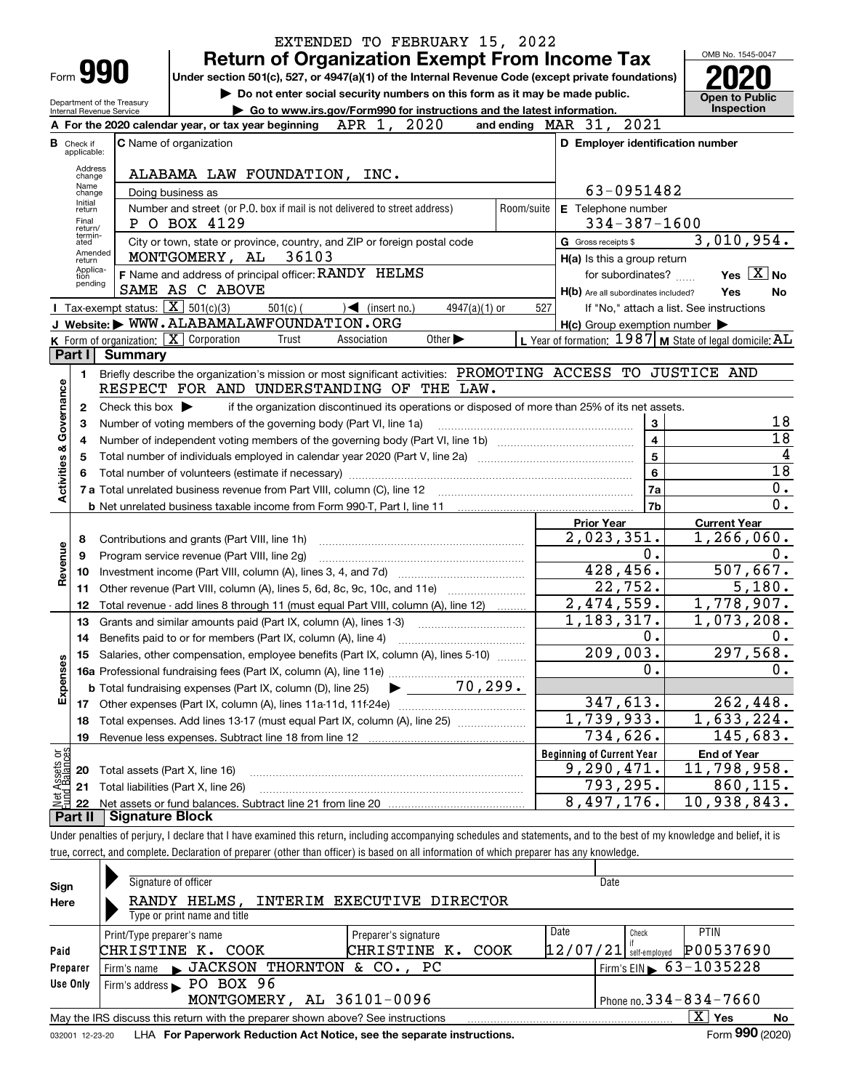|                                |                                                                                                                                                                                                                                    |                                                                   | EXTENDED TO FEBRUARY 15, 2022                                                                                                                                              |     |                                                     |                                                             |  |  |  |  |  |
|--------------------------------|------------------------------------------------------------------------------------------------------------------------------------------------------------------------------------------------------------------------------------|-------------------------------------------------------------------|----------------------------------------------------------------------------------------------------------------------------------------------------------------------------|-----|-----------------------------------------------------|-------------------------------------------------------------|--|--|--|--|--|
|                                |                                                                                                                                                                                                                                    |                                                                   | <b>Return of Organization Exempt From Income Tax</b>                                                                                                                       |     |                                                     | OMB No. 1545-0047                                           |  |  |  |  |  |
| Form 990                       | Under section 501(c), 527, or 4947(a)(1) of the Internal Revenue Code (except private foundations)                                                                                                                                 |                                                                   |                                                                                                                                                                            |     |                                                     |                                                             |  |  |  |  |  |
|                                |                                                                                                                                                                                                                                    |                                                                   | Do not enter social security numbers on this form as it may be made public.                                                                                                |     |                                                     | Open to Public                                              |  |  |  |  |  |
|                                | Department of the Treasury<br>Go to www.irs.gov/Form990 for instructions and the latest information.<br>Internal Revenue Service<br>and ending MAR 31, 2021<br>A For the 2020 calendar year, or tax year beginning $APR$ 1, $2020$ |                                                                   |                                                                                                                                                                            |     |                                                     |                                                             |  |  |  |  |  |
|                                |                                                                                                                                                                                                                                    |                                                                   |                                                                                                                                                                            |     |                                                     |                                                             |  |  |  |  |  |
|                                | <b>B</b> Check if<br>applicable:                                                                                                                                                                                                   |                                                                   | C Name of organization                                                                                                                                                     |     | D Employer identification number                    |                                                             |  |  |  |  |  |
|                                | Address                                                                                                                                                                                                                            |                                                                   |                                                                                                                                                                            |     |                                                     |                                                             |  |  |  |  |  |
|                                | change<br>Name                                                                                                                                                                                                                     |                                                                   | ALABAMA LAW FOUNDATION, INC.                                                                                                                                               |     | 63-0951482                                          |                                                             |  |  |  |  |  |
|                                | change<br>Initial                                                                                                                                                                                                                  |                                                                   | Doing business as                                                                                                                                                          |     |                                                     |                                                             |  |  |  |  |  |
|                                | return<br>Final                                                                                                                                                                                                                    |                                                                   | Number and street (or P.O. box if mail is not delivered to street address)<br>Room/suite<br>P O BOX 4129                                                                   |     | E Telephone number<br>$334 - 387 - 1600$            |                                                             |  |  |  |  |  |
|                                | return/<br>termin-<br>ated                                                                                                                                                                                                         |                                                                   | City or town, state or province, country, and ZIP or foreign postal code                                                                                                   |     | G Gross receipts \$                                 | 3,010,954.                                                  |  |  |  |  |  |
|                                | return                                                                                                                                                                                                                             | Amended                                                           | MONTGOMERY, AL 36103                                                                                                                                                       |     | H(a) Is this a group return                         |                                                             |  |  |  |  |  |
|                                | Applica-<br>tion                                                                                                                                                                                                                   |                                                                   | F Name and address of principal officer: RANDY HELMS                                                                                                                       |     | for subordinates?                                   | Yes $X$ No                                                  |  |  |  |  |  |
|                                | pending                                                                                                                                                                                                                            |                                                                   | SAME AS C ABOVE                                                                                                                                                            |     | H(b) Are all subordinates included?                 | Yes<br>No                                                   |  |  |  |  |  |
|                                |                                                                                                                                                                                                                                    | <b>I</b> Tax-exempt status: $\boxed{\mathbf{X}}$ 501(c)(3)        | $501(c)$ (<br>$\sqrt{\left( \text{insert no.} \right)}$<br>$4947(a)(1)$ or                                                                                                 | 527 |                                                     | If "No," attach a list. See instructions                    |  |  |  |  |  |
|                                |                                                                                                                                                                                                                                    |                                                                   | J Website: WWW.ALABAMALAWFOUNDATION.ORG                                                                                                                                    |     | $H(c)$ Group exemption number $\blacktriangleright$ |                                                             |  |  |  |  |  |
|                                |                                                                                                                                                                                                                                    | K Form of organization: $\boxed{\mathbf{X}}$ Corporation          | Other $\blacktriangleright$<br>Trust<br>Association                                                                                                                        |     |                                                     | L Year of formation: $1987$ M State of legal domicile: $AL$ |  |  |  |  |  |
|                                | Part I                                                                                                                                                                                                                             | <b>Summary</b>                                                    |                                                                                                                                                                            |     |                                                     |                                                             |  |  |  |  |  |
|                                | 1                                                                                                                                                                                                                                  |                                                                   | Briefly describe the organization's mission or most significant activities: PROMOTING ACCESS TO JUSTICE AND                                                                |     |                                                     |                                                             |  |  |  |  |  |
|                                |                                                                                                                                                                                                                                    |                                                                   | RESPECT FOR AND UNDERSTANDING OF THE LAW.                                                                                                                                  |     |                                                     |                                                             |  |  |  |  |  |
| Governance                     | 2                                                                                                                                                                                                                                  | Check this box $\blacktriangleright$                              | if the organization discontinued its operations or disposed of more than 25% of its net assets.                                                                            |     | 3                                                   |                                                             |  |  |  |  |  |
|                                | 3                                                                                                                                                                                                                                  | Number of voting members of the governing body (Part VI, line 1a) | 18                                                                                                                                                                         |     |                                                     |                                                             |  |  |  |  |  |
|                                | 4                                                                                                                                                                                                                                  |                                                                   |                                                                                                                                                                            |     | $\overline{\mathbf{4}}$                             | 18<br>$\overline{4}$                                        |  |  |  |  |  |
|                                | 5                                                                                                                                                                                                                                  |                                                                   | Total number of individuals employed in calendar year 2020 (Part V, line 2a) manufacture of individuals employed in calendar year 2020 (Part V, line 2a)                   |     | $\overline{\mathbf{5}}$<br>6                        | $\overline{18}$                                             |  |  |  |  |  |
| <b>Activities &amp;</b>        |                                                                                                                                                                                                                                    |                                                                   |                                                                                                                                                                            |     | 7a                                                  | $\overline{0}$ .                                            |  |  |  |  |  |
|                                |                                                                                                                                                                                                                                    |                                                                   |                                                                                                                                                                            |     | 7b                                                  | $\overline{0}$ .                                            |  |  |  |  |  |
|                                |                                                                                                                                                                                                                                    |                                                                   |                                                                                                                                                                            |     | <b>Prior Year</b>                                   | <b>Current Year</b>                                         |  |  |  |  |  |
|                                | 8                                                                                                                                                                                                                                  |                                                                   | Contributions and grants (Part VIII, line 1h)                                                                                                                              |     | 2,023,351.                                          | 1,266,060.                                                  |  |  |  |  |  |
| Revenue                        | 9                                                                                                                                                                                                                                  |                                                                   | Program service revenue (Part VIII, line 2g)                                                                                                                               |     | 0.                                                  | 0.                                                          |  |  |  |  |  |
|                                | 10                                                                                                                                                                                                                                 |                                                                   |                                                                                                                                                                            |     | 428,456.                                            | 507,667.                                                    |  |  |  |  |  |
|                                | 11                                                                                                                                                                                                                                 |                                                                   |                                                                                                                                                                            |     | 22,752.                                             | 5,180.                                                      |  |  |  |  |  |
|                                | 12                                                                                                                                                                                                                                 |                                                                   | Total revenue - add lines 8 through 11 (must equal Part VIII, column (A), line 12)                                                                                         |     | 2,474,559.                                          | 1,778,907.                                                  |  |  |  |  |  |
|                                | 13                                                                                                                                                                                                                                 |                                                                   | Grants and similar amounts paid (Part IX, column (A), lines 1-3)                                                                                                           |     | 1, 183, 317.                                        | 1,073,208.                                                  |  |  |  |  |  |
|                                | 14                                                                                                                                                                                                                                 |                                                                   | Benefits paid to or for members (Part IX, column (A), line 4)                                                                                                              |     | 0.                                                  | 0.                                                          |  |  |  |  |  |
|                                | 15                                                                                                                                                                                                                                 |                                                                   | Salaries, other compensation, employee benefits (Part IX, column (A), lines 5-10)                                                                                          |     | 209,003.                                            | 297,568.                                                    |  |  |  |  |  |
| Expenses                       |                                                                                                                                                                                                                                    |                                                                   |                                                                                                                                                                            |     | 0.                                                  | 0.                                                          |  |  |  |  |  |
|                                |                                                                                                                                                                                                                                    |                                                                   |                                                                                                                                                                            |     |                                                     |                                                             |  |  |  |  |  |
|                                | 17                                                                                                                                                                                                                                 |                                                                   |                                                                                                                                                                            |     | 347,613.                                            | 262,448.                                                    |  |  |  |  |  |
|                                | 18                                                                                                                                                                                                                                 |                                                                   | Total expenses. Add lines 13-17 (must equal Part IX, column (A), line 25)                                                                                                  |     | 1,739,933.                                          | $\overline{1,633,224.}$                                     |  |  |  |  |  |
|                                | 19                                                                                                                                                                                                                                 |                                                                   | Revenue less expenses. Subtract line 18 from line 12                                                                                                                       |     | 734,626.                                            | 145,683.                                                    |  |  |  |  |  |
| Net Assets or<br>Fund Balances |                                                                                                                                                                                                                                    |                                                                   |                                                                                                                                                                            |     | <b>Beginning of Current Year</b><br>9, 290, 471.    | <b>End of Year</b><br>$\overline{11}$ , 798, 958.           |  |  |  |  |  |
|                                | 20<br>21                                                                                                                                                                                                                           | Total assets (Part X, line 16)                                    | Total liabilities (Part X, line 26)                                                                                                                                        |     | 793,295.                                            | 860, 115.                                                   |  |  |  |  |  |
|                                | 22                                                                                                                                                                                                                                 |                                                                   |                                                                                                                                                                            |     | 8,497,176.                                          | $\overline{10}$ , 938, 843.                                 |  |  |  |  |  |
|                                | <b>Part II</b>                                                                                                                                                                                                                     | <b>Signature Block</b>                                            |                                                                                                                                                                            |     |                                                     |                                                             |  |  |  |  |  |
|                                |                                                                                                                                                                                                                                    |                                                                   | Under penalties of perjury, I declare that I have examined this return, including accompanying schedules and statements, and to the best of my knowledge and belief, it is |     |                                                     |                                                             |  |  |  |  |  |
|                                |                                                                                                                                                                                                                                    |                                                                   | true, correct, and complete. Declaration of preparer (other than officer) is based on all information of which preparer has any knowledge.                                 |     |                                                     |                                                             |  |  |  |  |  |

| Sign<br>Here | Signature of officer<br>HELMS,<br>INTERIM EXECUTIVE DIRECTOR<br>RANDY<br>Type or print name and title         |                                              | Date              |                              |                                        |  |  |  |
|--------------|---------------------------------------------------------------------------------------------------------------|----------------------------------------------|-------------------|------------------------------|----------------------------------------|--|--|--|
| Paid         | Print/Type preparer's name<br>CHRISTINE K. COOK                                                               | Preparer's signature<br>CHRISTINE K.<br>COOK | Date<br> 12/07/21 | Check                        | <b>PTIN</b><br>P00537690               |  |  |  |
| Preparer     | JACKSON THORNTON & CO., PC<br>Firm's name<br>$\blacksquare$                                                   |                                              |                   | self-emploved                | Firm's EIN $\triangleright$ 63-1035228 |  |  |  |
| Use Only     | PO BOX 96<br>Firm's address<br>MONTGOMERY, AL 36101-0096                                                      |                                              |                   | Phone no. $334 - 834 - 7660$ |                                        |  |  |  |
|              | $X \mid Y$ es<br><b>No</b><br>May the IRS discuss this return with the preparer shown above? See instructions |                                              |                   |                              |                                        |  |  |  |
|              | Form 990 (2020)<br>LHA For Paperwork Reduction Act Notice, see the separate instructions.<br>032001 12-23-20  |                                              |                   |                              |                                        |  |  |  |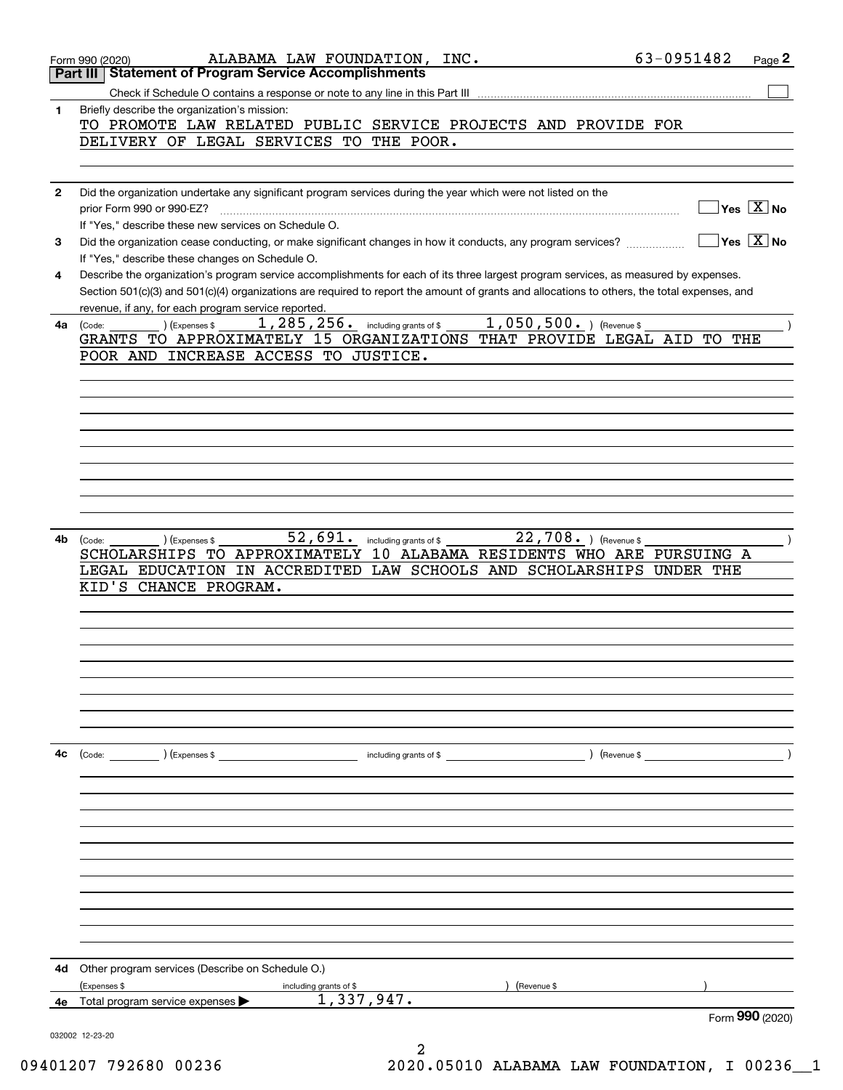|              | 63-0951482<br>ALABAMA LAW FOUNDATION, INC.<br>Page 2<br>Form 990 (2020)<br><b>Statement of Program Service Accomplishments</b><br>Part III                                                                |
|--------------|-----------------------------------------------------------------------------------------------------------------------------------------------------------------------------------------------------------|
|              |                                                                                                                                                                                                           |
| 1            | Briefly describe the organization's mission:                                                                                                                                                              |
|              | TO PROMOTE LAW RELATED PUBLIC SERVICE PROJECTS AND PROVIDE FOR                                                                                                                                            |
|              | DELIVERY OF LEGAL SERVICES TO THE POOR.                                                                                                                                                                   |
|              |                                                                                                                                                                                                           |
| $\mathbf{2}$ | Did the organization undertake any significant program services during the year which were not listed on the                                                                                              |
|              | $\sqrt{}$ Yes $\sqrt{X}$ No<br>prior Form 990 or 990-EZ?                                                                                                                                                  |
|              | If "Yes," describe these new services on Schedule O.                                                                                                                                                      |
|              | $\sqrt{}$ Yes $\sqrt{}$ X $\sqrt{}$ No<br>Did the organization cease conducting, or make significant changes in how it conducts, any program services?<br>If "Yes," describe these changes on Schedule O. |
|              | Describe the organization's program service accomplishments for each of its three largest program services, as measured by expenses.                                                                      |
| 4            | Section 501(c)(3) and 501(c)(4) organizations are required to report the amount of grants and allocations to others, the total expenses, and                                                              |
|              | revenue, if any, for each program service reported                                                                                                                                                        |
| 4a           | 1, 285, 256. including grants of \$1, 050, 500. ) (Revenue \$<br>) (Expenses \$<br>(Code:<br>GRANTS TO APPROXIMATELY 15 ORGANIZATIONS THAT PROVIDE LEGAL AID TO THE                                       |
|              | POOR AND INCREASE ACCESS TO JUSTICE.                                                                                                                                                                      |
|              |                                                                                                                                                                                                           |
|              |                                                                                                                                                                                                           |
|              |                                                                                                                                                                                                           |
|              |                                                                                                                                                                                                           |
|              |                                                                                                                                                                                                           |
|              |                                                                                                                                                                                                           |
|              |                                                                                                                                                                                                           |
| 4b           | 52,691. including grants of \$<br>$22,708.$ ) (Revenue \$<br>(Code:<br>) (Expenses \$                                                                                                                     |
|              | SCHOLARSHIPS TO APPROXIMATELY 10 ALABAMA RESIDENTS WHO ARE PURSUING A                                                                                                                                     |
|              | LEGAL EDUCATION IN ACCREDITED LAW SCHOOLS AND SCHOLARSHIPS UNDER THE                                                                                                                                      |
|              | KID'S CHANCE PROGRAM.                                                                                                                                                                                     |
|              |                                                                                                                                                                                                           |
|              |                                                                                                                                                                                                           |
|              |                                                                                                                                                                                                           |
|              |                                                                                                                                                                                                           |
|              |                                                                                                                                                                                                           |
|              |                                                                                                                                                                                                           |
| 4с           |                                                                                                                                                                                                           |
|              |                                                                                                                                                                                                           |
|              |                                                                                                                                                                                                           |
|              |                                                                                                                                                                                                           |
|              |                                                                                                                                                                                                           |
|              |                                                                                                                                                                                                           |
|              |                                                                                                                                                                                                           |
|              |                                                                                                                                                                                                           |
|              |                                                                                                                                                                                                           |
|              |                                                                                                                                                                                                           |
| 4d           | Other program services (Describe on Schedule O.)                                                                                                                                                          |
| 4е           | (Expenses \$<br>) (Revenue \$<br>including grants of \$<br>1,337,947.<br>Total program service expenses                                                                                                   |

09401207 792680 00236 2020.05010 ALABAMA LAW FOUNDATION, I 00236\_\_1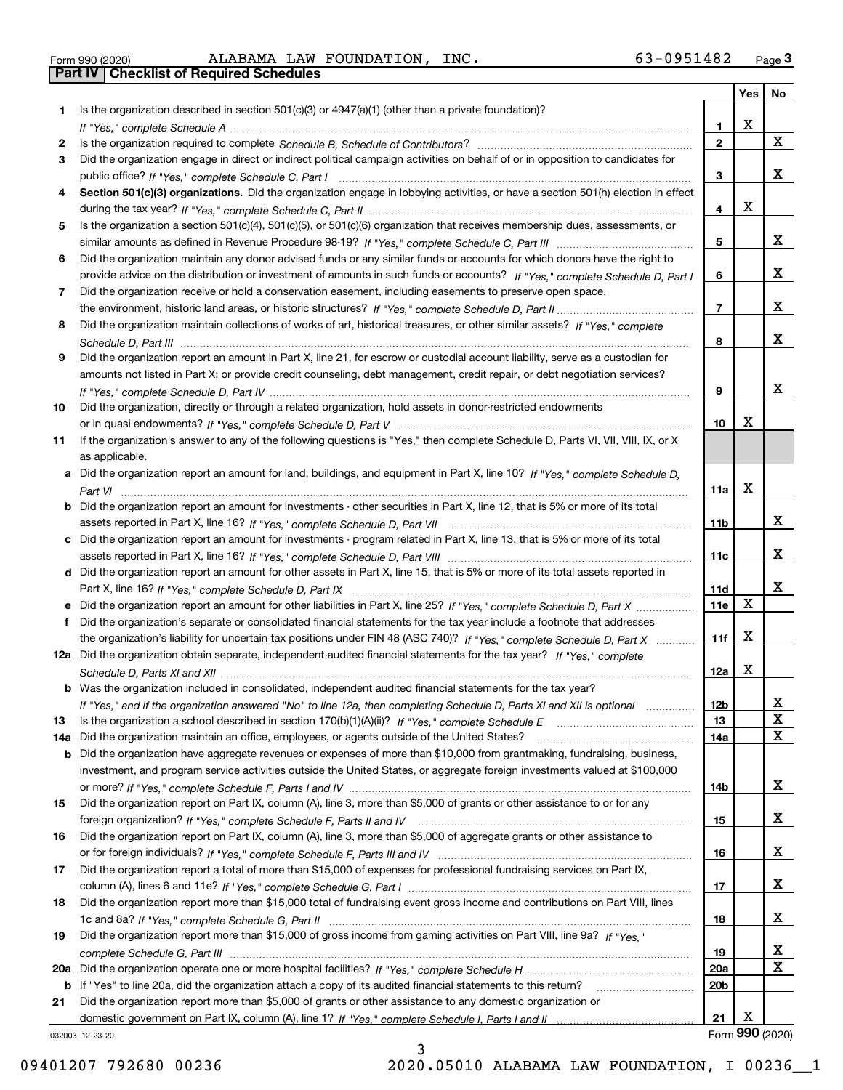| Form 990 (2020) |  |  |
|-----------------|--|--|

Form 990 (2020) Page **3Part IV Checklist of Required Schedules** ALABAMA LAW FOUNDATION, INC. 63-0951482

|     |                                                                                                                                       |                 | Yes | No              |
|-----|---------------------------------------------------------------------------------------------------------------------------------------|-----------------|-----|-----------------|
| 1   | Is the organization described in section $501(c)(3)$ or $4947(a)(1)$ (other than a private foundation)?                               |                 |     |                 |
|     |                                                                                                                                       | 1               | X   |                 |
| 2   |                                                                                                                                       | $\mathbf{2}$    |     | $\mathbf{X}$    |
| 3   | Did the organization engage in direct or indirect political campaign activities on behalf of or in opposition to candidates for       |                 |     |                 |
|     |                                                                                                                                       | 3               |     | х               |
| 4   | Section 501(c)(3) organizations. Did the organization engage in lobbying activities, or have a section 501(h) election in effect      |                 |     |                 |
|     |                                                                                                                                       | 4               | Х   |                 |
| 5   | Is the organization a section 501(c)(4), 501(c)(5), or 501(c)(6) organization that receives membership dues, assessments, or          |                 |     |                 |
|     |                                                                                                                                       | 5               |     | х               |
| 6   | Did the organization maintain any donor advised funds or any similar funds or accounts for which donors have the right to             |                 |     |                 |
|     | provide advice on the distribution or investment of amounts in such funds or accounts? If "Yes," complete Schedule D, Part I          | 6               |     | х               |
| 7   | Did the organization receive or hold a conservation easement, including easements to preserve open space,                             |                 |     |                 |
|     |                                                                                                                                       | $\overline{7}$  |     | х               |
| 8   | Did the organization maintain collections of works of art, historical treasures, or other similar assets? If "Yes," complete          |                 |     |                 |
|     |                                                                                                                                       | 8               |     | х               |
| 9   | Did the organization report an amount in Part X, line 21, for escrow or custodial account liability, serve as a custodian for         |                 |     |                 |
|     | amounts not listed in Part X; or provide credit counseling, debt management, credit repair, or debt negotiation services?             |                 |     |                 |
|     |                                                                                                                                       | 9               |     | х               |
| 10  | Did the organization, directly or through a related organization, hold assets in donor-restricted endowments                          |                 |     |                 |
|     |                                                                                                                                       | 10              | x   |                 |
| 11  | If the organization's answer to any of the following questions is "Yes," then complete Schedule D, Parts VI, VII, VIII, IX, or X      |                 |     |                 |
|     | as applicable.                                                                                                                        |                 |     |                 |
|     | a Did the organization report an amount for land, buildings, and equipment in Part X, line 10? If "Yes," complete Schedule D,         |                 |     |                 |
|     |                                                                                                                                       | 11a             | X   |                 |
|     | <b>b</b> Did the organization report an amount for investments - other securities in Part X, line 12, that is 5% or more of its total |                 |     |                 |
|     |                                                                                                                                       | 11b             |     | х               |
| c   | Did the organization report an amount for investments - program related in Part X, line 13, that is 5% or more of its total           |                 |     |                 |
|     |                                                                                                                                       | 11c             |     | х               |
|     | d Did the organization report an amount for other assets in Part X, line 15, that is 5% or more of its total assets reported in       |                 |     |                 |
|     |                                                                                                                                       | 11d             |     | х               |
|     |                                                                                                                                       | 11e             | X   |                 |
| f   | Did the organization's separate or consolidated financial statements for the tax year include a footnote that addresses               |                 |     |                 |
|     | the organization's liability for uncertain tax positions under FIN 48 (ASC 740)? If "Yes," complete Schedule D, Part X                | 11f             | X   |                 |
|     | 12a Did the organization obtain separate, independent audited financial statements for the tax year? If "Yes," complete               |                 |     |                 |
|     |                                                                                                                                       | 12a             | X   |                 |
|     | <b>b</b> Was the organization included in consolidated, independent audited financial statements for the tax year?                    |                 |     |                 |
|     | If "Yes," and if the organization answered "No" to line 12a, then completing Schedule D, Parts XI and XII is optional                 | 12b             |     | Y               |
| 13  |                                                                                                                                       | 13              |     | $\mathbf X$     |
| 14a | Did the organization maintain an office, employees, or agents outside of the United States?                                           | 14a             |     | $\mathbf X$     |
| b   | Did the organization have aggregate revenues or expenses of more than \$10,000 from grantmaking, fundraising, business,               |                 |     |                 |
|     | investment, and program service activities outside the United States, or aggregate foreign investments valued at \$100,000            |                 |     |                 |
|     |                                                                                                                                       | 14b             |     | x               |
| 15  | Did the organization report on Part IX, column (A), line 3, more than \$5,000 of grants or other assistance to or for any             |                 |     |                 |
|     |                                                                                                                                       | 15              |     | x               |
| 16  | Did the organization report on Part IX, column (A), line 3, more than \$5,000 of aggregate grants or other assistance to              |                 |     |                 |
|     |                                                                                                                                       | 16              |     | x               |
| 17  | Did the organization report a total of more than \$15,000 of expenses for professional fundraising services on Part IX,               |                 |     |                 |
|     |                                                                                                                                       | 17              |     | x               |
| 18  | Did the organization report more than \$15,000 total of fundraising event gross income and contributions on Part VIII, lines          |                 |     |                 |
|     |                                                                                                                                       | 18              |     | X               |
| 19  | Did the organization report more than \$15,000 of gross income from gaming activities on Part VIII, line 9a? If "Yes."                |                 |     |                 |
|     |                                                                                                                                       | 19              |     | X               |
| 20a |                                                                                                                                       | <b>20a</b>      |     | $\mathbf X$     |
| b   | If "Yes" to line 20a, did the organization attach a copy of its audited financial statements to this return?                          | 20 <sub>b</sub> |     |                 |
| 21  | Did the organization report more than \$5,000 of grants or other assistance to any domestic organization or                           |                 |     |                 |
|     |                                                                                                                                       | 21              | x   |                 |
|     | 032003 12-23-20<br>ર                                                                                                                  |                 |     | Form 990 (2020) |
|     |                                                                                                                                       |                 |     |                 |

3

032003 12-23-20

09401207 792680 00236 2020.05010 ALABAMA LAW FOUNDATION, I 00236\_\_1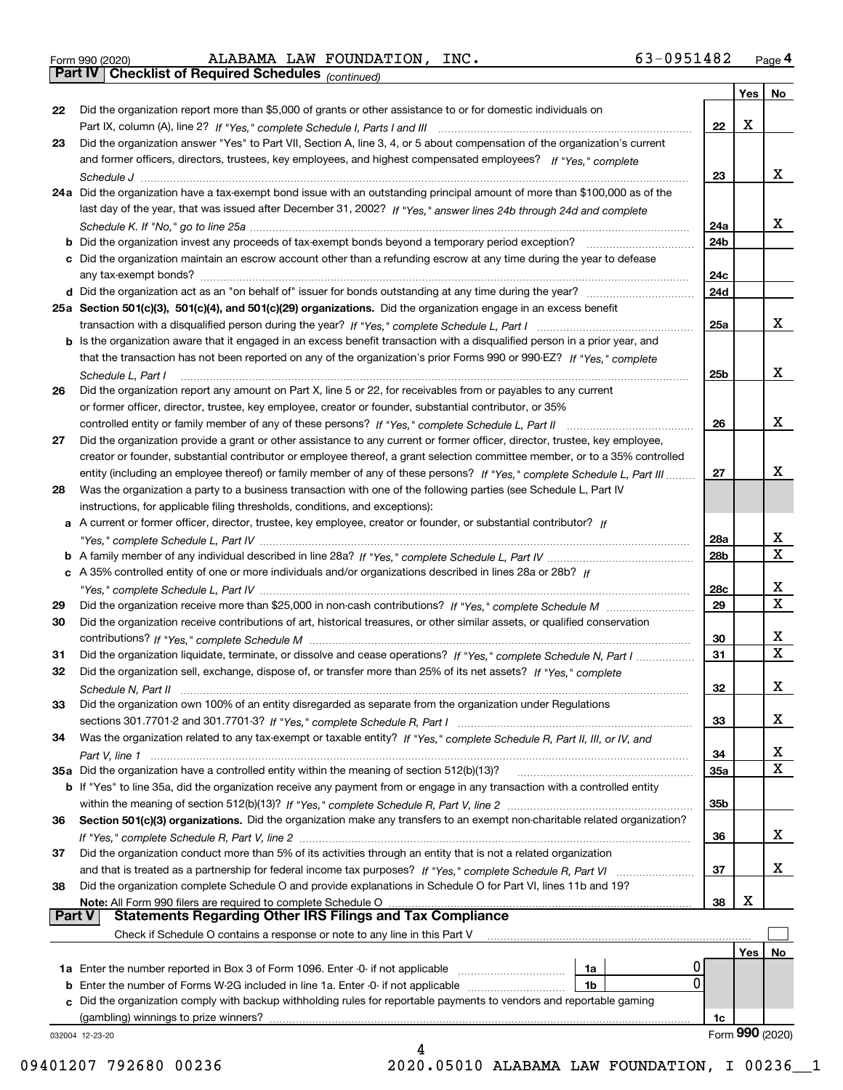|  | Form 990 (2020) |
|--|-----------------|
|  |                 |

Form 990 (2020) Page **4Part IV Checklist of Required Schedules** ALABAMA LAW FOUNDATION, INC. 63-0951482

|               | Part IV   Checklist of Required Schedules (continued)                                                                        |     |     |                         |
|---------------|------------------------------------------------------------------------------------------------------------------------------|-----|-----|-------------------------|
|               |                                                                                                                              |     | Yes | No                      |
| 22            | Did the organization report more than \$5,000 of grants or other assistance to or for domestic individuals on                |     |     |                         |
|               |                                                                                                                              | 22  | X   |                         |
| 23            | Did the organization answer "Yes" to Part VII, Section A, line 3, 4, or 5 about compensation of the organization's current   |     |     |                         |
|               | and former officers, directors, trustees, key employees, and highest compensated employees? If "Yes," complete               |     |     |                         |
|               |                                                                                                                              | 23  |     | x                       |
|               | 24a Did the organization have a tax-exempt bond issue with an outstanding principal amount of more than \$100,000 as of the  |     |     |                         |
|               | last day of the year, that was issued after December 31, 2002? If "Yes," answer lines 24b through 24d and complete           |     |     |                         |
|               |                                                                                                                              | 24a |     | x                       |
|               |                                                                                                                              | 24b |     |                         |
|               |                                                                                                                              |     |     |                         |
|               | c Did the organization maintain an escrow account other than a refunding escrow at any time during the year to defease       |     |     |                         |
|               |                                                                                                                              | 24c |     |                         |
|               |                                                                                                                              | 24d |     |                         |
|               | 25a Section 501(c)(3), 501(c)(4), and 501(c)(29) organizations. Did the organization engage in an excess benefit             |     |     |                         |
|               |                                                                                                                              | 25a |     | x                       |
|               | b Is the organization aware that it engaged in an excess benefit transaction with a disqualified person in a prior year, and |     |     |                         |
|               | that the transaction has not been reported on any of the organization's prior Forms 990 or 990-EZ? If "Yes," complete        |     |     |                         |
|               | Schedule L, Part I                                                                                                           | 25b |     | x                       |
| 26            | Did the organization report any amount on Part X, line 5 or 22, for receivables from or payables to any current              |     |     |                         |
|               | or former officer, director, trustee, key employee, creator or founder, substantial contributor, or 35%                      |     |     |                         |
|               |                                                                                                                              | 26  |     | x                       |
| 27            | Did the organization provide a grant or other assistance to any current or former officer, director, trustee, key employee,  |     |     |                         |
|               | creator or founder, substantial contributor or employee thereof, a grant selection committee member, or to a 35% controlled  |     |     |                         |
|               | entity (including an employee thereof) or family member of any of these persons? If "Yes," complete Schedule L, Part III     | 27  |     | x                       |
| 28            | Was the organization a party to a business transaction with one of the following parties (see Schedule L, Part IV            |     |     |                         |
|               | instructions, for applicable filing thresholds, conditions, and exceptions):                                                 |     |     |                         |
|               | a A current or former officer, director, trustee, key employee, creator or founder, or substantial contributor? If           |     |     |                         |
|               |                                                                                                                              | 28a |     | X                       |
|               |                                                                                                                              | 28b |     | $\overline{\mathbf{x}}$ |
|               | c A 35% controlled entity of one or more individuals and/or organizations described in lines 28a or 28b? If                  |     |     |                         |
|               |                                                                                                                              | 28c |     | X                       |
| 29            |                                                                                                                              | 29  |     | $\mathbf X$             |
| 30            | Did the organization receive contributions of art, historical treasures, or other similar assets, or qualified conservation  |     |     |                         |
|               |                                                                                                                              | 30  |     | X                       |
| 31            | Did the organization liquidate, terminate, or dissolve and cease operations? If "Yes," complete Schedule N, Part I           | 31  |     | $\overline{\mathbf{x}}$ |
| 32            | Did the organization sell, exchange, dispose of, or transfer more than 25% of its net assets? If "Yes," complete             |     |     |                         |
|               |                                                                                                                              |     |     | X                       |
|               |                                                                                                                              | 32  |     |                         |
| 33            | Did the organization own 100% of an entity disregarded as separate from the organization under Regulations                   |     |     | х                       |
|               |                                                                                                                              | 33  |     |                         |
| 34            | Was the organization related to any tax-exempt or taxable entity? If "Yes," complete Schedule R, Part II, III, or IV, and    |     |     |                         |
|               |                                                                                                                              | 34  |     | X                       |
|               | 35a Did the organization have a controlled entity within the meaning of section 512(b)(13)?                                  | 35a |     | $\mathbf X$             |
|               | b If "Yes" to line 35a, did the organization receive any payment from or engage in any transaction with a controlled entity  |     |     |                         |
|               |                                                                                                                              | 35b |     |                         |
| 36            | Section 501(c)(3) organizations. Did the organization make any transfers to an exempt non-charitable related organization?   |     |     |                         |
|               |                                                                                                                              | 36  |     | х                       |
| 37            | Did the organization conduct more than 5% of its activities through an entity that is not a related organization             |     |     |                         |
|               |                                                                                                                              | 37  |     | х                       |
| 38            | Did the organization complete Schedule O and provide explanations in Schedule O for Part VI, lines 11b and 19?               |     |     |                         |
|               | Note: All Form 990 filers are required to complete Schedule O                                                                | 38  | х   |                         |
| <b>Part V</b> | <b>Statements Regarding Other IRS Filings and Tax Compliance</b>                                                             |     |     |                         |
|               | Check if Schedule O contains a response or note to any line in this Part V                                                   |     |     |                         |
|               |                                                                                                                              |     | Yes | No                      |
|               | 0<br>1a                                                                                                                      |     |     |                         |
| b             | $\overline{0}$<br>Enter the number of Forms W-2G included in line 1a. Enter -0- if not applicable<br>1b                      |     |     |                         |
|               | Did the organization comply with backup withholding rules for reportable payments to vendors and reportable gaming           |     |     |                         |
|               | (gambling) winnings to prize winners?                                                                                        | 1c  |     |                         |
|               | 032004 12-23-20                                                                                                              |     |     | Form 990 (2020)         |
|               | 4                                                                                                                            |     |     |                         |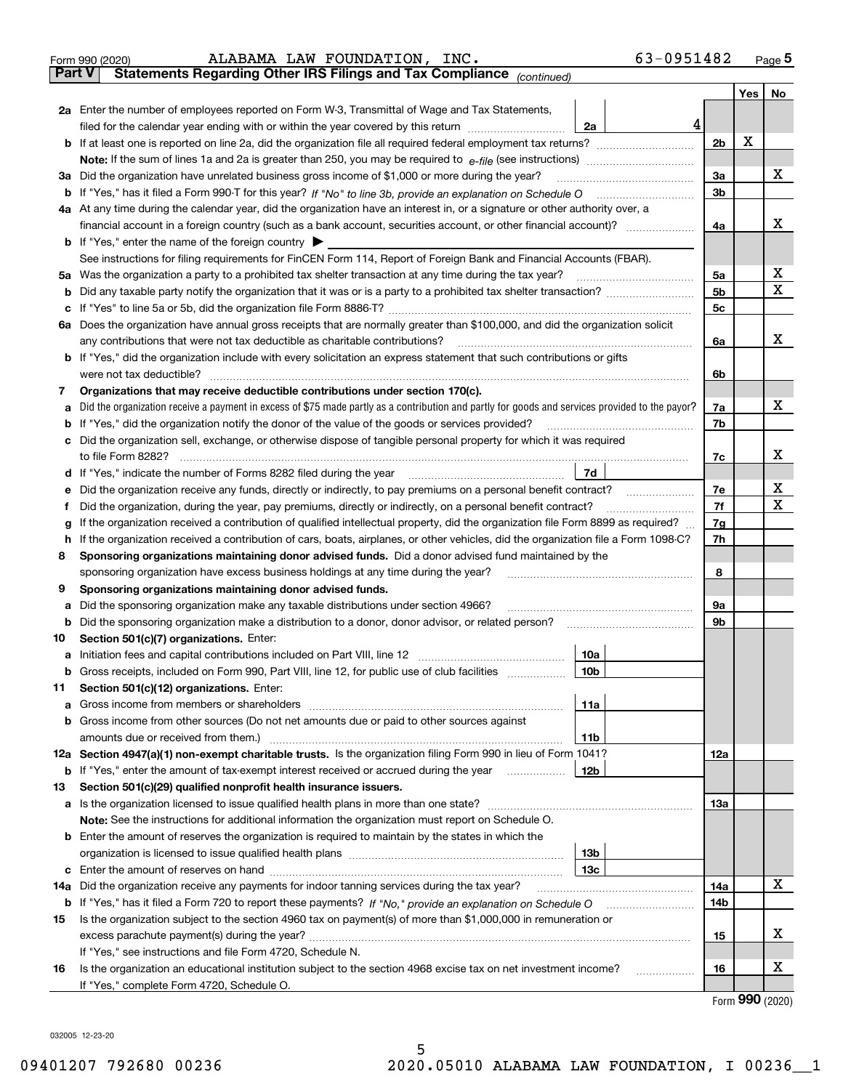| Form 990 (2020) |  | ALABAMA LAW FOUNDATION, INC.                                                                   |  | 63-0951482 | Page $5$ |
|-----------------|--|------------------------------------------------------------------------------------------------|--|------------|----------|
|                 |  | <b>Part V</b> Statements Regarding Other IRS Filings and Tax Compliance <sub>(continued)</sub> |  |            |          |

*(continued)*

|    |                                                                                                                                                                                                       |                        |   |                      | Yes | No     |  |  |  |  |
|----|-------------------------------------------------------------------------------------------------------------------------------------------------------------------------------------------------------|------------------------|---|----------------------|-----|--------|--|--|--|--|
|    | 2a Enter the number of employees reported on Form W-3, Transmittal of Wage and Tax Statements,                                                                                                        |                        |   |                      |     |        |  |  |  |  |
|    | filed for the calendar year ending with or within the year covered by this return                                                                                                                     | 2a                     | 4 |                      |     |        |  |  |  |  |
| b  | If at least one is reported on line 2a, did the organization file all required federal employment tax returns?                                                                                        |                        |   | 2 <sub>b</sub>       | X   |        |  |  |  |  |
|    | Note: If the sum of lines 1a and 2a is greater than 250, you may be required to $e$ -file (see instructions) $\ldots$                                                                                 |                        |   |                      |     |        |  |  |  |  |
| За | Did the organization have unrelated business gross income of \$1,000 or more during the year?                                                                                                         |                        |   | За                   |     | х      |  |  |  |  |
|    |                                                                                                                                                                                                       |                        |   | 3b                   |     |        |  |  |  |  |
|    | 4a At any time during the calendar year, did the organization have an interest in, or a signature or other authority over, a                                                                          |                        |   |                      |     |        |  |  |  |  |
|    |                                                                                                                                                                                                       |                        |   | 4a                   |     | x      |  |  |  |  |
|    | <b>b</b> If "Yes," enter the name of the foreign country $\triangleright$                                                                                                                             |                        |   |                      |     |        |  |  |  |  |
|    | See instructions for filing requirements for FinCEN Form 114, Report of Foreign Bank and Financial Accounts (FBAR).                                                                                   |                        |   |                      |     |        |  |  |  |  |
| 5a | Was the organization a party to a prohibited tax shelter transaction at any time during the tax year?                                                                                                 |                        |   | 5a<br>5 <sub>b</sub> |     | х<br>x |  |  |  |  |
| b  | Did any taxable party notify the organization that it was or is a party to a prohibited tax shelter transaction?                                                                                      |                        |   |                      |     |        |  |  |  |  |
| c  |                                                                                                                                                                                                       |                        |   | 5c                   |     |        |  |  |  |  |
|    | 6a Does the organization have annual gross receipts that are normally greater than \$100,000, and did the organization solicit                                                                        |                        |   |                      |     | х      |  |  |  |  |
|    | any contributions that were not tax deductible as charitable contributions?<br>b If "Yes," did the organization include with every solicitation an express statement that such contributions or gifts |                        |   | 6a                   |     |        |  |  |  |  |
|    | were not tax deductible?                                                                                                                                                                              |                        |   | 6b                   |     |        |  |  |  |  |
| 7  | Organizations that may receive deductible contributions under section 170(c).                                                                                                                         |                        |   |                      |     |        |  |  |  |  |
|    | Did the organization receive a payment in excess of \$75 made partly as a contribution and partly for goods and services provided to the payor?                                                       |                        |   | 7a                   |     | х      |  |  |  |  |
|    | If "Yes," did the organization notify the donor of the value of the goods or services provided?                                                                                                       |                        |   | 7b                   |     |        |  |  |  |  |
|    | Did the organization sell, exchange, or otherwise dispose of tangible personal property for which it was required                                                                                     |                        |   |                      |     |        |  |  |  |  |
|    | to file Form 8282?                                                                                                                                                                                    |                        |   | 7c                   |     | х      |  |  |  |  |
|    | If "Yes," indicate the number of Forms 8282 filed during the year                                                                                                                                     | 7d                     |   |                      |     |        |  |  |  |  |
|    | Did the organization receive any funds, directly or indirectly, to pay premiums on a personal benefit contract?                                                                                       |                        |   | 7e                   |     | x      |  |  |  |  |
| Ť  | Did the organization, during the year, pay premiums, directly or indirectly, on a personal benefit contract?                                                                                          |                        |   | 7f                   |     | X      |  |  |  |  |
|    | If the organization received a contribution of qualified intellectual property, did the organization file Form 8899 as required?                                                                      |                        |   | 7g                   |     |        |  |  |  |  |
| h  | If the organization received a contribution of cars, boats, airplanes, or other vehicles, did the organization file a Form 1098-C?                                                                    |                        |   | 7h                   |     |        |  |  |  |  |
| 8  | Sponsoring organizations maintaining donor advised funds. Did a donor advised fund maintained by the                                                                                                  |                        |   |                      |     |        |  |  |  |  |
|    | sponsoring organization have excess business holdings at any time during the year?                                                                                                                    |                        |   | 8                    |     |        |  |  |  |  |
| 9  | Sponsoring organizations maintaining donor advised funds.                                                                                                                                             |                        |   |                      |     |        |  |  |  |  |
| а  | Did the sponsoring organization make any taxable distributions under section 4966?                                                                                                                    |                        |   | 9а                   |     |        |  |  |  |  |
| b  | Did the sponsoring organization make a distribution to a donor, donor advisor, or related person?                                                                                                     |                        |   | 9b                   |     |        |  |  |  |  |
| 10 | Section 501(c)(7) organizations. Enter:                                                                                                                                                               |                        |   |                      |     |        |  |  |  |  |
| а  | <b>b</b> Gross receipts, included on Form 990, Part VIII, line 12, for public use of club facilities <i>manument</i>                                                                                  | 10a<br>10 <sub>b</sub> |   |                      |     |        |  |  |  |  |
| 11 | Section 501(c)(12) organizations. Enter:                                                                                                                                                              |                        |   |                      |     |        |  |  |  |  |
|    | Gross income from members or shareholders                                                                                                                                                             | 11a                    |   |                      |     |        |  |  |  |  |
|    | <b>b</b> Gross income from other sources (Do not net amounts due or paid to other sources against                                                                                                     |                        |   |                      |     |        |  |  |  |  |
|    | amounts due or received from them.)                                                                                                                                                                   | 11b                    |   |                      |     |        |  |  |  |  |
|    | 12a Section 4947(a)(1) non-exempt charitable trusts. Is the organization filing Form 990 in lieu of Form 1041?                                                                                        |                        |   | 12a                  |     |        |  |  |  |  |
|    | <b>b</b> If "Yes," enter the amount of tax-exempt interest received or accrued during the year                                                                                                        | 12b                    |   |                      |     |        |  |  |  |  |
| 13 | Section 501(c)(29) qualified nonprofit health insurance issuers.                                                                                                                                      |                        |   |                      |     |        |  |  |  |  |
|    | a Is the organization licensed to issue qualified health plans in more than one state?                                                                                                                |                        |   | 13a                  |     |        |  |  |  |  |
|    | Note: See the instructions for additional information the organization must report on Schedule O.                                                                                                     |                        |   |                      |     |        |  |  |  |  |
|    | <b>b</b> Enter the amount of reserves the organization is required to maintain by the states in which the                                                                                             |                        |   |                      |     |        |  |  |  |  |
|    |                                                                                                                                                                                                       | 13b                    |   |                      |     |        |  |  |  |  |
|    |                                                                                                                                                                                                       | 13с                    |   |                      |     |        |  |  |  |  |
|    | 14a Did the organization receive any payments for indoor tanning services during the tax year?                                                                                                        |                        |   | 14a                  |     | х      |  |  |  |  |
|    | <b>b</b> If "Yes," has it filed a Form 720 to report these payments? If "No," provide an explanation on Schedule O                                                                                    |                        |   | 14b                  |     |        |  |  |  |  |
| 15 | Is the organization subject to the section 4960 tax on payment(s) of more than \$1,000,000 in remuneration or                                                                                         |                        |   |                      |     | х      |  |  |  |  |
|    |                                                                                                                                                                                                       |                        |   | 15                   |     |        |  |  |  |  |
|    | If "Yes," see instructions and file Form 4720, Schedule N.<br>Is the organization an educational institution subject to the section 4968 excise tax on net investment income?                         |                        |   | 16                   |     | х      |  |  |  |  |
| 16 | If "Yes," complete Form 4720, Schedule O.                                                                                                                                                             |                        |   |                      |     |        |  |  |  |  |
|    |                                                                                                                                                                                                       |                        |   |                      |     |        |  |  |  |  |

Form (2020) **990**

032005 12-23-20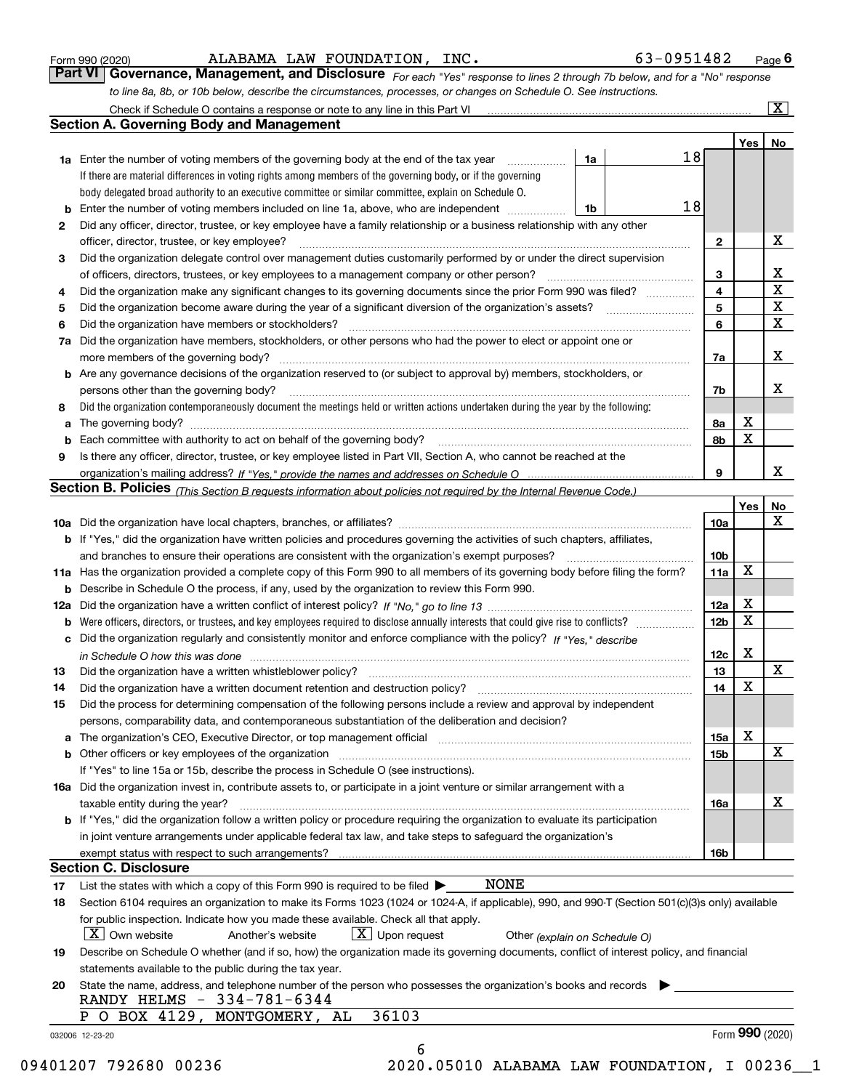|  | Form 990 (2020) |
|--|-----------------|
|  |                 |

| Form 990 (2020) |                                                                                                                  | ALABAMA LAW FOUNDATION, INC. | 63-0951482                                                                                                                  | $P_{\text{aqe}}$ 6 |
|-----------------|------------------------------------------------------------------------------------------------------------------|------------------------------|-----------------------------------------------------------------------------------------------------------------------------|--------------------|
|                 |                                                                                                                  |                              | Part VI Governance, Management, and Disclosure For each "Yes" response to lines 2 through 7b below, and for a "No" response |                    |
|                 | to line 8a, 8b, or 10b below, describe the circumstances, processes, or changes on Schedule O. See instructions. |                              |                                                                                                                             |                    |

|    |                                                                                                                                                                            |                |                 | Yes | No                      |
|----|----------------------------------------------------------------------------------------------------------------------------------------------------------------------------|----------------|-----------------|-----|-------------------------|
|    | <b>1a</b> Enter the number of voting members of the governing body at the end of the tax year                                                                              | 1a             | 18              |     |                         |
|    | If there are material differences in voting rights among members of the governing body, or if the governing                                                                |                |                 |     |                         |
|    | body delegated broad authority to an executive committee or similar committee, explain on Schedule O.                                                                      |                |                 |     |                         |
| b  | Enter the number of voting members included on line 1a, above, who are independent                                                                                         | 1 <sup>b</sup> | 18              |     |                         |
| 2  | Did any officer, director, trustee, or key employee have a family relationship or a business relationship with any other                                                   |                |                 |     |                         |
|    | officer, director, trustee, or key employee?                                                                                                                               |                | $\mathbf{2}$    |     | X                       |
| 3  | Did the organization delegate control over management duties customarily performed by or under the direct supervision                                                      |                |                 |     |                         |
|    |                                                                                                                                                                            |                | 3               |     | X                       |
| 4  | Did the organization make any significant changes to its governing documents since the prior Form 990 was filed?                                                           |                | $\overline{4}$  |     | $\overline{\mathbf{x}}$ |
| 5  |                                                                                                                                                                            |                | 5               |     | $\mathbf{X}$            |
| 6  | Did the organization have members or stockholders?                                                                                                                         |                | 6               |     | X                       |
| 7a | Did the organization have members, stockholders, or other persons who had the power to elect or appoint one or                                                             |                |                 |     |                         |
|    |                                                                                                                                                                            |                | 7a              |     | X                       |
|    | <b>b</b> Are any governance decisions of the organization reserved to (or subject to approval by) members, stockholders, or                                                |                |                 |     |                         |
|    | persons other than the governing body?                                                                                                                                     |                | 7b              |     | х                       |
| 8  | Did the organization contemporaneously document the meetings held or written actions undertaken during the year by the following:                                          |                |                 |     |                         |
| a  |                                                                                                                                                                            |                | 8a              | X   |                         |
| b  |                                                                                                                                                                            |                | 8b              | X   |                         |
| 9  | Is there any officer, director, trustee, or key employee listed in Part VII, Section A, who cannot be reached at the                                                       |                |                 |     |                         |
|    |                                                                                                                                                                            |                | 9               |     | x                       |
|    | Section B. Policies (This Section B requests information about policies not required by the Internal Revenue Code.)                                                        |                |                 |     |                         |
|    |                                                                                                                                                                            |                |                 | Yes | No                      |
|    |                                                                                                                                                                            |                | 10a             |     | X                       |
|    | <b>b</b> If "Yes," did the organization have written policies and procedures governing the activities of such chapters, affiliates,                                        |                |                 |     |                         |
|    |                                                                                                                                                                            |                | 10 <sub>b</sub> |     |                         |
|    | 11a Has the organization provided a complete copy of this Form 990 to all members of its governing body before filing the form?                                            |                | 11a             | X   |                         |
|    | <b>b</b> Describe in Schedule O the process, if any, used by the organization to review this Form 990.                                                                     |                |                 |     |                         |
|    |                                                                                                                                                                            |                | 12a             | X   |                         |
| b  |                                                                                                                                                                            |                | 12 <sub>b</sub> | X   |                         |
|    | c Did the organization regularly and consistently monitor and enforce compliance with the policy? If "Yes." describe                                                       |                |                 |     |                         |
|    | in Schedule O how this was done manufactured and continuum control of the state of the state of the state of t                                                             |                | 12c             | Х   |                         |
| 13 |                                                                                                                                                                            |                | 13              |     | X                       |
| 14 | Did the organization have a written document retention and destruction policy? manufactured and the organization have a written document retention and destruction policy? |                | 14              | X   |                         |
| 15 | Did the process for determining compensation of the following persons include a review and approval by independent                                                         |                |                 |     |                         |
|    | persons, comparability data, and contemporaneous substantiation of the deliberation and decision?                                                                          |                |                 |     |                         |
|    |                                                                                                                                                                            |                | 15a             | X   |                         |
|    |                                                                                                                                                                            |                | 15b             |     | X                       |
|    | If "Yes" to line 15a or 15b, describe the process in Schedule O (see instructions).                                                                                        |                |                 |     |                         |
|    | 16a Did the organization invest in, contribute assets to, or participate in a joint venture or similar arrangement with a                                                  |                |                 |     |                         |
|    |                                                                                                                                                                            |                |                 |     | х                       |
|    | taxable entity during the year?<br>b If "Yes," did the organization follow a written policy or procedure requiring the organization to evaluate its participation          |                | 16a             |     |                         |
|    |                                                                                                                                                                            |                |                 |     |                         |
|    | in joint venture arrangements under applicable federal tax law, and take steps to safeguard the organization's                                                             |                |                 |     |                         |
|    | exempt status with respect to such arrangements?<br><b>Section C. Disclosure</b>                                                                                           |                | 16b             |     |                         |
|    | <b>NONE</b>                                                                                                                                                                |                |                 |     |                         |
| 17 | List the states with which a copy of this Form 990 is required to be filed $\blacktriangleright$                                                                           |                |                 |     |                         |
| 18 | Section 6104 requires an organization to make its Forms 1023 (1024 or 1024-A, if applicable), 990, and 990-T (Section 501(c)(3)s only) available                           |                |                 |     |                         |
|    | for public inspection. Indicate how you made these available. Check all that apply.                                                                                        |                |                 |     |                         |
|    | $\mid$ X $\mid$ Own website<br>$\lfloor x \rfloor$ Upon request<br>Another's website<br>Other (explain on Schedule O)                                                      |                |                 |     |                         |
| 19 | Describe on Schedule O whether (and if so, how) the organization made its governing documents, conflict of interest policy, and financial                                  |                |                 |     |                         |
|    | statements available to the public during the tax year.                                                                                                                    |                |                 |     |                         |
| 20 | State the name, address, and telephone number of the person who possesses the organization's books and records                                                             |                |                 |     |                         |
|    | RANDY HELMS - 334-781-6344                                                                                                                                                 |                |                 |     |                         |
|    | 36103<br>P O BOX 4129, MONTGOMERY, AL                                                                                                                                      |                |                 |     |                         |
|    | 032006 12-23-20                                                                                                                                                            |                |                 |     | Form 990 (2020)         |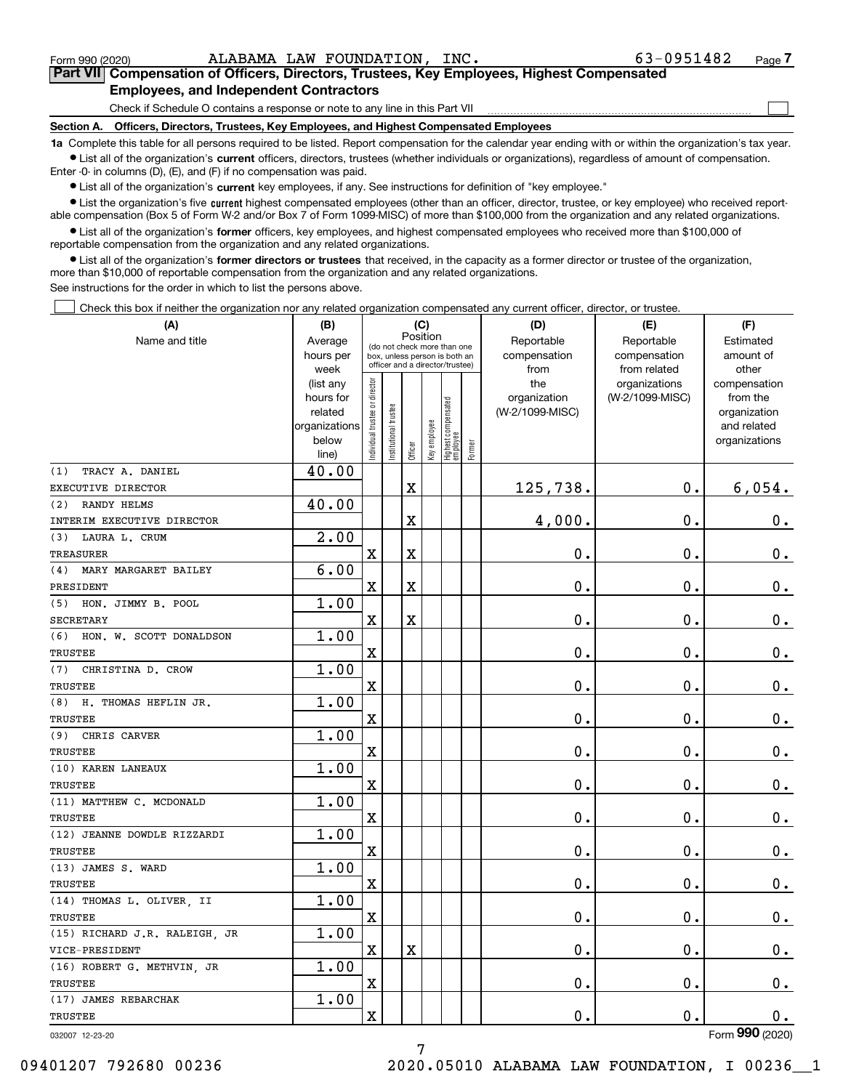$\mathcal{L}^{\text{max}}$ 

| Form 990 (2020) |                                                                                            | ALABAMA LAW FOUNDATION, INC. | 63-0951482 | Page $\prime$ |
|-----------------|--------------------------------------------------------------------------------------------|------------------------------|------------|---------------|
|                 | Part VII Compensation of Officers, Directors, Trustees, Key Employees, Highest Compensated |                              |            |               |
|                 | <b>Employees, and Independent Contractors</b>                                              |                              |            |               |

Check if Schedule O contains a response or note to any line in this Part VII

**Section A. Officers, Directors, Trustees, Key Employees, and Highest Compensated Employees**

**1a**  Complete this table for all persons required to be listed. Report compensation for the calendar year ending with or within the organization's tax year. **•** List all of the organization's current officers, directors, trustees (whether individuals or organizations), regardless of amount of compensation.

Enter -0- in columns (D), (E), and (F) if no compensation was paid.

 $\bullet$  List all of the organization's  $\,$ current key employees, if any. See instructions for definition of "key employee."

**•** List the organization's five current highest compensated employees (other than an officer, director, trustee, or key employee) who received reportable compensation (Box 5 of Form W-2 and/or Box 7 of Form 1099-MISC) of more than \$100,000 from the organization and any related organizations.

**•** List all of the organization's former officers, key employees, and highest compensated employees who received more than \$100,000 of reportable compensation from the organization and any related organizations.

**former directors or trustees**  ¥ List all of the organization's that received, in the capacity as a former director or trustee of the organization, more than \$10,000 of reportable compensation from the organization and any related organizations.

See instructions for the order in which to list the persons above.

Check this box if neither the organization nor any related organization compensated any current officer, director, or trustee.  $\mathcal{L}^{\text{max}}$ 

| Position<br>Name and title<br>Reportable<br>Average<br>Reportable<br>Estimated<br>(do not check more than one<br>hours per<br>compensation<br>compensation<br>amount of<br>box, unless person is both an<br>officer and a director/trustee)<br>week<br>from<br>from related<br>other<br>ndividual trustee or director<br>(list any<br>the<br>organizations<br>compensation<br>hours for<br>organization<br>(W-2/1099-MISC)<br>from the<br>Highest compensated<br> employee<br>Institutional trustee<br>(W-2/1099-MISC)<br>related<br>organization<br>Key employee<br>organizations<br>and related<br>below<br>organizations<br>Former<br>Officer<br>line)<br>40.00<br>TRACY A. DANIEL<br>125,738.<br>$\mathbf{0}$ .<br>6,054.<br>$\mathbf X$<br>40.00<br><b>RANDY HELMS</b><br>$\mathbf 0$ .<br>$\mathbf X$<br>4,000.<br>0.<br>2.00<br>LAURA L. CRUM<br>$\rm X$<br>$\rm X$<br>0.<br>$\mathbf 0$ .<br>$0_{.}$<br>6.00<br>MARY MARGARET BAILEY<br>$\overline{\mathbf{X}}$<br>$\rm X$<br>0.<br>0.<br>0.<br>1.00<br>$\overline{\mathbf{X}}$<br>$\mathbf X$<br>0.<br>$\mathbf 0$ .<br>$0_{.}$<br>1.00<br>$\overline{\mathbf{X}}$<br>$\mathbf 0$ .<br>0.<br>$0_{.}$<br>1.00<br>CHRISTINA D. CROW<br>$\overline{\text{X}}$<br>$\mathbf 0$ .<br>$\mathbf 0$ .<br>$0_{.}$<br>1.00<br>H. THOMAS HEFLIN JR.<br>0.<br>$\mathbf 0$ .<br>X<br>$\mathbf 0$ .<br>1.00<br>CHRIS CARVER<br>$\overline{\mathbf{X}}$<br>0.<br>$\mathbf 0$ .<br>$\mathbf 0$ .<br>1.00<br>$\overline{\text{X}}$<br>0.<br>$\mathbf 0$ .<br>$\mathbf 0$ .<br>1.00<br>X<br>0.<br>$\mathbf 0$ .<br>$\mathbf 0$ .<br>1.00<br>$\overline{\text{X}}$<br>0.<br>$\mathbf 0$ .<br>$0$ .<br>1.00<br>X<br>0.<br>0.<br>$0_{.}$<br>1.00<br>$\overline{\text{X}}$<br>$\mathbf 0$ .<br>$\mathbf 0$ .<br>0.<br>1.00<br>$\mathbf X$<br>$\mathbf X$<br>0.<br>0.<br>0.<br>1.00<br>$\rm X$<br>0.<br>$\mathbf 0$ .<br>$\mathbf 0$ .<br>1.00<br>$\rm X$<br>0.<br>$\mathbf{0}$ .<br>0.<br>$\overline{2}$ | (A)                          | (B) |  | (C) |  | (D) | (E) | (F) |
|--------------------------------------------------------------------------------------------------------------------------------------------------------------------------------------------------------------------------------------------------------------------------------------------------------------------------------------------------------------------------------------------------------------------------------------------------------------------------------------------------------------------------------------------------------------------------------------------------------------------------------------------------------------------------------------------------------------------------------------------------------------------------------------------------------------------------------------------------------------------------------------------------------------------------------------------------------------------------------------------------------------------------------------------------------------------------------------------------------------------------------------------------------------------------------------------------------------------------------------------------------------------------------------------------------------------------------------------------------------------------------------------------------------------------------------------------------------------------------------------------------------------------------------------------------------------------------------------------------------------------------------------------------------------------------------------------------------------------------------------------------------------------------------------------------------------------------------------------------------------------------------------------------------------------------------------|------------------------------|-----|--|-----|--|-----|-----|-----|
|                                                                                                                                                                                                                                                                                                                                                                                                                                                                                                                                                                                                                                                                                                                                                                                                                                                                                                                                                                                                                                                                                                                                                                                                                                                                                                                                                                                                                                                                                                                                                                                                                                                                                                                                                                                                                                                                                                                                            |                              |     |  |     |  |     |     |     |
|                                                                                                                                                                                                                                                                                                                                                                                                                                                                                                                                                                                                                                                                                                                                                                                                                                                                                                                                                                                                                                                                                                                                                                                                                                                                                                                                                                                                                                                                                                                                                                                                                                                                                                                                                                                                                                                                                                                                            |                              |     |  |     |  |     |     |     |
|                                                                                                                                                                                                                                                                                                                                                                                                                                                                                                                                                                                                                                                                                                                                                                                                                                                                                                                                                                                                                                                                                                                                                                                                                                                                                                                                                                                                                                                                                                                                                                                                                                                                                                                                                                                                                                                                                                                                            |                              |     |  |     |  |     |     |     |
|                                                                                                                                                                                                                                                                                                                                                                                                                                                                                                                                                                                                                                                                                                                                                                                                                                                                                                                                                                                                                                                                                                                                                                                                                                                                                                                                                                                                                                                                                                                                                                                                                                                                                                                                                                                                                                                                                                                                            |                              |     |  |     |  |     |     |     |
|                                                                                                                                                                                                                                                                                                                                                                                                                                                                                                                                                                                                                                                                                                                                                                                                                                                                                                                                                                                                                                                                                                                                                                                                                                                                                                                                                                                                                                                                                                                                                                                                                                                                                                                                                                                                                                                                                                                                            |                              |     |  |     |  |     |     |     |
|                                                                                                                                                                                                                                                                                                                                                                                                                                                                                                                                                                                                                                                                                                                                                                                                                                                                                                                                                                                                                                                                                                                                                                                                                                                                                                                                                                                                                                                                                                                                                                                                                                                                                                                                                                                                                                                                                                                                            |                              |     |  |     |  |     |     |     |
|                                                                                                                                                                                                                                                                                                                                                                                                                                                                                                                                                                                                                                                                                                                                                                                                                                                                                                                                                                                                                                                                                                                                                                                                                                                                                                                                                                                                                                                                                                                                                                                                                                                                                                                                                                                                                                                                                                                                            |                              |     |  |     |  |     |     |     |
|                                                                                                                                                                                                                                                                                                                                                                                                                                                                                                                                                                                                                                                                                                                                                                                                                                                                                                                                                                                                                                                                                                                                                                                                                                                                                                                                                                                                                                                                                                                                                                                                                                                                                                                                                                                                                                                                                                                                            |                              |     |  |     |  |     |     |     |
|                                                                                                                                                                                                                                                                                                                                                                                                                                                                                                                                                                                                                                                                                                                                                                                                                                                                                                                                                                                                                                                                                                                                                                                                                                                                                                                                                                                                                                                                                                                                                                                                                                                                                                                                                                                                                                                                                                                                            | (1)                          |     |  |     |  |     |     |     |
|                                                                                                                                                                                                                                                                                                                                                                                                                                                                                                                                                                                                                                                                                                                                                                                                                                                                                                                                                                                                                                                                                                                                                                                                                                                                                                                                                                                                                                                                                                                                                                                                                                                                                                                                                                                                                                                                                                                                            | EXECUTIVE DIRECTOR           |     |  |     |  |     |     |     |
|                                                                                                                                                                                                                                                                                                                                                                                                                                                                                                                                                                                                                                                                                                                                                                                                                                                                                                                                                                                                                                                                                                                                                                                                                                                                                                                                                                                                                                                                                                                                                                                                                                                                                                                                                                                                                                                                                                                                            | (2)                          |     |  |     |  |     |     |     |
|                                                                                                                                                                                                                                                                                                                                                                                                                                                                                                                                                                                                                                                                                                                                                                                                                                                                                                                                                                                                                                                                                                                                                                                                                                                                                                                                                                                                                                                                                                                                                                                                                                                                                                                                                                                                                                                                                                                                            | INTERIM EXECUTIVE DIRECTOR   |     |  |     |  |     |     |     |
|                                                                                                                                                                                                                                                                                                                                                                                                                                                                                                                                                                                                                                                                                                                                                                                                                                                                                                                                                                                                                                                                                                                                                                                                                                                                                                                                                                                                                                                                                                                                                                                                                                                                                                                                                                                                                                                                                                                                            | (3)                          |     |  |     |  |     |     |     |
|                                                                                                                                                                                                                                                                                                                                                                                                                                                                                                                                                                                                                                                                                                                                                                                                                                                                                                                                                                                                                                                                                                                                                                                                                                                                                                                                                                                                                                                                                                                                                                                                                                                                                                                                                                                                                                                                                                                                            | <b>TREASURER</b>             |     |  |     |  |     |     |     |
|                                                                                                                                                                                                                                                                                                                                                                                                                                                                                                                                                                                                                                                                                                                                                                                                                                                                                                                                                                                                                                                                                                                                                                                                                                                                                                                                                                                                                                                                                                                                                                                                                                                                                                                                                                                                                                                                                                                                            | (4)                          |     |  |     |  |     |     |     |
|                                                                                                                                                                                                                                                                                                                                                                                                                                                                                                                                                                                                                                                                                                                                                                                                                                                                                                                                                                                                                                                                                                                                                                                                                                                                                                                                                                                                                                                                                                                                                                                                                                                                                                                                                                                                                                                                                                                                            | PRESIDENT                    |     |  |     |  |     |     |     |
|                                                                                                                                                                                                                                                                                                                                                                                                                                                                                                                                                                                                                                                                                                                                                                                                                                                                                                                                                                                                                                                                                                                                                                                                                                                                                                                                                                                                                                                                                                                                                                                                                                                                                                                                                                                                                                                                                                                                            | (5) HON. JIMMY B. POOL       |     |  |     |  |     |     |     |
|                                                                                                                                                                                                                                                                                                                                                                                                                                                                                                                                                                                                                                                                                                                                                                                                                                                                                                                                                                                                                                                                                                                                                                                                                                                                                                                                                                                                                                                                                                                                                                                                                                                                                                                                                                                                                                                                                                                                            | <b>SECRETARY</b>             |     |  |     |  |     |     |     |
|                                                                                                                                                                                                                                                                                                                                                                                                                                                                                                                                                                                                                                                                                                                                                                                                                                                                                                                                                                                                                                                                                                                                                                                                                                                                                                                                                                                                                                                                                                                                                                                                                                                                                                                                                                                                                                                                                                                                            | (6) HON. W. SCOTT DONALDSON  |     |  |     |  |     |     |     |
|                                                                                                                                                                                                                                                                                                                                                                                                                                                                                                                                                                                                                                                                                                                                                                                                                                                                                                                                                                                                                                                                                                                                                                                                                                                                                                                                                                                                                                                                                                                                                                                                                                                                                                                                                                                                                                                                                                                                            | <b>TRUSTEE</b>               |     |  |     |  |     |     |     |
|                                                                                                                                                                                                                                                                                                                                                                                                                                                                                                                                                                                                                                                                                                                                                                                                                                                                                                                                                                                                                                                                                                                                                                                                                                                                                                                                                                                                                                                                                                                                                                                                                                                                                                                                                                                                                                                                                                                                            | (7)                          |     |  |     |  |     |     |     |
|                                                                                                                                                                                                                                                                                                                                                                                                                                                                                                                                                                                                                                                                                                                                                                                                                                                                                                                                                                                                                                                                                                                                                                                                                                                                                                                                                                                                                                                                                                                                                                                                                                                                                                                                                                                                                                                                                                                                            | <b>TRUSTEE</b>               |     |  |     |  |     |     |     |
|                                                                                                                                                                                                                                                                                                                                                                                                                                                                                                                                                                                                                                                                                                                                                                                                                                                                                                                                                                                                                                                                                                                                                                                                                                                                                                                                                                                                                                                                                                                                                                                                                                                                                                                                                                                                                                                                                                                                            | (8)                          |     |  |     |  |     |     |     |
|                                                                                                                                                                                                                                                                                                                                                                                                                                                                                                                                                                                                                                                                                                                                                                                                                                                                                                                                                                                                                                                                                                                                                                                                                                                                                                                                                                                                                                                                                                                                                                                                                                                                                                                                                                                                                                                                                                                                            | <b>TRUSTEE</b>               |     |  |     |  |     |     |     |
|                                                                                                                                                                                                                                                                                                                                                                                                                                                                                                                                                                                                                                                                                                                                                                                                                                                                                                                                                                                                                                                                                                                                                                                                                                                                                                                                                                                                                                                                                                                                                                                                                                                                                                                                                                                                                                                                                                                                            | (9)                          |     |  |     |  |     |     |     |
|                                                                                                                                                                                                                                                                                                                                                                                                                                                                                                                                                                                                                                                                                                                                                                                                                                                                                                                                                                                                                                                                                                                                                                                                                                                                                                                                                                                                                                                                                                                                                                                                                                                                                                                                                                                                                                                                                                                                            | <b>TRUSTEE</b>               |     |  |     |  |     |     |     |
|                                                                                                                                                                                                                                                                                                                                                                                                                                                                                                                                                                                                                                                                                                                                                                                                                                                                                                                                                                                                                                                                                                                                                                                                                                                                                                                                                                                                                                                                                                                                                                                                                                                                                                                                                                                                                                                                                                                                            | (10) KAREN LANEAUX           |     |  |     |  |     |     |     |
|                                                                                                                                                                                                                                                                                                                                                                                                                                                                                                                                                                                                                                                                                                                                                                                                                                                                                                                                                                                                                                                                                                                                                                                                                                                                                                                                                                                                                                                                                                                                                                                                                                                                                                                                                                                                                                                                                                                                            | TRUSTEE                      |     |  |     |  |     |     |     |
|                                                                                                                                                                                                                                                                                                                                                                                                                                                                                                                                                                                                                                                                                                                                                                                                                                                                                                                                                                                                                                                                                                                                                                                                                                                                                                                                                                                                                                                                                                                                                                                                                                                                                                                                                                                                                                                                                                                                            | (11) MATTHEW C. MCDONALD     |     |  |     |  |     |     |     |
|                                                                                                                                                                                                                                                                                                                                                                                                                                                                                                                                                                                                                                                                                                                                                                                                                                                                                                                                                                                                                                                                                                                                                                                                                                                                                                                                                                                                                                                                                                                                                                                                                                                                                                                                                                                                                                                                                                                                            | TRUSTEE                      |     |  |     |  |     |     |     |
|                                                                                                                                                                                                                                                                                                                                                                                                                                                                                                                                                                                                                                                                                                                                                                                                                                                                                                                                                                                                                                                                                                                                                                                                                                                                                                                                                                                                                                                                                                                                                                                                                                                                                                                                                                                                                                                                                                                                            | (12) JEANNE DOWDLE RIZZARDI  |     |  |     |  |     |     |     |
|                                                                                                                                                                                                                                                                                                                                                                                                                                                                                                                                                                                                                                                                                                                                                                                                                                                                                                                                                                                                                                                                                                                                                                                                                                                                                                                                                                                                                                                                                                                                                                                                                                                                                                                                                                                                                                                                                                                                            | TRUSTEE                      |     |  |     |  |     |     |     |
|                                                                                                                                                                                                                                                                                                                                                                                                                                                                                                                                                                                                                                                                                                                                                                                                                                                                                                                                                                                                                                                                                                                                                                                                                                                                                                                                                                                                                                                                                                                                                                                                                                                                                                                                                                                                                                                                                                                                            | (13) JAMES S. WARD           |     |  |     |  |     |     |     |
|                                                                                                                                                                                                                                                                                                                                                                                                                                                                                                                                                                                                                                                                                                                                                                                                                                                                                                                                                                                                                                                                                                                                                                                                                                                                                                                                                                                                                                                                                                                                                                                                                                                                                                                                                                                                                                                                                                                                            | <b>TRUSTEE</b>               |     |  |     |  |     |     |     |
|                                                                                                                                                                                                                                                                                                                                                                                                                                                                                                                                                                                                                                                                                                                                                                                                                                                                                                                                                                                                                                                                                                                                                                                                                                                                                                                                                                                                                                                                                                                                                                                                                                                                                                                                                                                                                                                                                                                                            | (14) THOMAS L. OLIVER, II    |     |  |     |  |     |     |     |
|                                                                                                                                                                                                                                                                                                                                                                                                                                                                                                                                                                                                                                                                                                                                                                                                                                                                                                                                                                                                                                                                                                                                                                                                                                                                                                                                                                                                                                                                                                                                                                                                                                                                                                                                                                                                                                                                                                                                            | <b>TRUSTEE</b>               |     |  |     |  |     |     |     |
|                                                                                                                                                                                                                                                                                                                                                                                                                                                                                                                                                                                                                                                                                                                                                                                                                                                                                                                                                                                                                                                                                                                                                                                                                                                                                                                                                                                                                                                                                                                                                                                                                                                                                                                                                                                                                                                                                                                                            | (15) RICHARD J.R. RALEIGH JR |     |  |     |  |     |     |     |
|                                                                                                                                                                                                                                                                                                                                                                                                                                                                                                                                                                                                                                                                                                                                                                                                                                                                                                                                                                                                                                                                                                                                                                                                                                                                                                                                                                                                                                                                                                                                                                                                                                                                                                                                                                                                                                                                                                                                            | VICE-PRESIDENT               |     |  |     |  |     |     |     |
|                                                                                                                                                                                                                                                                                                                                                                                                                                                                                                                                                                                                                                                                                                                                                                                                                                                                                                                                                                                                                                                                                                                                                                                                                                                                                                                                                                                                                                                                                                                                                                                                                                                                                                                                                                                                                                                                                                                                            | (16) ROBERT G. METHVIN, JR   |     |  |     |  |     |     |     |
|                                                                                                                                                                                                                                                                                                                                                                                                                                                                                                                                                                                                                                                                                                                                                                                                                                                                                                                                                                                                                                                                                                                                                                                                                                                                                                                                                                                                                                                                                                                                                                                                                                                                                                                                                                                                                                                                                                                                            | <b>TRUSTEE</b>               |     |  |     |  |     |     |     |
|                                                                                                                                                                                                                                                                                                                                                                                                                                                                                                                                                                                                                                                                                                                                                                                                                                                                                                                                                                                                                                                                                                                                                                                                                                                                                                                                                                                                                                                                                                                                                                                                                                                                                                                                                                                                                                                                                                                                            | (17) JAMES REBARCHAK         |     |  |     |  |     |     |     |
|                                                                                                                                                                                                                                                                                                                                                                                                                                                                                                                                                                                                                                                                                                                                                                                                                                                                                                                                                                                                                                                                                                                                                                                                                                                                                                                                                                                                                                                                                                                                                                                                                                                                                                                                                                                                                                                                                                                                            | TRUSTEE                      |     |  |     |  |     |     |     |

032007 12-23-20

Form (2020) **990**

7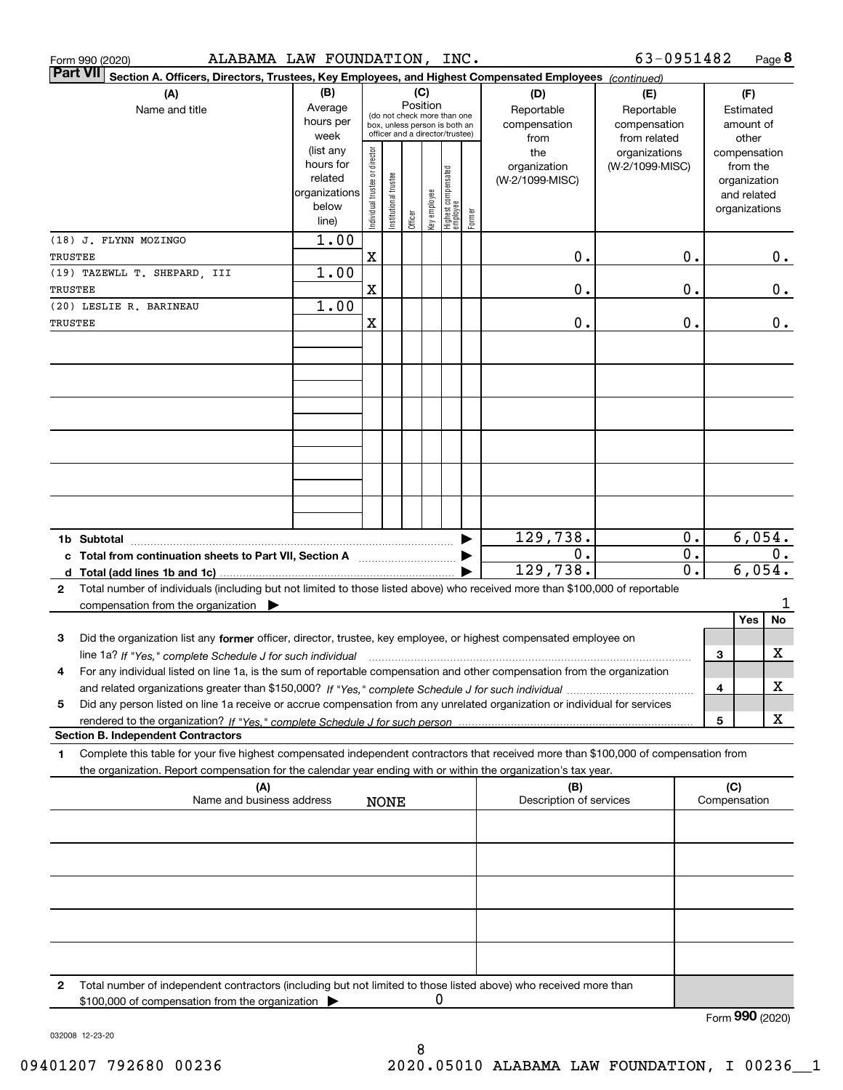|         | ALABAMA LAW FOUNDATION, INC.<br>Form 990 (2020)                                                                                                 |                      |                                |                       |          |              |                                                                  |        |                         | 63-0951482                   |                        |                 |                    | Page 8 |
|---------|-------------------------------------------------------------------------------------------------------------------------------------------------|----------------------|--------------------------------|-----------------------|----------|--------------|------------------------------------------------------------------|--------|-------------------------|------------------------------|------------------------|-----------------|--------------------|--------|
|         | <b>Part VII</b><br>Section A. Officers, Directors, Trustees, Key Employees, and Highest Compensated Employees (continued)                       |                      |                                |                       |          |              |                                                                  |        |                         |                              |                        |                 |                    |        |
|         | (A)                                                                                                                                             | (B)                  |                                |                       | Position | (C)          |                                                                  |        | (D)                     | (E)                          |                        |                 | (F)                |        |
|         | Name and title                                                                                                                                  | Average<br>hours per |                                |                       |          |              | (do not check more than one                                      |        | Reportable              | Reportable                   |                        |                 | Estimated          |        |
|         |                                                                                                                                                 | week                 |                                |                       |          |              | box, unless person is both an<br>officer and a director/trustee) |        | compensation<br>from    | compensation<br>from related |                        |                 | amount of<br>other |        |
|         |                                                                                                                                                 | (list any            |                                |                       |          |              |                                                                  |        | the                     | organizations                |                        |                 | compensation       |        |
|         |                                                                                                                                                 | hours for            |                                |                       |          |              |                                                                  |        | organization            | (W-2/1099-MISC)              |                        |                 | from the           |        |
|         |                                                                                                                                                 | related              |                                |                       |          |              |                                                                  |        | (W-2/1099-MISC)         |                              |                        |                 | organization       |        |
|         |                                                                                                                                                 | organizations        |                                |                       |          |              |                                                                  |        |                         |                              |                        |                 | and related        |        |
|         |                                                                                                                                                 | below<br>line)       | Individual trustee or director | Institutional trustee | Officer  | Key employee | Highest compensated<br>employee                                  | Former |                         |                              |                        |                 | organizations      |        |
|         |                                                                                                                                                 |                      |                                |                       |          |              |                                                                  |        |                         |                              |                        |                 |                    |        |
| TRUSTEE | (18) J. FLYNN MOZINGO                                                                                                                           | 1.00                 | $\mathbf X$                    |                       |          |              |                                                                  |        | 0.                      |                              | 0.                     |                 |                    | 0.     |
|         | (19) TAZEWLL T. SHEPARD, III                                                                                                                    | 1.00                 |                                |                       |          |              |                                                                  |        |                         |                              |                        |                 |                    |        |
| TRUSTEE |                                                                                                                                                 |                      | $\mathbf X$                    |                       |          |              |                                                                  |        | 0.                      |                              | 0.                     |                 |                    | 0.     |
|         | (20) LESLIE R. BARINEAU                                                                                                                         | 1.00                 |                                |                       |          |              |                                                                  |        |                         |                              |                        |                 |                    |        |
| TRUSTEE |                                                                                                                                                 |                      | $\mathbf X$                    |                       |          |              |                                                                  |        | 0.                      |                              | 0.                     |                 |                    | 0.     |
|         |                                                                                                                                                 |                      |                                |                       |          |              |                                                                  |        |                         |                              |                        |                 |                    |        |
|         |                                                                                                                                                 |                      |                                |                       |          |              |                                                                  |        |                         |                              |                        |                 |                    |        |
|         |                                                                                                                                                 |                      |                                |                       |          |              |                                                                  |        |                         |                              |                        |                 |                    |        |
|         |                                                                                                                                                 |                      |                                |                       |          |              |                                                                  |        |                         |                              |                        |                 |                    |        |
|         |                                                                                                                                                 |                      |                                |                       |          |              |                                                                  |        |                         |                              |                        |                 |                    |        |
|         |                                                                                                                                                 |                      |                                |                       |          |              |                                                                  |        |                         |                              |                        |                 |                    |        |
|         |                                                                                                                                                 |                      |                                |                       |          |              |                                                                  |        |                         |                              |                        |                 |                    |        |
|         |                                                                                                                                                 |                      |                                |                       |          |              |                                                                  |        |                         |                              |                        |                 |                    |        |
|         |                                                                                                                                                 |                      |                                |                       |          |              |                                                                  |        |                         |                              |                        |                 |                    |        |
|         |                                                                                                                                                 |                      |                                |                       |          |              |                                                                  |        |                         |                              |                        |                 |                    |        |
|         |                                                                                                                                                 |                      |                                |                       |          |              |                                                                  |        |                         |                              |                        |                 |                    |        |
|         |                                                                                                                                                 |                      |                                |                       |          |              |                                                                  |        |                         |                              |                        |                 |                    |        |
|         | 1b Subtotal                                                                                                                                     |                      |                                |                       |          |              |                                                                  |        | 129,738.                |                              | 0.                     |                 | 6,054.             |        |
|         | c Total from continuation sheets to Part VII, Section A <b>Constant Contract Control</b>                                                        |                      |                                |                       |          |              |                                                                  |        | 0.                      |                              | 0.<br>$\overline{0}$ . |                 | 6,054.             | 0.     |
|         |                                                                                                                                                 |                      |                                |                       |          |              |                                                                  |        | 129,738.                |                              |                        |                 |                    |        |
| 2       | Total number of individuals (including but not limited to those listed above) who received more than \$100,000 of reportable                    |                      |                                |                       |          |              |                                                                  |        |                         |                              |                        |                 |                    | 1      |
|         | compensation from the organization $\blacktriangleright$                                                                                        |                      |                                |                       |          |              |                                                                  |        |                         |                              |                        |                 | Yes                | No     |
| 3       | Did the organization list any former officer, director, trustee, key employee, or highest compensated employee on                               |                      |                                |                       |          |              |                                                                  |        |                         |                              |                        |                 |                    |        |
|         | line 1a? If "Yes," complete Schedule J for such individual manufactured contained and the 1a? If "Yes," complete Schedule J for such individual |                      |                                |                       |          |              |                                                                  |        |                         |                              |                        | 3               |                    | x      |
| 4       | For any individual listed on line 1a, is the sum of reportable compensation and other compensation from the organization                        |                      |                                |                       |          |              |                                                                  |        |                         |                              |                        |                 |                    |        |
|         |                                                                                                                                                 |                      |                                |                       |          |              |                                                                  |        |                         |                              |                        | 4               |                    | х      |
| 5       | Did any person listed on line 1a receive or accrue compensation from any unrelated organization or individual for services                      |                      |                                |                       |          |              |                                                                  |        |                         |                              |                        |                 |                    |        |
|         |                                                                                                                                                 |                      |                                |                       |          |              |                                                                  |        |                         |                              |                        | 5               |                    | X      |
|         | <b>Section B. Independent Contractors</b>                                                                                                       |                      |                                |                       |          |              |                                                                  |        |                         |                              |                        |                 |                    |        |
| 1       | Complete this table for your five highest compensated independent contractors that received more than \$100,000 of compensation from            |                      |                                |                       |          |              |                                                                  |        |                         |                              |                        |                 |                    |        |
|         | the organization. Report compensation for the calendar year ending with or within the organization's tax year.                                  |                      |                                |                       |          |              |                                                                  |        |                         |                              |                        |                 |                    |        |
|         | (A)                                                                                                                                             |                      |                                |                       |          |              |                                                                  |        | (B)                     |                              |                        | (C)             |                    |        |
|         | Name and business address                                                                                                                       |                      |                                | <b>NONE</b>           |          |              |                                                                  |        | Description of services |                              |                        | Compensation    |                    |        |
|         |                                                                                                                                                 |                      |                                |                       |          |              |                                                                  |        |                         |                              |                        |                 |                    |        |
|         |                                                                                                                                                 |                      |                                |                       |          |              |                                                                  |        |                         |                              |                        |                 |                    |        |
|         |                                                                                                                                                 |                      |                                |                       |          |              |                                                                  |        |                         |                              |                        |                 |                    |        |
|         |                                                                                                                                                 |                      |                                |                       |          |              |                                                                  |        |                         |                              |                        |                 |                    |        |
|         |                                                                                                                                                 |                      |                                |                       |          |              |                                                                  |        |                         |                              |                        |                 |                    |        |
|         |                                                                                                                                                 |                      |                                |                       |          |              |                                                                  |        |                         |                              |                        |                 |                    |        |
|         |                                                                                                                                                 |                      |                                |                       |          |              |                                                                  |        |                         |                              |                        |                 |                    |        |
|         |                                                                                                                                                 |                      |                                |                       |          |              |                                                                  |        |                         |                              |                        |                 |                    |        |
|         |                                                                                                                                                 |                      |                                |                       |          |              |                                                                  |        |                         |                              |                        |                 |                    |        |
| 2       | Total number of independent contractors (including but not limited to those listed above) who received more than                                |                      |                                |                       |          |              |                                                                  |        |                         |                              |                        |                 |                    |        |
|         | \$100,000 of compensation from the organization                                                                                                 |                      |                                |                       |          | 0            |                                                                  |        |                         |                              |                        |                 |                    |        |
|         |                                                                                                                                                 |                      |                                |                       |          |              |                                                                  |        |                         |                              |                        | Form 990 (2020) |                    |        |

032008 12-23-20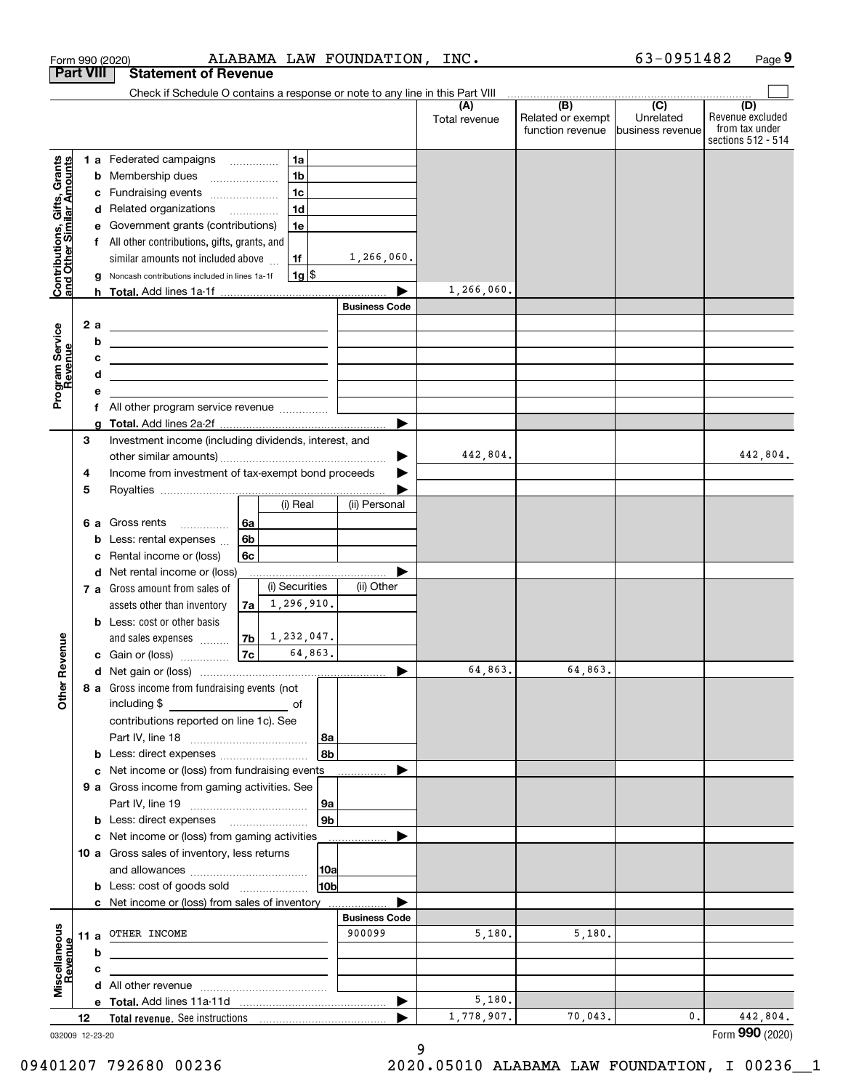|                                                           |                  | ALABAMA LAW FOUNDATION,<br>Form 990 (2020)                                                                                        |                       | INC.                 |                                                     | 63-0951482                    | Page 9                                                          |
|-----------------------------------------------------------|------------------|-----------------------------------------------------------------------------------------------------------------------------------|-----------------------|----------------------|-----------------------------------------------------|-------------------------------|-----------------------------------------------------------------|
|                                                           | <b>Part VIII</b> | <b>Statement of Revenue</b>                                                                                                       |                       |                      |                                                     |                               |                                                                 |
|                                                           |                  | Check if Schedule O contains a response or note to any line in this Part VIII                                                     |                       |                      | $\overline{(\mathsf{B})}$ $\overline{(\mathsf{C})}$ |                               |                                                                 |
|                                                           |                  |                                                                                                                                   |                       | (A)<br>Total revenue | Related or exempt<br>function revenue               | Unrelated<br>business revenue | (D)<br>Revenue excluded<br>from tax under<br>sections 512 - 514 |
|                                                           |                  | 1a<br>1 a Federated campaigns                                                                                                     |                       |                      |                                                     |                               |                                                                 |
|                                                           |                  | 1 <sub>b</sub><br><b>b</b> Membership dues                                                                                        |                       |                      |                                                     |                               |                                                                 |
|                                                           |                  | 1 <sub>c</sub><br>Fundraising events<br>с                                                                                         |                       |                      |                                                     |                               |                                                                 |
|                                                           |                  | 1 <sub>d</sub><br>d Related organizations                                                                                         |                       |                      |                                                     |                               |                                                                 |
| Contributions, Gifts, Grants<br>and Other Similar Amounts |                  | Government grants (contributions)<br>1e<br>е                                                                                      |                       |                      |                                                     |                               |                                                                 |
|                                                           |                  | f All other contributions, gifts, grants, and                                                                                     |                       |                      |                                                     |                               |                                                                 |
|                                                           |                  | similar amounts not included above<br>1f                                                                                          | 1,266,060.            |                      |                                                     |                               |                                                                 |
|                                                           |                  | $1g$ \$<br>Noncash contributions included in lines 1a-1f<br>g                                                                     |                       |                      |                                                     |                               |                                                                 |
|                                                           |                  |                                                                                                                                   |                       | 1,266,060.           |                                                     |                               |                                                                 |
|                                                           |                  |                                                                                                                                   | <b>Business Code</b>  |                      |                                                     |                               |                                                                 |
|                                                           | 2a               | <u> 1989 - Johann Harry Harry Harry Harry Harry Harry Harry Harry Harry Harry Harry Harry Harry Harry Harry Harry</u>             |                       |                      |                                                     |                               |                                                                 |
| Program Service<br>Revenue                                |                  | b<br><u> 1989 - Johann Barbara, martin amerikan basar dan berasal dan berasal dalam basar dalam basar dalam basar dala</u>        |                       |                      |                                                     |                               |                                                                 |
|                                                           |                  | c<br><u> Alexandro Alexandro Alexandro Alexandro Alexandro Alexandro Alexandro Alexandro Alexandro Alexandro Alexandro A</u><br>d |                       |                      |                                                     |                               |                                                                 |
|                                                           |                  | <u> 1989 - Johann Barn, amerikansk politiker (</u><br>е                                                                           |                       |                      |                                                     |                               |                                                                 |
|                                                           |                  |                                                                                                                                   |                       |                      |                                                     |                               |                                                                 |
|                                                           |                  | g                                                                                                                                 |                       |                      |                                                     |                               |                                                                 |
|                                                           | 3                | Investment income (including dividends, interest, and                                                                             |                       |                      |                                                     |                               |                                                                 |
|                                                           |                  |                                                                                                                                   | ▶                     | 442,804.             |                                                     |                               | 442,804.                                                        |
|                                                           | 4                | Income from investment of tax-exempt bond proceeds                                                                                |                       |                      |                                                     |                               |                                                                 |
|                                                           | 5                |                                                                                                                                   |                       |                      |                                                     |                               |                                                                 |
|                                                           |                  | (i) Real                                                                                                                          | (ii) Personal         |                      |                                                     |                               |                                                                 |
|                                                           |                  | 6a<br>6 a Gross rents                                                                                                             |                       |                      |                                                     |                               |                                                                 |
|                                                           |                  | 6b<br>Less: rental expenses<br>b                                                                                                  |                       |                      |                                                     |                               |                                                                 |
|                                                           |                  | Rental income or (loss)<br>6с<br>с                                                                                                |                       |                      |                                                     |                               |                                                                 |
|                                                           |                  | d Net rental income or (loss)                                                                                                     |                       |                      |                                                     |                               |                                                                 |
|                                                           |                  | (i) Securities<br>7 a Gross amount from sales of                                                                                  | (ii) Other            |                      |                                                     |                               |                                                                 |
|                                                           |                  | 1, 296, 910.<br>assets other than inventory<br>7a                                                                                 |                       |                      |                                                     |                               |                                                                 |
|                                                           |                  | <b>b</b> Less: cost or other basis                                                                                                |                       |                      |                                                     |                               |                                                                 |
| evenue                                                    |                  | $7b \mid 1,232,047.$<br>and sales expenses<br>64,863.                                                                             |                       |                      |                                                     |                               |                                                                 |
|                                                           |                  | 7c<br>c Gain or (loss)                                                                                                            |                       | 64,863.              | 64,863.                                             |                               |                                                                 |
| Other <sub>R</sub>                                        |                  |                                                                                                                                   |                       |                      |                                                     |                               |                                                                 |
|                                                           |                  | 8 a Gross income from fundraising events (not<br>including \$<br><u>of</u> of                                                     |                       |                      |                                                     |                               |                                                                 |
|                                                           |                  | contributions reported on line 1c). See                                                                                           |                       |                      |                                                     |                               |                                                                 |
|                                                           |                  | 8a                                                                                                                                |                       |                      |                                                     |                               |                                                                 |
|                                                           |                  | 8b<br><b>b</b> Less: direct expenses <i></i>                                                                                      |                       |                      |                                                     |                               |                                                                 |
|                                                           |                  | c Net income or (loss) from fundraising events                                                                                    |                       |                      |                                                     |                               |                                                                 |
|                                                           |                  | 9 a Gross income from gaming activities. See                                                                                      |                       |                      |                                                     |                               |                                                                 |
|                                                           |                  | 9a                                                                                                                                |                       |                      |                                                     |                               |                                                                 |
|                                                           |                  | 9 <sub>b</sub><br><b>b</b> Less: direct expenses <b>manually</b>                                                                  |                       |                      |                                                     |                               |                                                                 |
|                                                           |                  | c Net income or (loss) from gaming activities                                                                                     | .                     |                      |                                                     |                               |                                                                 |
|                                                           |                  | 10 a Gross sales of inventory, less returns                                                                                       |                       |                      |                                                     |                               |                                                                 |
|                                                           |                  | 10a                                                                                                                               |                       |                      |                                                     |                               |                                                                 |
|                                                           |                  | 10 <sub>b</sub><br><b>b</b> Less: cost of goods sold                                                                              |                       |                      |                                                     |                               |                                                                 |
|                                                           |                  | c Net income or (loss) from sales of inventory                                                                                    |                       |                      |                                                     |                               |                                                                 |
|                                                           |                  |                                                                                                                                   | <b>Business Code</b>  |                      |                                                     |                               |                                                                 |
|                                                           |                  | 11 a OTHER INCOME                                                                                                                 | 900099                | 5,180.               | 5,180.                                              |                               |                                                                 |
|                                                           |                  | b                                                                                                                                 |                       |                      |                                                     |                               |                                                                 |
| Miscellaneous<br>Revenue                                  |                  | с<br>the control of the control of the control of the control of the control of the control of                                    |                       |                      |                                                     |                               |                                                                 |
|                                                           |                  |                                                                                                                                   |                       |                      |                                                     |                               |                                                                 |
|                                                           |                  |                                                                                                                                   | $\blacktriangleright$ | 5,180.               | 70,043.                                             | 0.                            |                                                                 |
|                                                           | 12               |                                                                                                                                   |                       | 1,778,907.           |                                                     |                               | 442,804.<br>Form 990 (2020)                                     |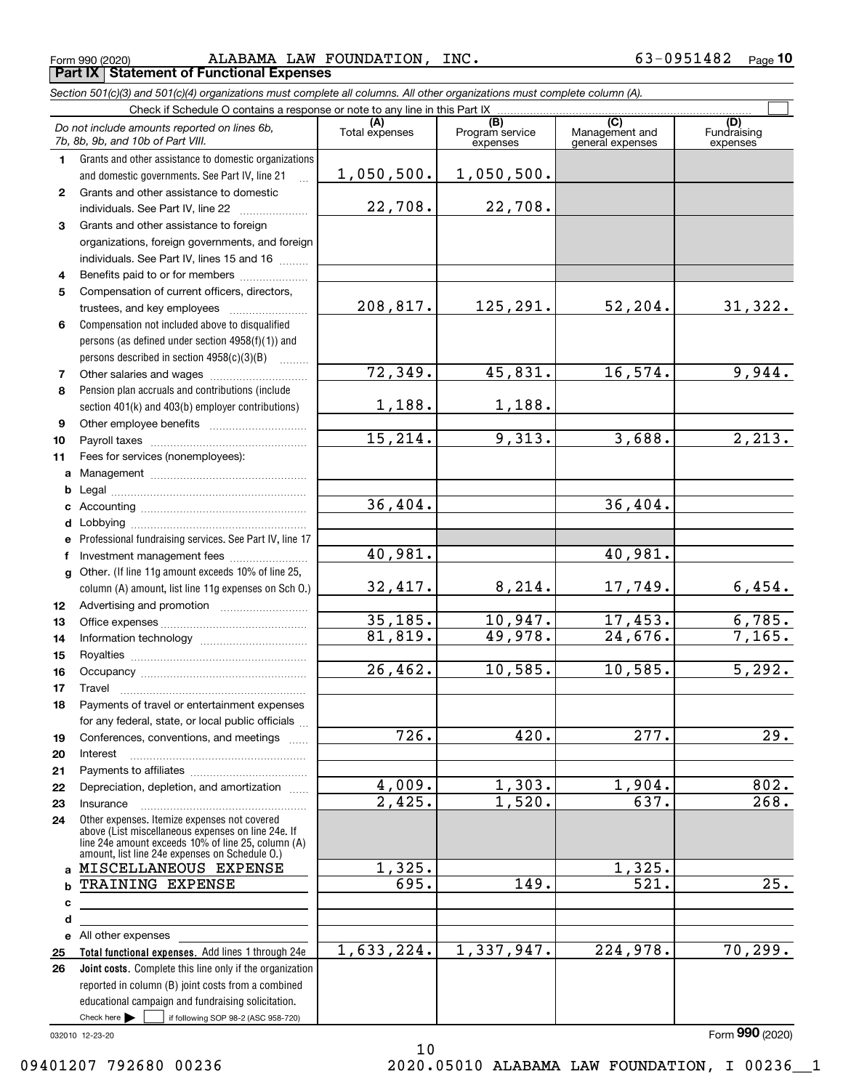Form 990 (2020) Page **Part IX Statement of Functional Expenses** ALABAMA LAW FOUNDATION, INC. 63-0951482

*Section 501(c)(3) and 501(c)(4) organizations must complete all columns. All other organizations must complete column (A).*

|              | Do not include amounts reported on lines 6b,<br>7b, 8b, 9b, and 10b of Part VIII.                                                                        | Total expenses       | $\overline{(B)}$<br>Program service<br>expenses | $\overline{(C)}$<br>Management and<br>general expenses | (D)<br>Fundraising<br>expenses |
|--------------|----------------------------------------------------------------------------------------------------------------------------------------------------------|----------------------|-------------------------------------------------|--------------------------------------------------------|--------------------------------|
| 1.           | Grants and other assistance to domestic organizations                                                                                                    |                      |                                                 |                                                        |                                |
|              | and domestic governments. See Part IV, line 21                                                                                                           | 1,050,500.           | 1,050,500.                                      |                                                        |                                |
| $\mathbf{2}$ | Grants and other assistance to domestic                                                                                                                  |                      |                                                 |                                                        |                                |
|              | individuals. See Part IV, line 22                                                                                                                        | 22,708.              | 22,708.                                         |                                                        |                                |
| 3            | Grants and other assistance to foreign                                                                                                                   |                      |                                                 |                                                        |                                |
|              | organizations, foreign governments, and foreign                                                                                                          |                      |                                                 |                                                        |                                |
|              | individuals. See Part IV, lines 15 and 16                                                                                                                |                      |                                                 |                                                        |                                |
| 4            | Benefits paid to or for members                                                                                                                          |                      |                                                 |                                                        |                                |
| 5            | Compensation of current officers, directors,                                                                                                             |                      |                                                 |                                                        |                                |
|              | trustees, and key employees                                                                                                                              | 208,817.             | 125,291.                                        | 52, 204.                                               | 31,322.                        |
| 6            | Compensation not included above to disqualified                                                                                                          |                      |                                                 |                                                        |                                |
|              | persons (as defined under section 4958(f)(1)) and                                                                                                        |                      |                                                 |                                                        |                                |
|              | persons described in section 4958(c)(3)(B)                                                                                                               |                      |                                                 |                                                        |                                |
| 7            |                                                                                                                                                          | 72,349.              | 45,831.                                         | 16, 574.                                               | 9,944.                         |
| 8            | Pension plan accruals and contributions (include                                                                                                         |                      |                                                 |                                                        |                                |
|              | section 401(k) and 403(b) employer contributions)                                                                                                        | 1,188.               | 1,188.                                          |                                                        |                                |
| 9            |                                                                                                                                                          |                      |                                                 |                                                        |                                |
| 10           |                                                                                                                                                          | 15,214.              | 9,313.                                          | 3,688.                                                 | $\overline{2,213.}$            |
| 11           | Fees for services (nonemployees):                                                                                                                        |                      |                                                 |                                                        |                                |
| a            |                                                                                                                                                          |                      |                                                 |                                                        |                                |
| b            |                                                                                                                                                          | 36,404.              |                                                 | 36,404.                                                |                                |
| c            |                                                                                                                                                          |                      |                                                 |                                                        |                                |
| d            |                                                                                                                                                          |                      |                                                 |                                                        |                                |
| e            | Professional fundraising services. See Part IV, line 17                                                                                                  | 40,981.              |                                                 | 40,981.                                                |                                |
| f            | Investment management fees                                                                                                                               |                      |                                                 |                                                        |                                |
| a            | Other. (If line 11g amount exceeds 10% of line 25,                                                                                                       | 32,417.              | 8,214.                                          | 17,749.                                                | 6,454.                         |
|              | column (A) amount, list line 11g expenses on Sch O.)                                                                                                     |                      |                                                 |                                                        |                                |
| 12<br>13     |                                                                                                                                                          | 35,185.              | 10,947.                                         | 17,453.                                                | 6,785.                         |
| 14           |                                                                                                                                                          | 81,819.              | 49,978.                                         | 24,676.                                                | 7,165.                         |
| 15           |                                                                                                                                                          |                      |                                                 |                                                        |                                |
| 16           |                                                                                                                                                          | 26,462.              | 10,585.                                         | 10,585.                                                | 5,292.                         |
| 17           | Travel                                                                                                                                                   |                      |                                                 |                                                        |                                |
| 18           | Payments of travel or entertainment expenses                                                                                                             |                      |                                                 |                                                        |                                |
|              | for any federal, state, or local public officials                                                                                                        |                      |                                                 |                                                        |                                |
| 19           | Conferences, conventions, and meetings                                                                                                                   | 726.                 | 420.                                            | 277.                                                   | $\overline{29}$ .              |
| 20           | Interest                                                                                                                                                 |                      |                                                 |                                                        |                                |
| 21           |                                                                                                                                                          |                      |                                                 |                                                        |                                |
| 22           | Depreciation, depletion, and amortization                                                                                                                | 4,009.               | 1,303.                                          | 1,904.                                                 | 802.                           |
| 23           | Insurance                                                                                                                                                | $\overline{2,425}$ . | 1,520.                                          | 637.                                                   | 268.                           |
| 24           | Other expenses. Itemize expenses not covered<br>above (List miscellaneous expenses on line 24e. If<br>line 24e amount exceeds 10% of line 25, column (A) |                      |                                                 |                                                        |                                |
|              | amount, list line 24e expenses on Schedule O.)                                                                                                           |                      |                                                 |                                                        |                                |
| a            | MISCELLANEOUS EXPENSE                                                                                                                                    | 1,325.               |                                                 | 1,325.                                                 |                                |
| b            | TRAINING EXPENSE                                                                                                                                         | 695.                 | $\overline{149}$ .                              | 521.                                                   | 25.                            |
| c            |                                                                                                                                                          |                      |                                                 |                                                        |                                |
| d            |                                                                                                                                                          |                      |                                                 |                                                        |                                |
| е            | All other expenses                                                                                                                                       | 1,633,224.           | 1,337,947.                                      | 224,978.                                               | 70, 299.                       |
| 25<br>26     | Total functional expenses. Add lines 1 through 24e<br><b>Joint costs.</b> Complete this line only if the organization                                    |                      |                                                 |                                                        |                                |
|              | reported in column (B) joint costs from a combined                                                                                                       |                      |                                                 |                                                        |                                |
|              | educational campaign and fundraising solicitation.                                                                                                       |                      |                                                 |                                                        |                                |
|              | Check here $\blacktriangleright$<br>if following SOP 98-2 (ASC 958-720)                                                                                  |                      |                                                 |                                                        |                                |
|              |                                                                                                                                                          |                      |                                                 |                                                        |                                |

10

032010 12-23-20

Form (2020) **990**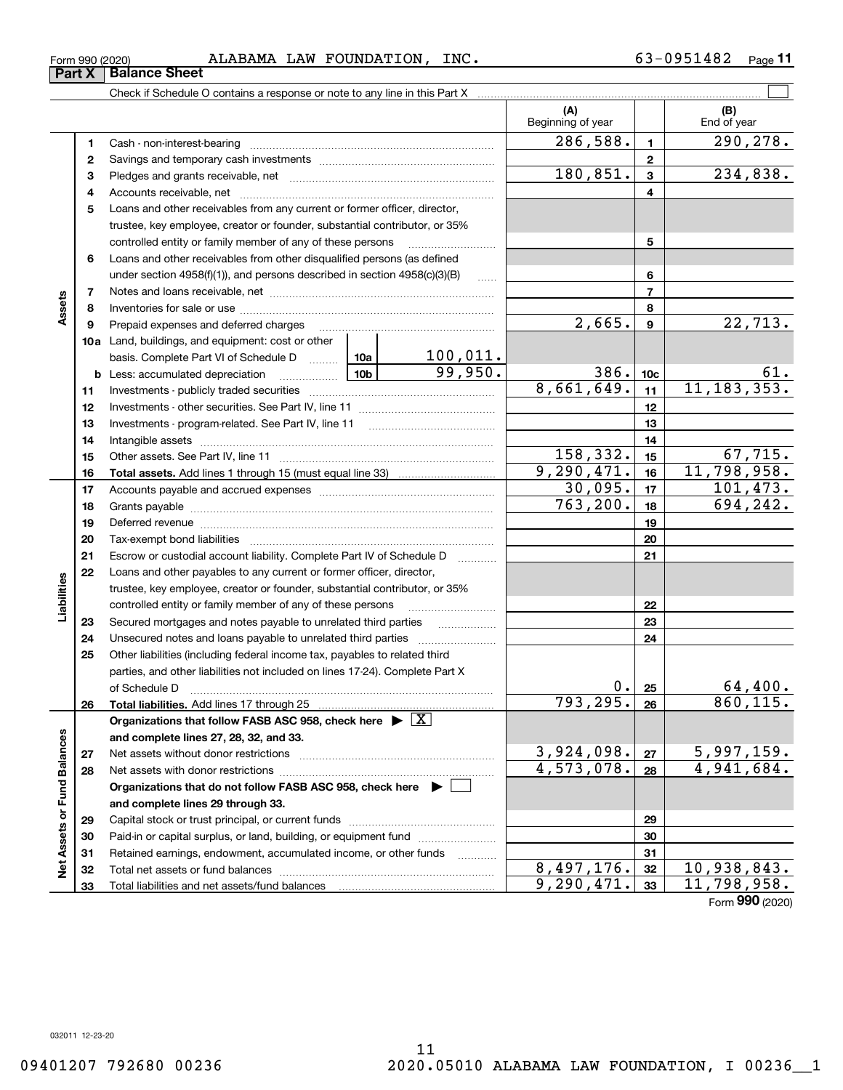$\overline{\phantom{0}}$ 

| Form 990 (2020) |                               |  | ALABAMA LAW FOUNDATION, INC.                                               |  |  |
|-----------------|-------------------------------|--|----------------------------------------------------------------------------|--|--|
|                 | <b>Part X   Balance Sheet</b> |  |                                                                            |  |  |
|                 |                               |  | Check if Schedule O contains a response or note to any line in this Part X |  |  |
|                 |                               |  |                                                                            |  |  |

 $_{\rm Form}$   $_{990}$  (2020) ALABAMA LAW <code>FOUNDATION</code> , <code>INC</code> .  $\rm 63-0951482$   $_{\rm Page}$ **11**

|                             |    |                                                                                                                                                                                                                               |          | (A)<br>Beginning of year |                 | (B)<br>End of year        |
|-----------------------------|----|-------------------------------------------------------------------------------------------------------------------------------------------------------------------------------------------------------------------------------|----------|--------------------------|-----------------|---------------------------|
|                             | 1  |                                                                                                                                                                                                                               |          | 286,588.                 | 1               | 290,278.                  |
|                             | 2  |                                                                                                                                                                                                                               |          |                          | $\mathbf{2}$    |                           |
|                             | 3  |                                                                                                                                                                                                                               |          | 180,851.                 | $\mathbf{3}$    | 234,838.                  |
|                             | 4  |                                                                                                                                                                                                                               |          |                          | 4               |                           |
|                             | 5  | Loans and other receivables from any current or former officer, director,                                                                                                                                                     |          |                          |                 |                           |
|                             |    | trustee, key employee, creator or founder, substantial contributor, or 35%                                                                                                                                                    |          |                          |                 |                           |
|                             |    | controlled entity or family member of any of these persons                                                                                                                                                                    |          |                          | 5               |                           |
|                             | 6  | Loans and other receivables from other disqualified persons (as defined                                                                                                                                                       |          |                          |                 |                           |
|                             |    | under section $4958(f)(1)$ , and persons described in section $4958(c)(3)(B)$                                                                                                                                                 | $\ldots$ |                          | 6               |                           |
|                             | 7  |                                                                                                                                                                                                                               |          |                          | $\overline{7}$  |                           |
| Assets                      | 8  |                                                                                                                                                                                                                               |          |                          | 8               |                           |
|                             | 9  | Prepaid expenses and deferred charges                                                                                                                                                                                         |          | $\overline{2,665}$ .     | 9               | 22, 713.                  |
|                             |    | <b>10a</b> Land, buildings, and equipment: cost or other                                                                                                                                                                      |          |                          |                 |                           |
|                             |    | basis. Complete Part VI of Schedule D  10a                                                                                                                                                                                    | 100,011. |                          |                 |                           |
|                             |    | <u>  10b</u> 10b 1<br><b>b</b> Less: accumulated depreciation                                                                                                                                                                 | 99,950.  | 386.                     | 10 <sub>c</sub> | 61.                       |
|                             | 11 |                                                                                                                                                                                                                               |          | 8,661,649.               | 11              | 11, 183, 353.             |
|                             | 12 |                                                                                                                                                                                                                               |          |                          | 12              |                           |
|                             | 13 |                                                                                                                                                                                                                               |          |                          | 13              |                           |
|                             | 14 |                                                                                                                                                                                                                               |          |                          | 14              |                           |
|                             | 15 |                                                                                                                                                                                                                               |          | 158,332.                 | 15              | 67,715.                   |
|                             | 16 |                                                                                                                                                                                                                               |          | 9, 290, 471.             | 16              | 11,798,958.               |
|                             | 17 |                                                                                                                                                                                                                               |          | 30,095.                  | 17              | 101,473.                  |
|                             | 18 |                                                                                                                                                                                                                               |          | 763, 200.                | 18              | 694,242.                  |
|                             | 19 | Deferred revenue manual contracts and contracts are all the manual contracts and contracts are all the contracts of the contracts of the contracts of the contracts of the contracts of the contracts of the contracts of the |          |                          | 19              |                           |
|                             | 20 |                                                                                                                                                                                                                               |          |                          | 20              |                           |
|                             | 21 | Escrow or custodial account liability. Complete Part IV of Schedule D                                                                                                                                                         |          |                          | 21              |                           |
|                             | 22 | Loans and other payables to any current or former officer, director,                                                                                                                                                          |          |                          |                 |                           |
| Liabilities                 |    | trustee, key employee, creator or founder, substantial contributor, or 35%                                                                                                                                                    |          |                          |                 |                           |
|                             |    | controlled entity or family member of any of these persons                                                                                                                                                                    |          |                          | 22              |                           |
|                             | 23 | Secured mortgages and notes payable to unrelated third parties                                                                                                                                                                |          |                          | 23              |                           |
|                             | 24 |                                                                                                                                                                                                                               |          |                          | 24              |                           |
|                             | 25 | Other liabilities (including federal income tax, payables to related third                                                                                                                                                    |          |                          |                 |                           |
|                             |    | parties, and other liabilities not included on lines 17-24). Complete Part X                                                                                                                                                  |          |                          |                 |                           |
|                             |    | of Schedule D <b>contained a contained a contained a contained a contained a contact of Schedule D</b>                                                                                                                        |          | 0.                       | 25              | 64,400.                   |
|                             | 26 |                                                                                                                                                                                                                               |          | 793,295.                 | 26              | 860, 115.                 |
|                             |    | Organizations that follow FASB ASC 958, check here $\triangleright \lfloor X \rfloor$                                                                                                                                         |          |                          |                 |                           |
|                             |    | and complete lines 27, 28, 32, and 33.                                                                                                                                                                                        |          |                          |                 |                           |
|                             | 27 |                                                                                                                                                                                                                               |          | 3,924,098.               | 27              | 5,997,159.                |
|                             | 28 |                                                                                                                                                                                                                               |          | 4,573,078.               | 28              | 4,941,684.                |
|                             |    | Organizations that do not follow FASB ASC 958, check here $\blacktriangleright \lfloor$                                                                                                                                       |          |                          |                 |                           |
|                             |    | and complete lines 29 through 33.                                                                                                                                                                                             |          |                          |                 |                           |
| Net Assets or Fund Balances | 29 |                                                                                                                                                                                                                               |          |                          | 29              |                           |
|                             | 30 | Paid-in or capital surplus, or land, building, or equipment fund                                                                                                                                                              |          |                          | 30              |                           |
|                             | 31 | Retained earnings, endowment, accumulated income, or other funds                                                                                                                                                              |          |                          | 31              |                           |
|                             | 32 |                                                                                                                                                                                                                               |          | 8,497,176.               | 32              | $\overline{10,938,843}$ . |
|                             | 33 |                                                                                                                                                                                                                               |          | 9, 290, 471.             | 33              | 11,798,958.               |

Form (2020) **990**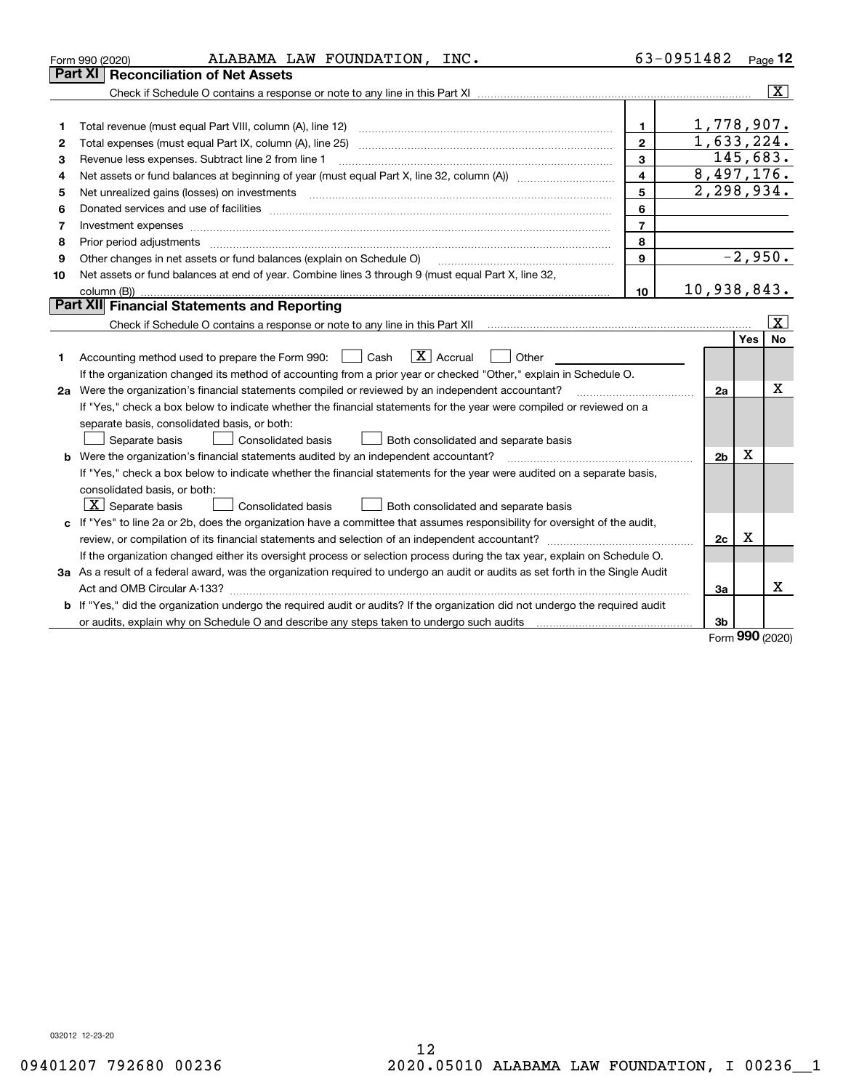|    | ALABAMA LAW FOUNDATION, INC.<br>Form 990 (2020)                                                                                                                                                                                |                | 63-0951482     |                    | Page 12                 |
|----|--------------------------------------------------------------------------------------------------------------------------------------------------------------------------------------------------------------------------------|----------------|----------------|--------------------|-------------------------|
|    | Part XI<br>Reconciliation of Net Assets                                                                                                                                                                                        |                |                |                    |                         |
|    |                                                                                                                                                                                                                                |                |                |                    | $\overline{\mathbf{X}}$ |
|    |                                                                                                                                                                                                                                |                |                |                    |                         |
| 1  |                                                                                                                                                                                                                                | 1.             | 1,778,907.     |                    |                         |
| 2  | Total expenses (must equal Part IX, column (A), line 25)                                                                                                                                                                       | $\mathbf{2}$   | 1,633,224.     |                    |                         |
| з  | Revenue less expenses. Subtract line 2 from line 1                                                                                                                                                                             | 3              | 145,683.       |                    |                         |
| 4  |                                                                                                                                                                                                                                | $\overline{4}$ | 8,497,176.     |                    |                         |
| 5  |                                                                                                                                                                                                                                | 5              | 2,298,934.     |                    |                         |
| 6  |                                                                                                                                                                                                                                | 6              |                |                    |                         |
| 7  | Investment expenses www.communication.com/www.communication.com/www.communication.com/www.communication.com                                                                                                                    | $\overline{7}$ |                |                    |                         |
| 8  | Prior period adjustments manufactured and contract and contract and contract and contract and contract and contract and contract and contract and contract and contract and contract and contract and contract and contract an | 8              |                |                    |                         |
| 9  | Other changes in net assets or fund balances (explain on Schedule O)                                                                                                                                                           | 9              |                | $-2,950.$          |                         |
| 10 | Net assets or fund balances at end of year. Combine lines 3 through 9 (must equal Part X, line 32,                                                                                                                             |                |                |                    |                         |
|    |                                                                                                                                                                                                                                | 10             | 10,938,843.    |                    |                         |
|    | Part XII Financial Statements and Reporting                                                                                                                                                                                    |                |                |                    |                         |
|    |                                                                                                                                                                                                                                |                |                |                    | ΙX.                     |
|    |                                                                                                                                                                                                                                |                |                | Yes                | <b>No</b>               |
| 1  | $\boxed{\text{X}}$ Accrual<br>Accounting method used to prepare the Form 990: <u>June</u> Cash<br>Other                                                                                                                        |                |                |                    |                         |
|    | If the organization changed its method of accounting from a prior year or checked "Other," explain in Schedule O.                                                                                                              |                |                |                    |                         |
|    | 2a Were the organization's financial statements compiled or reviewed by an independent accountant?                                                                                                                             |                | 2a             |                    | х                       |
|    | If "Yes," check a box below to indicate whether the financial statements for the year were compiled or reviewed on a                                                                                                           |                |                |                    |                         |
|    | separate basis, consolidated basis, or both:                                                                                                                                                                                   |                |                |                    |                         |
|    | Separate basis<br>Consolidated basis<br>Both consolidated and separate basis                                                                                                                                                   |                |                |                    |                         |
|    | b Were the organization's financial statements audited by an independent accountant?                                                                                                                                           |                | 2 <sub>b</sub> | x                  |                         |
|    | If "Yes," check a box below to indicate whether the financial statements for the year were audited on a separate basis,                                                                                                        |                |                |                    |                         |
|    | consolidated basis, or both:                                                                                                                                                                                                   |                |                |                    |                         |
|    | $X$ Separate basis<br>Consolidated basis<br>Both consolidated and separate basis                                                                                                                                               |                |                |                    |                         |
|    | c If "Yes" to line 2a or 2b, does the organization have a committee that assumes responsibility for oversight of the audit,                                                                                                    |                |                |                    |                         |
|    |                                                                                                                                                                                                                                |                | 2c             | Х                  |                         |
|    | If the organization changed either its oversight process or selection process during the tax year, explain on Schedule O.                                                                                                      |                |                |                    |                         |
|    | 3a As a result of a federal award, was the organization required to undergo an audit or audits as set forth in the Single Audit                                                                                                |                |                |                    |                         |
|    | Act and OMB Circular A-133?                                                                                                                                                                                                    |                | 3a             |                    | x                       |
|    | <b>b</b> If "Yes," did the organization undergo the required audit or audits? If the organization did not undergo the required audit                                                                                           |                |                |                    |                         |
|    |                                                                                                                                                                                                                                |                | 3b             |                    |                         |
|    |                                                                                                                                                                                                                                |                |                | $000 \text{ days}$ |                         |

Form (2020) **990**

032012 12-23-20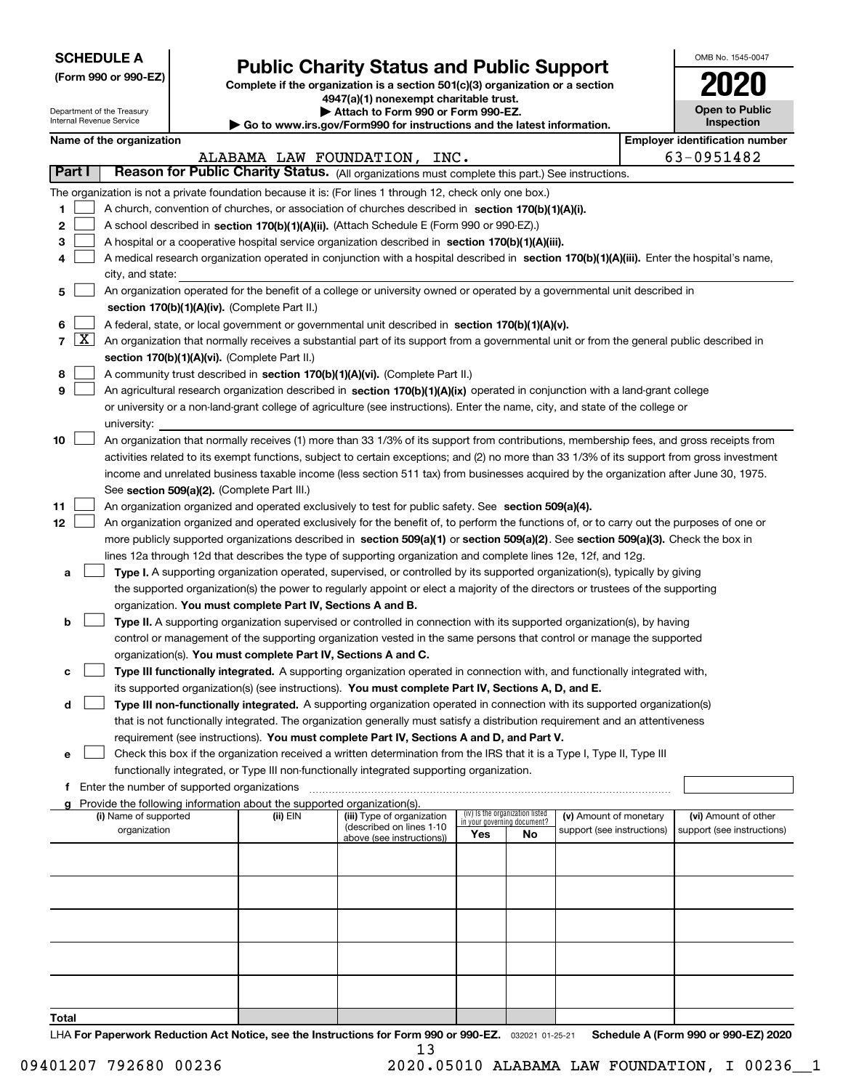| <b>SCHEDULE A</b> |
|-------------------|
|-------------------|

Department of the Treasury Internal Revenue Service

| (Form 990 or 990-EZ) |  |  |  |  |
|----------------------|--|--|--|--|
|----------------------|--|--|--|--|

# **Public Charity Status and Public Support**

**Complete if the organization is a section 501(c)(3) organization or a section 4947(a)(1) nonexempt charitable trust.**

**| Attach to Form 990 or Form 990-EZ.** 

**| Go to www.irs.gov/Form990 for instructions and the latest information.**

| OMB No 1545-0047                    |
|-------------------------------------|
| 2020                                |
| <b>Open to Public</b><br>Inspection |

|            | Name of the organization                                                                                                                     |                         |                                                       |                                                                |    |                            | <b>Employer identification number</b> |  |
|------------|----------------------------------------------------------------------------------------------------------------------------------------------|-------------------------|-------------------------------------------------------|----------------------------------------------------------------|----|----------------------------|---------------------------------------|--|
| Part I     |                                                                                                                                              | ALABAMA LAW FOUNDATION, | INC.                                                  |                                                                |    |                            | 63-0951482                            |  |
|            | Reason for Public Charity Status. (All organizations must complete this part.) See instructions.                                             |                         |                                                       |                                                                |    |                            |                                       |  |
|            | The organization is not a private foundation because it is: (For lines 1 through 12, check only one box.)                                    |                         |                                                       |                                                                |    |                            |                                       |  |
| 1.         | A church, convention of churches, or association of churches described in section 170(b)(1)(A)(i).                                           |                         |                                                       |                                                                |    |                            |                                       |  |
| 2          | A school described in section 170(b)(1)(A)(ii). (Attach Schedule E (Form 990 or 990-EZ).)                                                    |                         |                                                       |                                                                |    |                            |                                       |  |
| з          | A hospital or a cooperative hospital service organization described in section $170(b)(1)(A)(iii)$ .                                         |                         |                                                       |                                                                |    |                            |                                       |  |
| 4          | A medical research organization operated in conjunction with a hospital described in section 170(b)(1)(A)(iii). Enter the hospital's name,   |                         |                                                       |                                                                |    |                            |                                       |  |
|            | city, and state:                                                                                                                             |                         |                                                       |                                                                |    |                            |                                       |  |
| 5          | An organization operated for the benefit of a college or university owned or operated by a governmental unit described in                    |                         |                                                       |                                                                |    |                            |                                       |  |
|            | section 170(b)(1)(A)(iv). (Complete Part II.)                                                                                                |                         |                                                       |                                                                |    |                            |                                       |  |
| 6          | A federal, state, or local government or governmental unit described in section 170(b)(1)(A)(v).                                             |                         |                                                       |                                                                |    |                            |                                       |  |
| $7 \times$ | An organization that normally receives a substantial part of its support from a governmental unit or from the general public described in    |                         |                                                       |                                                                |    |                            |                                       |  |
|            | section 170(b)(1)(A)(vi). (Complete Part II.)                                                                                                |                         |                                                       |                                                                |    |                            |                                       |  |
| 8          | A community trust described in section 170(b)(1)(A)(vi). (Complete Part II.)                                                                 |                         |                                                       |                                                                |    |                            |                                       |  |
| 9          | An agricultural research organization described in section 170(b)(1)(A)(ix) operated in conjunction with a land-grant college                |                         |                                                       |                                                                |    |                            |                                       |  |
|            | or university or a non-land-grant college of agriculture (see instructions). Enter the name, city, and state of the college or               |                         |                                                       |                                                                |    |                            |                                       |  |
|            | university:                                                                                                                                  |                         |                                                       |                                                                |    |                            |                                       |  |
| 10         | An organization that normally receives (1) more than 33 1/3% of its support from contributions, membership fees, and gross receipts from     |                         |                                                       |                                                                |    |                            |                                       |  |
|            | activities related to its exempt functions, subject to certain exceptions; and (2) no more than 33 1/3% of its support from gross investment |                         |                                                       |                                                                |    |                            |                                       |  |
|            | income and unrelated business taxable income (less section 511 tax) from businesses acquired by the organization after June 30, 1975.        |                         |                                                       |                                                                |    |                            |                                       |  |
|            | See section 509(a)(2). (Complete Part III.)                                                                                                  |                         |                                                       |                                                                |    |                            |                                       |  |
| 11         | An organization organized and operated exclusively to test for public safety. See section 509(a)(4).                                         |                         |                                                       |                                                                |    |                            |                                       |  |
| 12         | An organization organized and operated exclusively for the benefit of, to perform the functions of, or to carry out the purposes of one or   |                         |                                                       |                                                                |    |                            |                                       |  |
|            | more publicly supported organizations described in section 509(a)(1) or section 509(a)(2). See section 509(a)(3). Check the box in           |                         |                                                       |                                                                |    |                            |                                       |  |
|            | lines 12a through 12d that describes the type of supporting organization and complete lines 12e, 12f, and 12g.                               |                         |                                                       |                                                                |    |                            |                                       |  |
| а          | Type I. A supporting organization operated, supervised, or controlled by its supported organization(s), typically by giving                  |                         |                                                       |                                                                |    |                            |                                       |  |
|            | the supported organization(s) the power to regularly appoint or elect a majority of the directors or trustees of the supporting              |                         |                                                       |                                                                |    |                            |                                       |  |
|            | organization. You must complete Part IV, Sections A and B.                                                                                   |                         |                                                       |                                                                |    |                            |                                       |  |
| b          | Type II. A supporting organization supervised or controlled in connection with its supported organization(s), by having                      |                         |                                                       |                                                                |    |                            |                                       |  |
|            | control or management of the supporting organization vested in the same persons that control or manage the supported                         |                         |                                                       |                                                                |    |                            |                                       |  |
|            | organization(s). You must complete Part IV, Sections A and C.                                                                                |                         |                                                       |                                                                |    |                            |                                       |  |
| с          | Type III functionally integrated. A supporting organization operated in connection with, and functionally integrated with,                   |                         |                                                       |                                                                |    |                            |                                       |  |
|            | its supported organization(s) (see instructions). You must complete Part IV, Sections A, D, and E.                                           |                         |                                                       |                                                                |    |                            |                                       |  |
| d          | Type III non-functionally integrated. A supporting organization operated in connection with its supported organization(s)                    |                         |                                                       |                                                                |    |                            |                                       |  |
|            | that is not functionally integrated. The organization generally must satisfy a distribution requirement and an attentiveness                 |                         |                                                       |                                                                |    |                            |                                       |  |
|            | requirement (see instructions). You must complete Part IV, Sections A and D, and Part V.                                                     |                         |                                                       |                                                                |    |                            |                                       |  |
|            | Check this box if the organization received a written determination from the IRS that it is a Type I, Type II, Type III                      |                         |                                                       |                                                                |    |                            |                                       |  |
|            | functionally integrated, or Type III non-functionally integrated supporting organization.                                                    |                         |                                                       |                                                                |    |                            |                                       |  |
|            | f Enter the number of supported organizations                                                                                                |                         |                                                       |                                                                |    |                            |                                       |  |
|            | g Provide the following information about the supported organization(s).                                                                     |                         |                                                       |                                                                |    |                            |                                       |  |
|            | (i) Name of supported                                                                                                                        | (ii) EIN                | (iii) Type of organization                            | (iv) Is the organization listed<br>in your governing document? |    | (v) Amount of monetary     | (vi) Amount of other                  |  |
|            | organization                                                                                                                                 |                         | (described on lines 1-10<br>above (see instructions)) | Yes                                                            | No | support (see instructions) | support (see instructions)            |  |
|            |                                                                                                                                              |                         |                                                       |                                                                |    |                            |                                       |  |
|            |                                                                                                                                              |                         |                                                       |                                                                |    |                            |                                       |  |
|            |                                                                                                                                              |                         |                                                       |                                                                |    |                            |                                       |  |
|            |                                                                                                                                              |                         |                                                       |                                                                |    |                            |                                       |  |
|            |                                                                                                                                              |                         |                                                       |                                                                |    |                            |                                       |  |
|            |                                                                                                                                              |                         |                                                       |                                                                |    |                            |                                       |  |
|            |                                                                                                                                              |                         |                                                       |                                                                |    |                            |                                       |  |
|            |                                                                                                                                              |                         |                                                       |                                                                |    |                            |                                       |  |
|            |                                                                                                                                              |                         |                                                       |                                                                |    |                            |                                       |  |
|            |                                                                                                                                              |                         |                                                       |                                                                |    |                            |                                       |  |
| Total      |                                                                                                                                              |                         |                                                       |                                                                |    |                            |                                       |  |

LHA For Paperwork Reduction Act Notice, see the Instructions for Form 990 or 990-EZ. <sub>032021</sub> o1-25-21 Schedule A (Form 990 or 990-EZ) 2020 13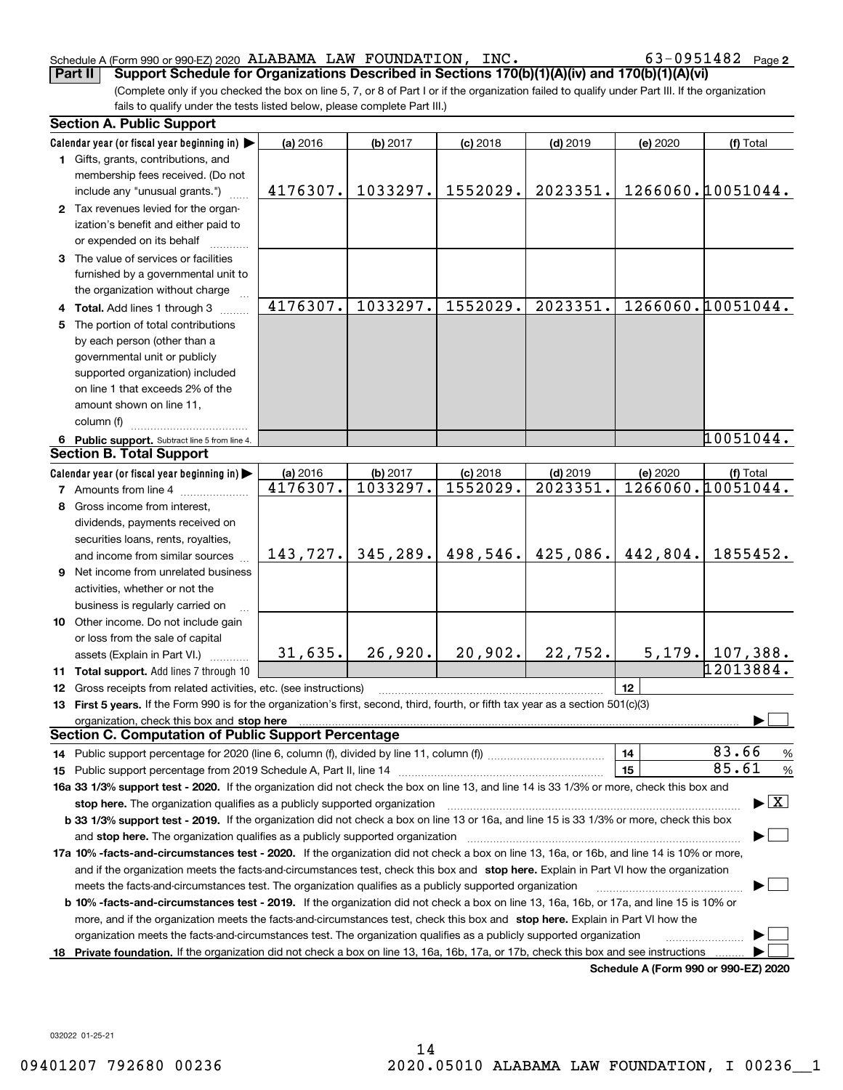#### Schedule A (Form 990 or 990-EZ) 2020 Page ALABAMA LAW FOUNDATION, INC. 63-0951482

**2**

(Complete only if you checked the box on line 5, 7, or 8 of Part I or if the organization failed to qualify under Part III. If the organization fails to qualify under the tests listed below, please complete Part III.) **Part II Support Schedule for Organizations Described in Sections 170(b)(1)(A)(iv) and 170(b)(1)(A)(vi)**

| <b>Section A. Public Support</b>                                                                                                               |           |          |            |            |          |                                         |
|------------------------------------------------------------------------------------------------------------------------------------------------|-----------|----------|------------|------------|----------|-----------------------------------------|
| Calendar year (or fiscal year beginning in)                                                                                                    | (a) 2016  | (b) 2017 | $(c)$ 2018 | $(d)$ 2019 | (e) 2020 | (f) Total                               |
| 1 Gifts, grants, contributions, and<br>membership fees received. (Do not                                                                       |           |          |            |            |          |                                         |
| include any "unusual grants.")                                                                                                                 | 4176307.  | 1033297. | 1552029.   | 2023351.   |          | 1266060.10051044.                       |
| 2 Tax revenues levied for the organ-                                                                                                           |           |          |            |            |          |                                         |
| ization's benefit and either paid to                                                                                                           |           |          |            |            |          |                                         |
| or expended on its behalf<br>3 The value of services or facilities                                                                             |           |          |            |            |          |                                         |
| furnished by a governmental unit to                                                                                                            |           |          |            |            |          |                                         |
| the organization without charge                                                                                                                |           |          |            |            |          |                                         |
| 4 Total. Add lines 1 through 3                                                                                                                 | 4176307.  | 1033297. | 1552029.   | 2023351.   |          | 1266060.10051044.                       |
| 5 The portion of total contributions                                                                                                           |           |          |            |            |          |                                         |
| by each person (other than a                                                                                                                   |           |          |            |            |          |                                         |
| governmental unit or publicly                                                                                                                  |           |          |            |            |          |                                         |
| supported organization) included                                                                                                               |           |          |            |            |          |                                         |
| on line 1 that exceeds 2% of the                                                                                                               |           |          |            |            |          |                                         |
| amount shown on line 11,                                                                                                                       |           |          |            |            |          |                                         |
| column (f)                                                                                                                                     |           |          |            |            |          |                                         |
| 6 Public support. Subtract line 5 from line 4.                                                                                                 |           |          |            |            |          | 10051044.                               |
| <b>Section B. Total Support</b>                                                                                                                |           |          |            |            |          |                                         |
| Calendar year (or fiscal year beginning in)                                                                                                    | (a) 2016  | (b) 2017 | $(c)$ 2018 | $(d)$ 2019 | (e) 2020 | (f) Total                               |
| <b>7</b> Amounts from line 4                                                                                                                   | 4176307.  | 1033297. | 1552029.   | 2023351.   |          | 1266060.10051044.                       |
| 8 Gross income from interest,                                                                                                                  |           |          |            |            |          |                                         |
| dividends, payments received on                                                                                                                |           |          |            |            |          |                                         |
| securities loans, rents, royalties,                                                                                                            |           |          |            |            |          |                                         |
| and income from similar sources                                                                                                                | 143, 727. | 345,289. | 498,546.   | 425,086.   | 442,804. | 1855452.                                |
| 9 Net income from unrelated business                                                                                                           |           |          |            |            |          |                                         |
| activities, whether or not the                                                                                                                 |           |          |            |            |          |                                         |
| business is regularly carried on                                                                                                               |           |          |            |            |          |                                         |
| <b>10</b> Other income. Do not include gain                                                                                                    |           |          |            |            |          |                                         |
| or loss from the sale of capital                                                                                                               |           |          |            |            |          |                                         |
| assets (Explain in Part VI.) <b>Constant</b>                                                                                                   | 31,635.   | 26,920.  | 20,902.    | 22,752.    |          | $5,179.$ 107,388.                       |
| 11 Total support. Add lines 7 through 10                                                                                                       |           |          |            |            |          | 12013884.                               |
| <b>12</b> Gross receipts from related activities, etc. (see instructions)                                                                      |           |          |            |            | 12       |                                         |
| 13 First 5 years. If the Form 990 is for the organization's first, second, third, fourth, or fifth tax year as a section 501(c)(3)             |           |          |            |            |          |                                         |
| organization, check this box and stop here<br><b>Section C. Computation of Public Support Percentage</b>                                       |           |          |            |            |          |                                         |
|                                                                                                                                                |           |          |            |            | 14       | 83.66<br>$\frac{9}{6}$                  |
|                                                                                                                                                |           |          |            |            | 15       | 85.61<br>%                              |
| 16a 33 1/3% support test - 2020. If the organization did not check the box on line 13, and line 14 is 33 1/3% or more, check this box and      |           |          |            |            |          |                                         |
| stop here. The organization qualifies as a publicly supported organization                                                                     |           |          |            |            |          | $\blacktriangleright$ $\vert$ X $\vert$ |
| b 33 1/3% support test - 2019. If the organization did not check a box on line 13 or 16a, and line 15 is 33 1/3% or more, check this box       |           |          |            |            |          |                                         |
| and stop here. The organization qualifies as a publicly supported organization                                                                 |           |          |            |            |          |                                         |
| 17a 10% -facts-and-circumstances test - 2020. If the organization did not check a box on line 13, 16a, or 16b, and line 14 is 10% or more,     |           |          |            |            |          |                                         |
| and if the organization meets the facts-and-circumstances test, check this box and stop here. Explain in Part VI how the organization          |           |          |            |            |          |                                         |
| meets the facts-and-circumstances test. The organization qualifies as a publicly supported organization                                        |           |          |            |            |          |                                         |
| <b>b 10% -facts-and-circumstances test - 2019.</b> If the organization did not check a box on line 13, 16a, 16b, or 17a, and line 15 is 10% or |           |          |            |            |          |                                         |
| more, and if the organization meets the facts-and-circumstances test, check this box and stop here. Explain in Part VI how the                 |           |          |            |            |          |                                         |
| organization meets the facts-and-circumstances test. The organization qualifies as a publicly supported organization                           |           |          |            |            |          |                                         |
| 18 Private foundation. If the organization did not check a box on line 13, 16a, 16b, 17a, or 17b, check this box and see instructions          |           |          |            |            |          |                                         |
|                                                                                                                                                |           |          |            |            |          | Schedule A (Form 990 or 990-EZ) 2020    |

032022 01-25-21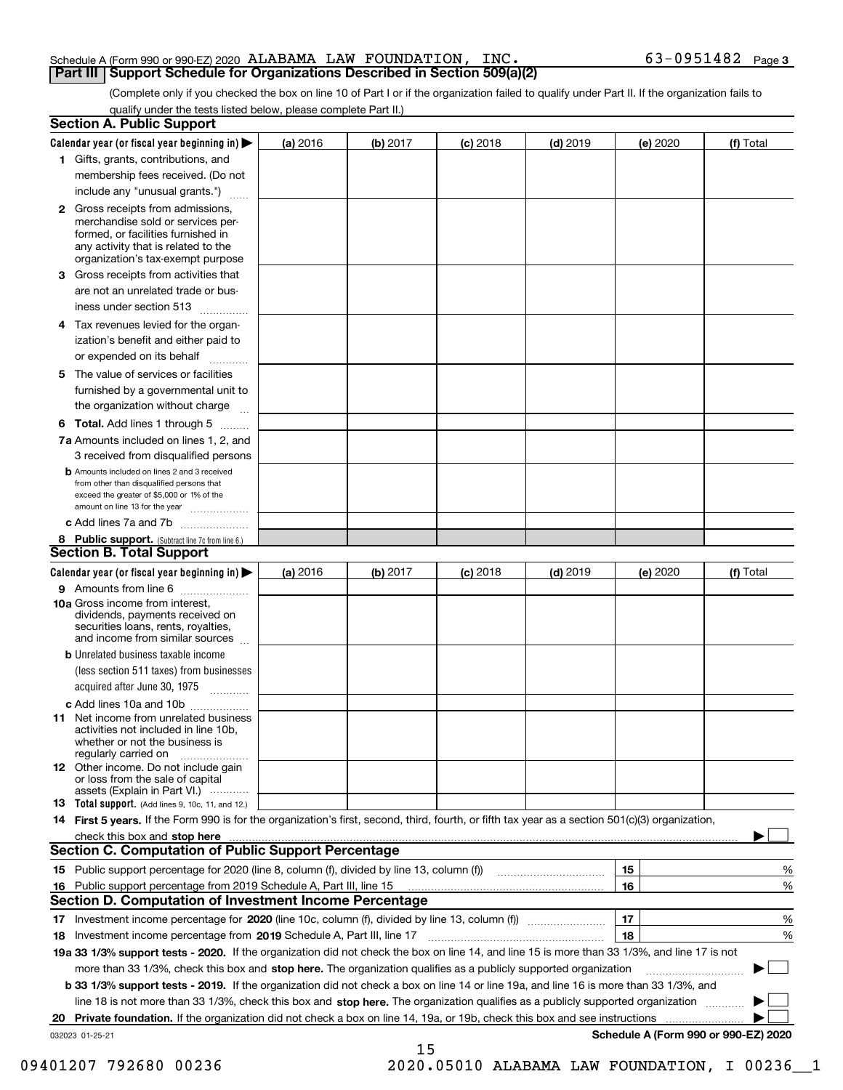#### Schedule A (Form 990 or 990-EZ) 2020 Page ALABAMA LAW FOUNDATION, INC. 63-0951482 **Part III Support Schedule for Organizations Described in Section 509(a)(2)**

(Complete only if you checked the box on line 10 of Part I or if the organization failed to qualify under Part II. If the organization fails to qualify under the tests listed below, please complete Part II.)

|    | <b>Section A. Public Support</b>                                                                                                                                                                                               |          |          |            |            |          |                                      |
|----|--------------------------------------------------------------------------------------------------------------------------------------------------------------------------------------------------------------------------------|----------|----------|------------|------------|----------|--------------------------------------|
|    | Calendar year (or fiscal year beginning in) $\blacktriangleright$                                                                                                                                                              | (a) 2016 | (b) 2017 | $(c)$ 2018 | $(d)$ 2019 | (e) 2020 | (f) Total                            |
|    | 1 Gifts, grants, contributions, and                                                                                                                                                                                            |          |          |            |            |          |                                      |
|    | membership fees received. (Do not                                                                                                                                                                                              |          |          |            |            |          |                                      |
|    | include any "unusual grants.")                                                                                                                                                                                                 |          |          |            |            |          |                                      |
|    | <b>2</b> Gross receipts from admissions,<br>merchandise sold or services per-<br>formed, or facilities furnished in<br>any activity that is related to the<br>organization's tax-exempt purpose                                |          |          |            |            |          |                                      |
|    | 3 Gross receipts from activities that<br>are not an unrelated trade or bus-                                                                                                                                                    |          |          |            |            |          |                                      |
|    | iness under section 513                                                                                                                                                                                                        |          |          |            |            |          |                                      |
|    | 4 Tax revenues levied for the organ-                                                                                                                                                                                           |          |          |            |            |          |                                      |
|    | ization's benefit and either paid to<br>or expended on its behalf<br>.                                                                                                                                                         |          |          |            |            |          |                                      |
|    | 5 The value of services or facilities<br>furnished by a governmental unit to                                                                                                                                                   |          |          |            |            |          |                                      |
|    | the organization without charge                                                                                                                                                                                                |          |          |            |            |          |                                      |
|    | <b>6 Total.</b> Add lines 1 through 5                                                                                                                                                                                          |          |          |            |            |          |                                      |
|    | 7a Amounts included on lines 1, 2, and<br>3 received from disqualified persons                                                                                                                                                 |          |          |            |            |          |                                      |
|    | <b>b</b> Amounts included on lines 2 and 3 received<br>from other than disqualified persons that<br>exceed the greater of \$5,000 or 1% of the<br>amount on line 13 for the year                                               |          |          |            |            |          |                                      |
|    | c Add lines 7a and 7b                                                                                                                                                                                                          |          |          |            |            |          |                                      |
|    | 8 Public support. (Subtract line 7c from line 6.)<br><b>Section B. Total Support</b>                                                                                                                                           |          |          |            |            |          |                                      |
|    |                                                                                                                                                                                                                                |          |          |            |            |          |                                      |
|    | Calendar year (or fiscal year beginning in)                                                                                                                                                                                    | (a) 2016 | (b) 2017 | $(c)$ 2018 | $(d)$ 2019 | (e) 2020 | (f) Total                            |
|    | 9 Amounts from line 6<br>10a Gross income from interest,                                                                                                                                                                       |          |          |            |            |          |                                      |
|    | dividends, payments received on<br>securities loans, rents, royalties,<br>and income from similar sources                                                                                                                      |          |          |            |            |          |                                      |
|    | <b>b</b> Unrelated business taxable income                                                                                                                                                                                     |          |          |            |            |          |                                      |
|    | (less section 511 taxes) from businesses<br>acquired after June 30, 1975                                                                                                                                                       |          |          |            |            |          |                                      |
|    | c Add lines 10a and 10b                                                                                                                                                                                                        |          |          |            |            |          |                                      |
|    | 11 Net income from unrelated business<br>activities not included in line 10b,<br>whether or not the business is<br>regularly carried on                                                                                        |          |          |            |            |          |                                      |
|    | <b>12</b> Other income. Do not include gain<br>or loss from the sale of capital<br>assets (Explain in Part VI.)                                                                                                                |          |          |            |            |          |                                      |
|    | <b>13</b> Total support. (Add lines 9, 10c, 11, and 12.)                                                                                                                                                                       |          |          |            |            |          |                                      |
|    | 14 First 5 years. If the Form 990 is for the organization's first, second, third, fourth, or fifth tax year as a section 501(c)(3) organization,                                                                               |          |          |            |            |          |                                      |
|    | check this box and stop here manufactured and control the state of the state of the state of the state of the state of the state of the state of the state of the state of the state of the state of the state of the state of |          |          |            |            |          |                                      |
|    | Section C. Computation of Public Support Percentage                                                                                                                                                                            |          |          |            |            |          |                                      |
|    |                                                                                                                                                                                                                                |          |          |            |            | 15       | %                                    |
|    | 16 Public support percentage from 2019 Schedule A, Part III, line 15                                                                                                                                                           |          |          |            |            | 16       | %                                    |
|    | <b>Section D. Computation of Investment Income Percentage</b>                                                                                                                                                                  |          |          |            |            |          |                                      |
|    | 17 Investment income percentage for 2020 (line 10c, column (f), divided by line 13, column (f))<br><b>18</b> Investment income percentage from <b>2019</b> Schedule A, Part III, line 17                                       |          |          |            |            | 17<br>18 | %<br>%                               |
|    | 19a 33 1/3% support tests - 2020. If the organization did not check the box on line 14, and line 15 is more than 33 1/3%, and line 17 is not                                                                                   |          |          |            |            |          |                                      |
|    | more than 33 1/3%, check this box and stop here. The organization qualifies as a publicly supported organization                                                                                                               |          |          |            |            |          | $\sim$ 1                             |
|    | <b>b 33 1/3% support tests - 2019.</b> If the organization did not check a box on line 14 or line 19a, and line 16 is more than 33 1/3%, and                                                                                   |          |          |            |            |          |                                      |
|    | line 18 is not more than 33 1/3%, check this box and stop here. The organization qualifies as a publicly supported organization                                                                                                |          |          |            |            |          |                                      |
| 20 | <b>Private foundation.</b> If the organization did not check a box on line 14, 19a, or 19b, check this box and see instructions                                                                                                |          |          |            |            |          |                                      |
|    | 032023 01-25-21                                                                                                                                                                                                                |          |          |            |            |          | Schedule A (Form 990 or 990-EZ) 2020 |
|    |                                                                                                                                                                                                                                |          | 15       |            |            |          |                                      |

09401207 792680 00236 2020.05010 ALABAMA LAW FOUNDATION, I 00236\_1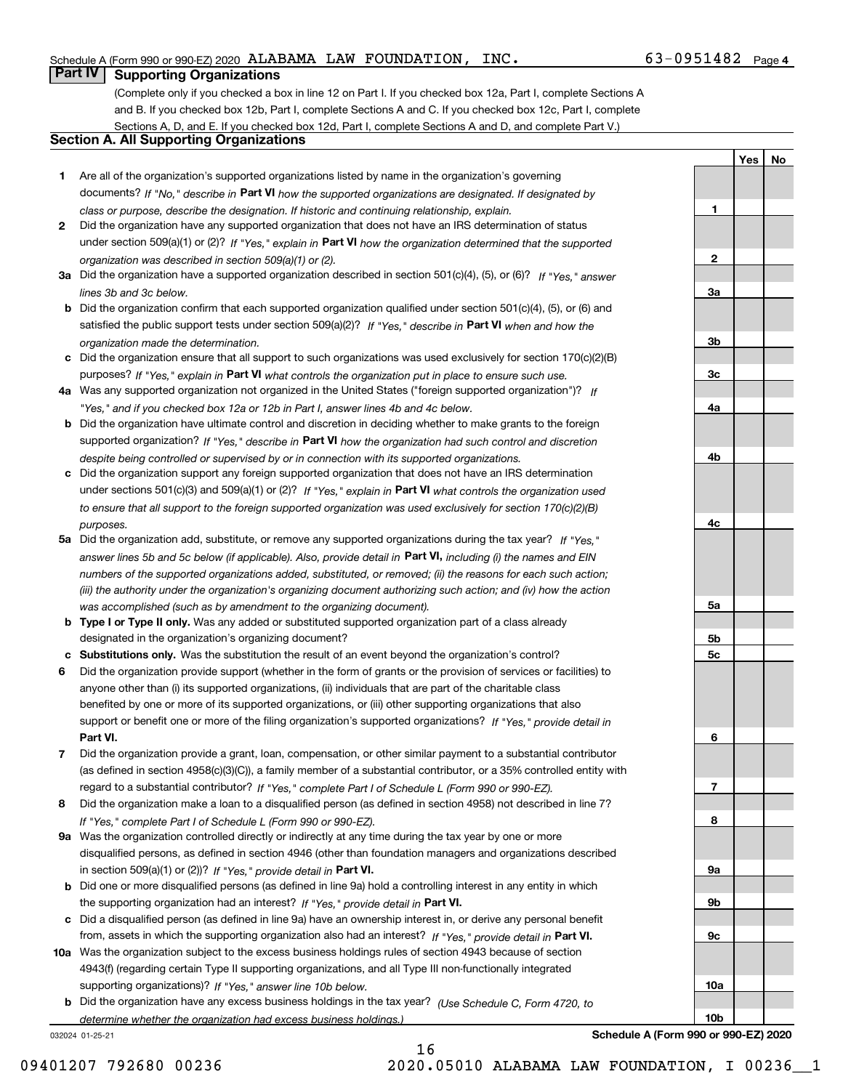**1**

**2**

**3a**

**YesNo**

## **Part IV Supporting Organizations**

(Complete only if you checked a box in line 12 on Part I. If you checked box 12a, Part I, complete Sections A and B. If you checked box 12b, Part I, complete Sections A and C. If you checked box 12c, Part I, complete Sections A, D, and E. If you checked box 12d, Part I, complete Sections A and D, and complete Part V.)

## **Section A. All Supporting Organizations**

- **1** Are all of the organization's supported organizations listed by name in the organization's governing documents? If "No," describe in **Part VI** how the supported organizations are designated. If designated by *class or purpose, describe the designation. If historic and continuing relationship, explain.*
- **2** Did the organization have any supported organization that does not have an IRS determination of status under section 509(a)(1) or (2)? If "Yes," explain in Part VI how the organization determined that the supported *organization was described in section 509(a)(1) or (2).*
- **3a** Did the organization have a supported organization described in section 501(c)(4), (5), or (6)? If "Yes," answer *lines 3b and 3c below.*
- **b** Did the organization confirm that each supported organization qualified under section 501(c)(4), (5), or (6) and satisfied the public support tests under section 509(a)(2)? If "Yes," describe in **Part VI** when and how the *organization made the determination.*
- **c**Did the organization ensure that all support to such organizations was used exclusively for section 170(c)(2)(B) purposes? If "Yes," explain in **Part VI** what controls the organization put in place to ensure such use.
- **4a***If* Was any supported organization not organized in the United States ("foreign supported organization")? *"Yes," and if you checked box 12a or 12b in Part I, answer lines 4b and 4c below.*
- **b** Did the organization have ultimate control and discretion in deciding whether to make grants to the foreign supported organization? If "Yes," describe in **Part VI** how the organization had such control and discretion *despite being controlled or supervised by or in connection with its supported organizations.*
- **c** Did the organization support any foreign supported organization that does not have an IRS determination under sections 501(c)(3) and 509(a)(1) or (2)? If "Yes," explain in **Part VI** what controls the organization used *to ensure that all support to the foreign supported organization was used exclusively for section 170(c)(2)(B) purposes.*
- **5a** Did the organization add, substitute, or remove any supported organizations during the tax year? If "Yes," answer lines 5b and 5c below (if applicable). Also, provide detail in **Part VI,** including (i) the names and EIN *numbers of the supported organizations added, substituted, or removed; (ii) the reasons for each such action; (iii) the authority under the organization's organizing document authorizing such action; and (iv) how the action was accomplished (such as by amendment to the organizing document).*
- **b** Type I or Type II only. Was any added or substituted supported organization part of a class already designated in the organization's organizing document?
- **cSubstitutions only.**  Was the substitution the result of an event beyond the organization's control?
- **6** Did the organization provide support (whether in the form of grants or the provision of services or facilities) to **Part VI.** *If "Yes," provide detail in* support or benefit one or more of the filing organization's supported organizations? anyone other than (i) its supported organizations, (ii) individuals that are part of the charitable class benefited by one or more of its supported organizations, or (iii) other supporting organizations that also
- **7**Did the organization provide a grant, loan, compensation, or other similar payment to a substantial contributor *If "Yes," complete Part I of Schedule L (Form 990 or 990-EZ).* regard to a substantial contributor? (as defined in section 4958(c)(3)(C)), a family member of a substantial contributor, or a 35% controlled entity with
- **8** Did the organization make a loan to a disqualified person (as defined in section 4958) not described in line 7? *If "Yes," complete Part I of Schedule L (Form 990 or 990-EZ).*
- **9a** Was the organization controlled directly or indirectly at any time during the tax year by one or more in section 509(a)(1) or (2))? If "Yes," *provide detail in* <code>Part VI.</code> disqualified persons, as defined in section 4946 (other than foundation managers and organizations described
- **b** Did one or more disqualified persons (as defined in line 9a) hold a controlling interest in any entity in which the supporting organization had an interest? If "Yes," provide detail in P**art VI**.
- **c**Did a disqualified person (as defined in line 9a) have an ownership interest in, or derive any personal benefit from, assets in which the supporting organization also had an interest? If "Yes," provide detail in P**art VI.**
- **10a** Was the organization subject to the excess business holdings rules of section 4943 because of section supporting organizations)? If "Yes," answer line 10b below. 4943(f) (regarding certain Type II supporting organizations, and all Type III non-functionally integrated
- **b** Did the organization have any excess business holdings in the tax year? (Use Schedule C, Form 4720, to *determine whether the organization had excess business holdings.)*

032024 01-25-21



**Schedule A (Form 990 or 990-EZ) 2020**

16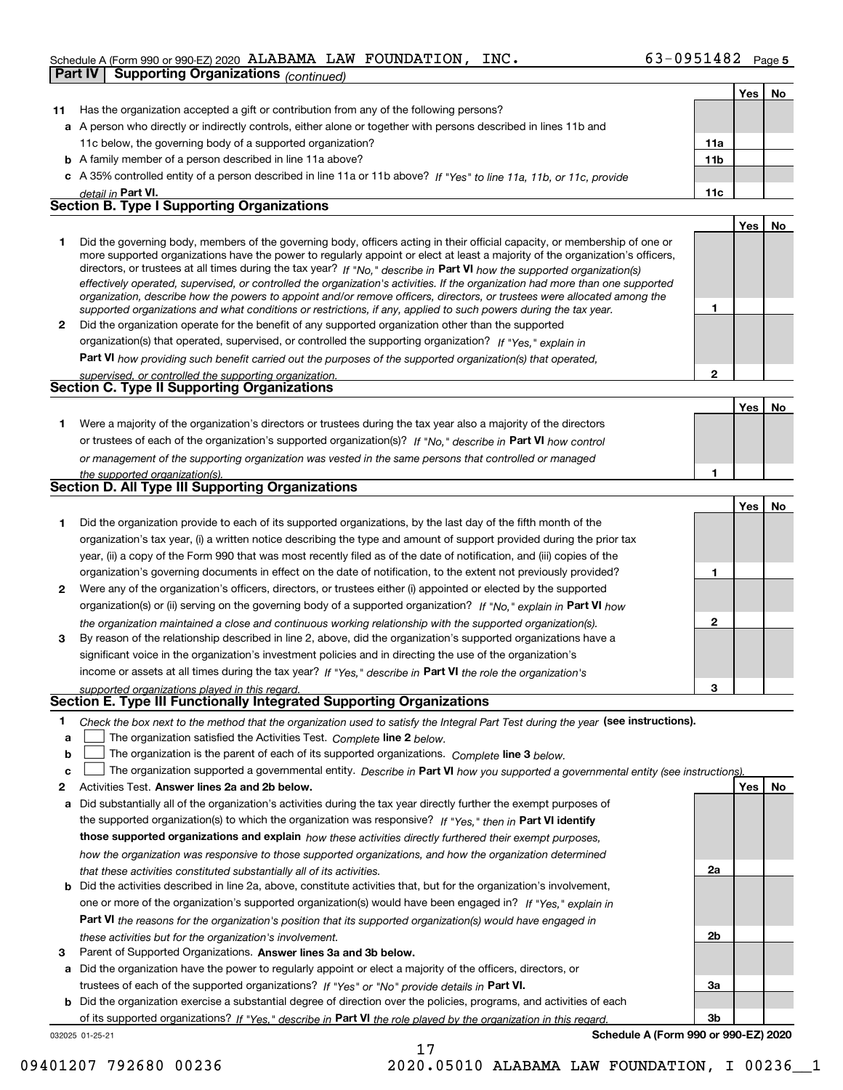#### Schedule A (Form 990 or 990-EZ) 2020 Page ALABAMA LAW FOUNDATION, INC. 63-0951482 **Part IV** Supporting Organizations  $\alpha$

|              | <b>Fait IV</b><br>oupporting Organizations <sub>(CONTINUEG)</sub>                                                                                                                                                                                        |              |     |           |
|--------------|----------------------------------------------------------------------------------------------------------------------------------------------------------------------------------------------------------------------------------------------------------|--------------|-----|-----------|
|              |                                                                                                                                                                                                                                                          |              | Yes | No        |
| 11           | Has the organization accepted a gift or contribution from any of the following persons?                                                                                                                                                                  |              |     |           |
|              | a A person who directly or indirectly controls, either alone or together with persons described in lines 11b and                                                                                                                                         |              |     |           |
|              | 11c below, the governing body of a supported organization?                                                                                                                                                                                               | 11a          |     |           |
|              | <b>b</b> A family member of a person described in line 11a above?                                                                                                                                                                                        | 11b          |     |           |
|              | c A 35% controlled entity of a person described in line 11a or 11b above? If "Yes" to line 11a, 11b, or 11c, provide                                                                                                                                     |              |     |           |
|              | detail in Part VI.                                                                                                                                                                                                                                       | 11c          |     |           |
|              | <b>Section B. Type I Supporting Organizations</b>                                                                                                                                                                                                        |              |     |           |
|              |                                                                                                                                                                                                                                                          |              | Yes | No        |
| 1            | Did the governing body, members of the governing body, officers acting in their official capacity, or membership of one or                                                                                                                               |              |     |           |
|              | more supported organizations have the power to regularly appoint or elect at least a majority of the organization's officers,<br>directors, or trustees at all times during the tax year? If "No," describe in Part VI how the supported organization(s) |              |     |           |
|              | effectively operated, supervised, or controlled the organization's activities. If the organization had more than one supported                                                                                                                           |              |     |           |
|              | organization, describe how the powers to appoint and/or remove officers, directors, or trustees were allocated among the                                                                                                                                 |              |     |           |
|              | supported organizations and what conditions or restrictions, if any, applied to such powers during the tax year.                                                                                                                                         | 1            |     |           |
| $\mathbf{2}$ | Did the organization operate for the benefit of any supported organization other than the supported                                                                                                                                                      |              |     |           |
|              | organization(s) that operated, supervised, or controlled the supporting organization? If "Yes," explain in                                                                                                                                               |              |     |           |
|              | Part VI how providing such benefit carried out the purposes of the supported organization(s) that operated,                                                                                                                                              |              |     |           |
|              | supervised, or controlled the supporting organization.                                                                                                                                                                                                   | $\mathbf{2}$ |     |           |
|              | Section C. Type II Supporting Organizations                                                                                                                                                                                                              |              |     |           |
|              |                                                                                                                                                                                                                                                          |              | Yes | No        |
| 1.           | Were a majority of the organization's directors or trustees during the tax year also a majority of the directors                                                                                                                                         |              |     |           |
|              | or trustees of each of the organization's supported organization(s)? If "No," describe in Part VI how control                                                                                                                                            |              |     |           |
|              | or management of the supporting organization was vested in the same persons that controlled or managed                                                                                                                                                   |              |     |           |
|              | the supported organization(s).                                                                                                                                                                                                                           | 1            |     |           |
|              | <b>Section D. All Type III Supporting Organizations</b>                                                                                                                                                                                                  |              |     |           |
|              |                                                                                                                                                                                                                                                          |              | Yes | No        |
| 1            | Did the organization provide to each of its supported organizations, by the last day of the fifth month of the                                                                                                                                           |              |     |           |
|              | organization's tax year, (i) a written notice describing the type and amount of support provided during the prior tax                                                                                                                                    |              |     |           |
|              | year, (ii) a copy of the Form 990 that was most recently filed as of the date of notification, and (iii) copies of the                                                                                                                                   |              |     |           |
|              | organization's governing documents in effect on the date of notification, to the extent not previously provided?                                                                                                                                         | 1            |     |           |
| 2            | Were any of the organization's officers, directors, or trustees either (i) appointed or elected by the supported                                                                                                                                         |              |     |           |
|              | organization(s) or (ii) serving on the governing body of a supported organization? If "No," explain in Part VI how                                                                                                                                       |              |     |           |
|              | the organization maintained a close and continuous working relationship with the supported organization(s).                                                                                                                                              | $\mathbf{2}$ |     |           |
| 3            | By reason of the relationship described in line 2, above, did the organization's supported organizations have a                                                                                                                                          |              |     |           |
|              | significant voice in the organization's investment policies and in directing the use of the organization's                                                                                                                                               |              |     |           |
|              | income or assets at all times during the tax year? If "Yes," describe in Part VI the role the organization's                                                                                                                                             |              |     |           |
|              | supported organizations played in this regard.                                                                                                                                                                                                           | 3            |     |           |
|              | Section E. Type III Functionally Integrated Supporting Organizations                                                                                                                                                                                     |              |     |           |
| 1            | Check the box next to the method that the organization used to satisfy the Integral Part Test during the year (see instructions).                                                                                                                        |              |     |           |
| a            | The organization satisfied the Activities Test. Complete line 2 below.                                                                                                                                                                                   |              |     |           |
| b            | The organization is the parent of each of its supported organizations. Complete line 3 below.                                                                                                                                                            |              |     |           |
| c            | The organization supported a governmental entity. Describe in Part VI how you supported a governmental entity (see instructions)                                                                                                                         |              |     |           |
| 2            | Activities Test. Answer lines 2a and 2b below.                                                                                                                                                                                                           |              | Yes | <u>No</u> |
| а            | Did substantially all of the organization's activities during the tax year directly further the exempt purposes of                                                                                                                                       |              |     |           |
|              | the supported organization(s) to which the organization was responsive? If "Yes." then in Part VI identify                                                                                                                                               |              |     |           |
|              | those supported organizations and explain how these activities directly furthered their exempt purposes,                                                                                                                                                 |              |     |           |
|              | how the organization was responsive to those supported organizations, and how the organization determined                                                                                                                                                |              |     |           |
|              | that these activities constituted substantially all of its activities.                                                                                                                                                                                   | 2a           |     |           |
| b            | Did the activities described in line 2a, above, constitute activities that, but for the organization's involvement,                                                                                                                                      |              |     |           |
|              | one or more of the organization's supported organization(s) would have been engaged in? If "Yes," explain in                                                                                                                                             |              |     |           |
|              | Part VI the reasons for the organization's position that its supported organization(s) would have engaged in                                                                                                                                             |              |     |           |
|              | these activities but for the organization's involvement.                                                                                                                                                                                                 | 2b           |     |           |

**3** Parent of Supported Organizations. Answer lines 3a and 3b below.

**a** Did the organization have the power to regularly appoint or elect a majority of the officers, directors, or trustees of each of the supported organizations? If "Yes" or "No" provide details in P**art VI.** 

032025 01-25-21 **b** Did the organization exercise a substantial degree of direction over the policies, programs, and activities of each of its supported organizations? If "Yes," describe in Part VI the role played by the organization in this regard.

17

**Schedule A (Form 990 or 990-EZ) 2020**

**3a**

**3b**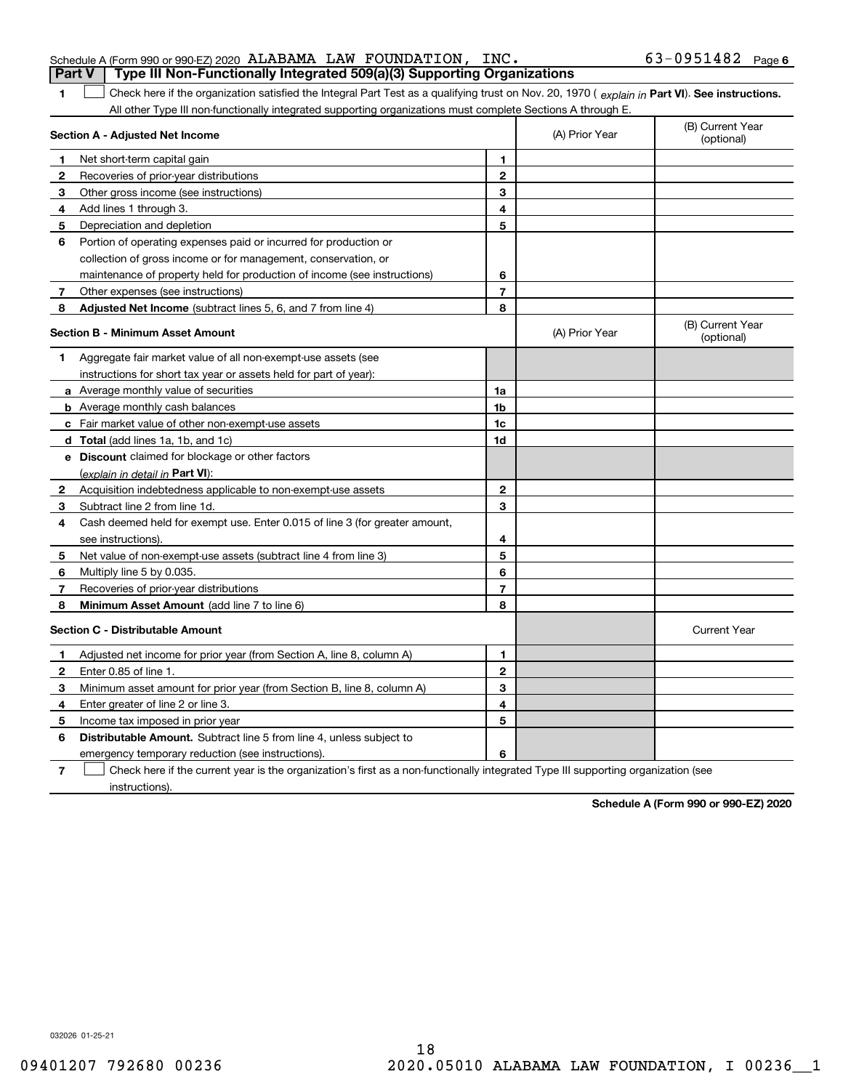**1**

## 1 Check here if the organization satisfied the Integral Part Test as a qualifying trust on Nov. 20, 1970 (explain in Part VI). See instructions. All other Type III non-functionally integrated supporting organizations must complete Sections A through E.

**Part V Type III Non-Functionally Integrated 509(a)(3) Supporting Organizations** 

|              | Section A - Adjusted Net Income                                             |                | (A) Prior Year | U<br>(optional)                |
|--------------|-----------------------------------------------------------------------------|----------------|----------------|--------------------------------|
| 1            | Net short-term capital gain                                                 | 1              |                |                                |
| $\mathbf{2}$ | Recoveries of prior-year distributions                                      | $\mathbf{2}$   |                |                                |
| 3            | Other gross income (see instructions)                                       | 3              |                |                                |
| 4            | Add lines 1 through 3.                                                      | 4              |                |                                |
| 5            | Depreciation and depletion                                                  | 5              |                |                                |
| 6            | Portion of operating expenses paid or incurred for production or            |                |                |                                |
|              | collection of gross income or for management, conservation, or              |                |                |                                |
|              | maintenance of property held for production of income (see instructions)    | 6              |                |                                |
| 7            | Other expenses (see instructions)                                           | $\overline{7}$ |                |                                |
| 8            | Adjusted Net Income (subtract lines 5, 6, and 7 from line 4)                | 8              |                |                                |
|              | <b>Section B - Minimum Asset Amount</b>                                     |                | (A) Prior Year | (B) Current Year<br>(optional) |
| 1            | Aggregate fair market value of all non-exempt-use assets (see               |                |                |                                |
|              | instructions for short tax year or assets held for part of year):           |                |                |                                |
|              | a Average monthly value of securities                                       | 1a             |                |                                |
|              | <b>b</b> Average monthly cash balances                                      | 1b             |                |                                |
|              | c Fair market value of other non-exempt-use assets                          | 1c             |                |                                |
|              | d Total (add lines 1a, 1b, and 1c)                                          | 1d             |                |                                |
|              | e Discount claimed for blockage or other factors                            |                |                |                                |
|              | (explain in detail in Part VI):                                             |                |                |                                |
| 2            | Acquisition indebtedness applicable to non-exempt-use assets                | $\mathbf{2}$   |                |                                |
| 3            | Subtract line 2 from line 1d.                                               | 3              |                |                                |
| 4            | Cash deemed held for exempt use. Enter 0.015 of line 3 (for greater amount, |                |                |                                |
|              | see instructions).                                                          | 4              |                |                                |
| 5            | Net value of non-exempt-use assets (subtract line 4 from line 3)            | 5              |                |                                |
| 6            | Multiply line 5 by 0.035.                                                   | 6              |                |                                |
| 7            | Recoveries of prior-year distributions                                      | $\overline{7}$ |                |                                |
| 8            | Minimum Asset Amount (add line 7 to line 6)                                 | 8              |                |                                |
|              | <b>Section C - Distributable Amount</b>                                     |                |                | <b>Current Year</b>            |
| -1           | Adjusted net income for prior year (from Section A, line 8, column A)       | 1              |                |                                |
| 2            | Enter 0.85 of line 1.                                                       | $\mathbf{2}$   |                |                                |
| 3            | Minimum asset amount for prior year (from Section B, line 8, column A)      | 3              |                |                                |
| 4            | Enter greater of line 2 or line 3.                                          | 4              |                |                                |
| 5            | Income tax imposed in prior year                                            | 5              |                |                                |
| 6            | <b>Distributable Amount.</b> Subtract line 5 from line 4, unless subject to |                |                |                                |

emergency temporary reduction (see instructions).

**7**Check here if the current year is the organization's first as a non-functionally integrated Type III supporting organization (see instructions).

**6**

**Schedule A (Form 990 or 990-EZ) 2020**

(B) Current Year

(A) Prior Year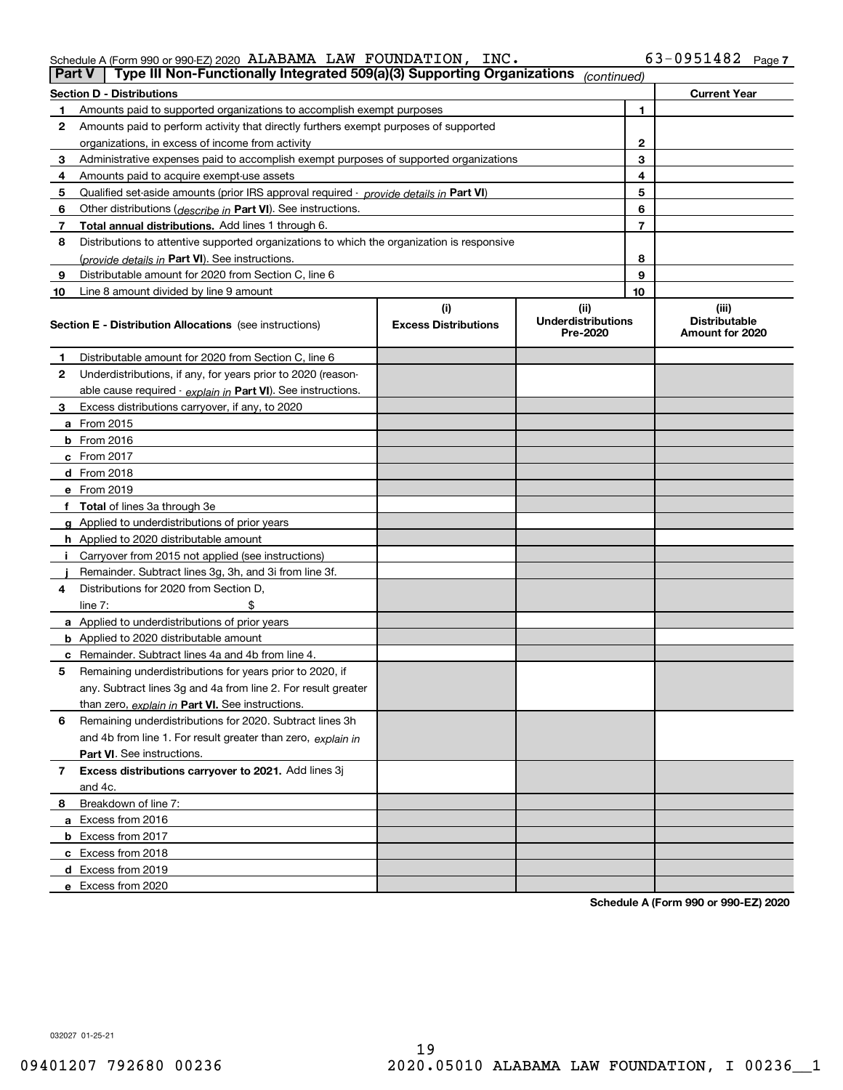| Schedule A (Form 990 or 990-EZ) 2020 $\,$ ALABAMA $\,$ LAW $\,$ FOUNDATION , $\,$ . |  | INC. | $63 - 0951482$ Page 7 |  |
|-------------------------------------------------------------------------------------|--|------|-----------------------|--|
|                                                                                     |  |      |                       |  |

|    | Type III Non-Functionally Integrated 509(a)(3) Supporting Organizations<br>Part V          |                             | (continued)                           |    |                                         |
|----|--------------------------------------------------------------------------------------------|-----------------------------|---------------------------------------|----|-----------------------------------------|
|    | <b>Section D - Distributions</b>                                                           |                             |                                       |    | <b>Current Year</b>                     |
|    | Amounts paid to supported organizations to accomplish exempt purposes                      |                             | 1                                     |    |                                         |
| 2  | Amounts paid to perform activity that directly furthers exempt purposes of supported       |                             |                                       |    |                                         |
|    | organizations, in excess of income from activity                                           |                             | 2                                     |    |                                         |
| 3  | Administrative expenses paid to accomplish exempt purposes of supported organizations      |                             |                                       | 3  |                                         |
| 4  | Amounts paid to acquire exempt-use assets                                                  |                             |                                       | 4  |                                         |
| 5  | Qualified set aside amounts (prior IRS approval required - provide details in Part VI)     |                             |                                       | 5  |                                         |
| 6  | Other distributions ( <i>describe in</i> Part VI). See instructions.                       |                             |                                       | 6  |                                         |
| 7  | Total annual distributions. Add lines 1 through 6.                                         |                             |                                       | 7  |                                         |
| 8  | Distributions to attentive supported organizations to which the organization is responsive |                             |                                       |    |                                         |
|    | (provide details in Part VI). See instructions.                                            |                             |                                       | 8  |                                         |
| 9  | Distributable amount for 2020 from Section C, line 6                                       |                             |                                       | 9  |                                         |
| 10 | Line 8 amount divided by line 9 amount                                                     |                             |                                       | 10 |                                         |
|    |                                                                                            | (i)                         | (ii)                                  |    | (iii)                                   |
|    | <b>Section E - Distribution Allocations</b> (see instructions)                             | <b>Excess Distributions</b> | <b>Underdistributions</b><br>Pre-2020 |    | <b>Distributable</b><br>Amount for 2020 |
| 1  | Distributable amount for 2020 from Section C, line 6                                       |                             |                                       |    |                                         |
| 2  | Underdistributions, if any, for years prior to 2020 (reason-                               |                             |                                       |    |                                         |
|    | able cause required - explain in Part VI). See instructions.                               |                             |                                       |    |                                         |
| 3  | Excess distributions carryover, if any, to 2020                                            |                             |                                       |    |                                         |
|    | a From 2015                                                                                |                             |                                       |    |                                         |
|    | $b$ From 2016                                                                              |                             |                                       |    |                                         |
|    | $c$ From 2017                                                                              |                             |                                       |    |                                         |
|    | <b>d</b> From 2018                                                                         |                             |                                       |    |                                         |
|    | e From 2019                                                                                |                             |                                       |    |                                         |
|    | f Total of lines 3a through 3e                                                             |                             |                                       |    |                                         |
|    | g Applied to underdistributions of prior years                                             |                             |                                       |    |                                         |
|    | <b>h</b> Applied to 2020 distributable amount                                              |                             |                                       |    |                                         |
|    | Carryover from 2015 not applied (see instructions)                                         |                             |                                       |    |                                         |
|    | Remainder. Subtract lines 3g, 3h, and 3i from line 3f.                                     |                             |                                       |    |                                         |
| 4  | Distributions for 2020 from Section D.                                                     |                             |                                       |    |                                         |
|    | line $7:$                                                                                  |                             |                                       |    |                                         |
|    | a Applied to underdistributions of prior years                                             |                             |                                       |    |                                         |
|    | <b>b</b> Applied to 2020 distributable amount                                              |                             |                                       |    |                                         |
|    | <b>c</b> Remainder. Subtract lines 4a and 4b from line 4.                                  |                             |                                       |    |                                         |
| 5  | Remaining underdistributions for years prior to 2020, if                                   |                             |                                       |    |                                         |
|    | any. Subtract lines 3g and 4a from line 2. For result greater                              |                             |                                       |    |                                         |
|    | than zero, explain in Part VI. See instructions.                                           |                             |                                       |    |                                         |
| 6  | Remaining underdistributions for 2020. Subtract lines 3h                                   |                             |                                       |    |                                         |
|    | and 4b from line 1. For result greater than zero, explain in                               |                             |                                       |    |                                         |
|    | <b>Part VI.</b> See instructions.                                                          |                             |                                       |    |                                         |
| 7  | Excess distributions carryover to 2021. Add lines 3j                                       |                             |                                       |    |                                         |
|    | and 4c.                                                                                    |                             |                                       |    |                                         |
| 8  | Breakdown of line 7:                                                                       |                             |                                       |    |                                         |
|    | a Excess from 2016                                                                         |                             |                                       |    |                                         |
|    | <b>b</b> Excess from 2017                                                                  |                             |                                       |    |                                         |
|    | c Excess from 2018                                                                         |                             |                                       |    |                                         |
|    | d Excess from 2019                                                                         |                             |                                       |    |                                         |
|    | e Excess from 2020                                                                         |                             |                                       |    |                                         |

**Schedule A (Form 990 or 990-EZ) 2020**

032027 01-25-21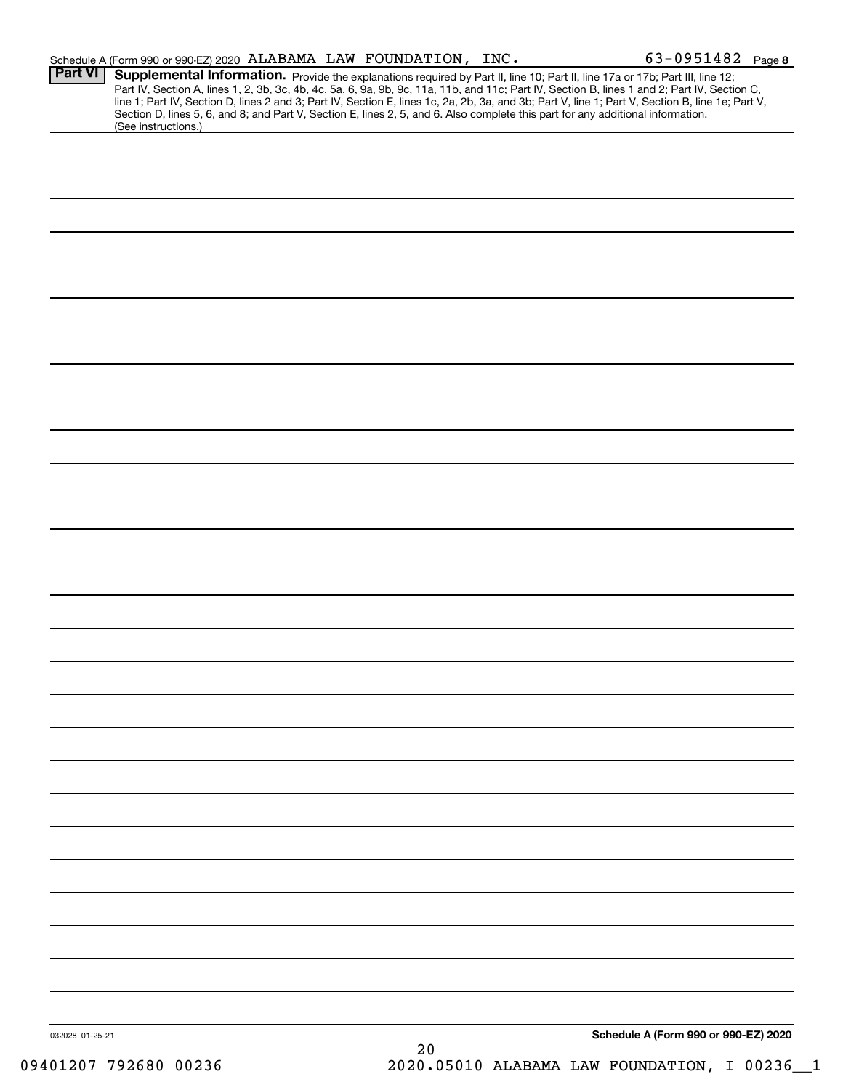|                 |                     | Schedule A (Form 990 or 990-EZ) 2020 ALABAMA LAW FOUNDATION, INC. |    | $63 - 0951482$ Page 8                                                                                                                                                                                                                                                                                                                                                                                                                                                                                                         |
|-----------------|---------------------|-------------------------------------------------------------------|----|-------------------------------------------------------------------------------------------------------------------------------------------------------------------------------------------------------------------------------------------------------------------------------------------------------------------------------------------------------------------------------------------------------------------------------------------------------------------------------------------------------------------------------|
| <b>Part VI</b>  | (See instructions.) |                                                                   |    | <b>Supplemental Information.</b> Provide the explanations required by Part II, line 10; Part II, line 17a or 17b; Part III, line 12;<br>Part IV, Section A, lines 1, 2, 3b, 3c, 4b, 4c, 5a, 6, 9a, 9b, 9c, 11a, 11b, 3cl 11c; Part IV,<br>line 1; Part IV, Section D, lines 2 and 3; Part IV, Section E, lines 1c, 2a, 2b, 3a, and 3b; Part V, line 1; Part V, Section B, line 1e; Part V,<br>Section D, lines 5, 6, and 8; and Part V, Section E, lines 2, 5, and 6. Also complete this part for any additional information. |
|                 |                     |                                                                   |    |                                                                                                                                                                                                                                                                                                                                                                                                                                                                                                                               |
|                 |                     |                                                                   |    |                                                                                                                                                                                                                                                                                                                                                                                                                                                                                                                               |
|                 |                     |                                                                   |    |                                                                                                                                                                                                                                                                                                                                                                                                                                                                                                                               |
|                 |                     |                                                                   |    |                                                                                                                                                                                                                                                                                                                                                                                                                                                                                                                               |
|                 |                     |                                                                   |    |                                                                                                                                                                                                                                                                                                                                                                                                                                                                                                                               |
|                 |                     |                                                                   |    |                                                                                                                                                                                                                                                                                                                                                                                                                                                                                                                               |
|                 |                     |                                                                   |    |                                                                                                                                                                                                                                                                                                                                                                                                                                                                                                                               |
|                 |                     |                                                                   |    |                                                                                                                                                                                                                                                                                                                                                                                                                                                                                                                               |
|                 |                     |                                                                   |    |                                                                                                                                                                                                                                                                                                                                                                                                                                                                                                                               |
|                 |                     |                                                                   |    |                                                                                                                                                                                                                                                                                                                                                                                                                                                                                                                               |
|                 |                     |                                                                   |    |                                                                                                                                                                                                                                                                                                                                                                                                                                                                                                                               |
|                 |                     |                                                                   |    |                                                                                                                                                                                                                                                                                                                                                                                                                                                                                                                               |
|                 |                     |                                                                   |    |                                                                                                                                                                                                                                                                                                                                                                                                                                                                                                                               |
|                 |                     |                                                                   |    |                                                                                                                                                                                                                                                                                                                                                                                                                                                                                                                               |
|                 |                     |                                                                   |    |                                                                                                                                                                                                                                                                                                                                                                                                                                                                                                                               |
|                 |                     |                                                                   |    |                                                                                                                                                                                                                                                                                                                                                                                                                                                                                                                               |
|                 |                     |                                                                   |    |                                                                                                                                                                                                                                                                                                                                                                                                                                                                                                                               |
|                 |                     |                                                                   |    |                                                                                                                                                                                                                                                                                                                                                                                                                                                                                                                               |
|                 |                     |                                                                   |    |                                                                                                                                                                                                                                                                                                                                                                                                                                                                                                                               |
|                 |                     |                                                                   |    |                                                                                                                                                                                                                                                                                                                                                                                                                                                                                                                               |
|                 |                     |                                                                   |    |                                                                                                                                                                                                                                                                                                                                                                                                                                                                                                                               |
|                 |                     |                                                                   |    |                                                                                                                                                                                                                                                                                                                                                                                                                                                                                                                               |
|                 |                     |                                                                   |    |                                                                                                                                                                                                                                                                                                                                                                                                                                                                                                                               |
|                 |                     |                                                                   |    |                                                                                                                                                                                                                                                                                                                                                                                                                                                                                                                               |
|                 |                     |                                                                   |    |                                                                                                                                                                                                                                                                                                                                                                                                                                                                                                                               |
|                 |                     |                                                                   |    |                                                                                                                                                                                                                                                                                                                                                                                                                                                                                                                               |
|                 |                     |                                                                   |    |                                                                                                                                                                                                                                                                                                                                                                                                                                                                                                                               |
|                 |                     |                                                                   |    |                                                                                                                                                                                                                                                                                                                                                                                                                                                                                                                               |
| 032028 01-25-21 |                     |                                                                   | 20 | Schedule A (Form 990 or 990-EZ) 2020                                                                                                                                                                                                                                                                                                                                                                                                                                                                                          |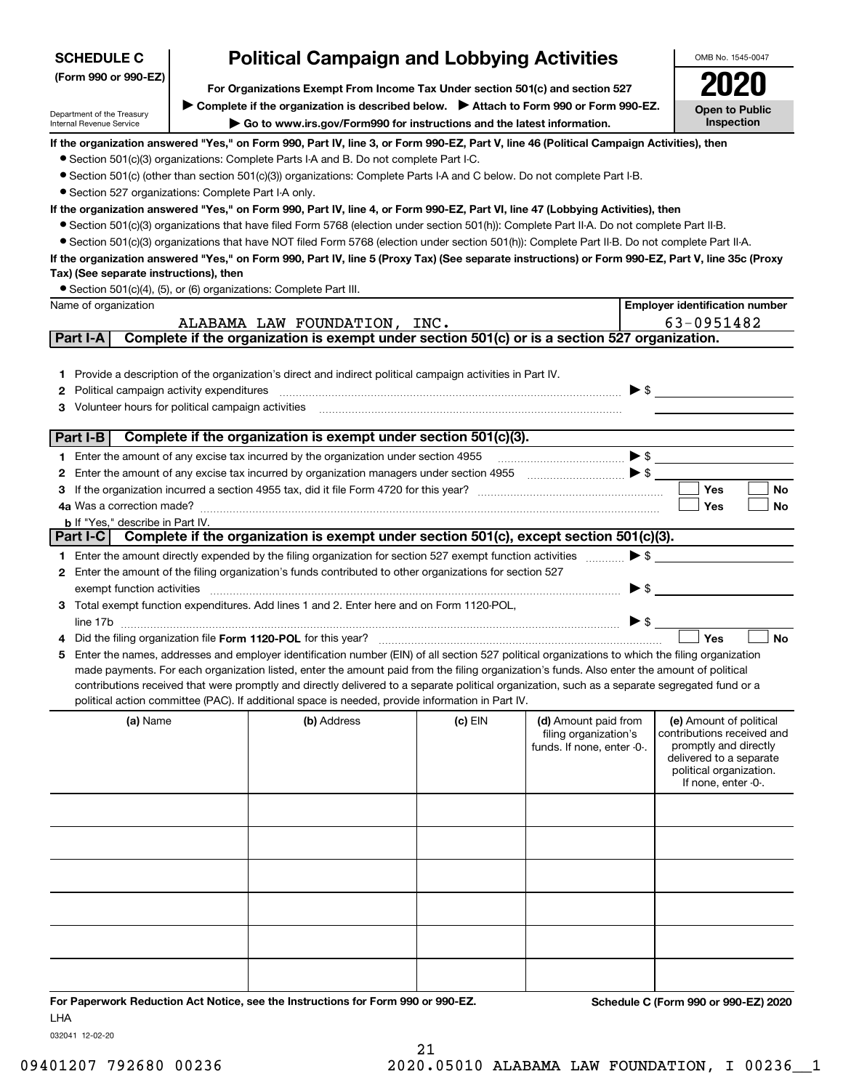| <b>SCHEDULE C</b>                                      | <b>Political Campaign and Lobbying Activities</b>                                                                                                                                                                                                                                                   |         |                            |                          | OMB No. 1545-0047                                |
|--------------------------------------------------------|-----------------------------------------------------------------------------------------------------------------------------------------------------------------------------------------------------------------------------------------------------------------------------------------------------|---------|----------------------------|--------------------------|--------------------------------------------------|
| (Form 990 or 990-EZ)                                   |                                                                                                                                                                                                                                                                                                     |         |                            |                          |                                                  |
|                                                        | For Organizations Exempt From Income Tax Under section 501(c) and section 527<br>▶ Complete if the organization is described below. ▶ Attach to Form 990 or Form 990-EZ.                                                                                                                            |         |                            |                          |                                                  |
| Department of the Treasury<br>Internal Revenue Service | Go to www.irs.gov/Form990 for instructions and the latest information.                                                                                                                                                                                                                              |         |                            |                          | <b>Open to Public</b><br>Inspection              |
|                                                        | If the organization answered "Yes," on Form 990, Part IV, line 3, or Form 990-EZ, Part V, line 46 (Political Campaign Activities), then                                                                                                                                                             |         |                            |                          |                                                  |
|                                                        | • Section 501(c)(3) organizations: Complete Parts I-A and B. Do not complete Part I-C.                                                                                                                                                                                                              |         |                            |                          |                                                  |
|                                                        | • Section 501(c) (other than section 501(c)(3)) organizations: Complete Parts I-A and C below. Do not complete Part I-B.                                                                                                                                                                            |         |                            |                          |                                                  |
| • Section 527 organizations: Complete Part I-A only.   |                                                                                                                                                                                                                                                                                                     |         |                            |                          |                                                  |
|                                                        | If the organization answered "Yes," on Form 990, Part IV, line 4, or Form 990-EZ, Part VI, line 47 (Lobbying Activities), then                                                                                                                                                                      |         |                            |                          |                                                  |
|                                                        | • Section 501(c)(3) organizations that have filed Form 5768 (election under section 501(h)): Complete Part II-A. Do not complete Part II-B.                                                                                                                                                         |         |                            |                          |                                                  |
|                                                        | • Section 501(c)(3) organizations that have NOT filed Form 5768 (election under section 501(h)): Complete Part II-B. Do not complete Part II-A.<br>If the organization answered "Yes," on Form 990, Part IV, line 5 (Proxy Tax) (See separate instructions) or Form 990-EZ, Part V, line 35c (Proxy |         |                            |                          |                                                  |
| Tax) (See separate instructions), then                 |                                                                                                                                                                                                                                                                                                     |         |                            |                          |                                                  |
|                                                        | • Section 501(c)(4), (5), or (6) organizations: Complete Part III.                                                                                                                                                                                                                                  |         |                            |                          |                                                  |
| Name of organization                                   |                                                                                                                                                                                                                                                                                                     |         |                            |                          | <b>Employer identification number</b>            |
|                                                        | ALABAMA LAW FOUNDATION, INC.                                                                                                                                                                                                                                                                        |         |                            |                          | 63-0951482                                       |
| Part I-A                                               | Complete if the organization is exempt under section 501(c) or is a section 527 organization.                                                                                                                                                                                                       |         |                            |                          |                                                  |
|                                                        |                                                                                                                                                                                                                                                                                                     |         |                            |                          |                                                  |
|                                                        | 1 Provide a description of the organization's direct and indirect political campaign activities in Part IV.                                                                                                                                                                                         |         |                            |                          |                                                  |
| Political campaign activity expenditures<br>2          |                                                                                                                                                                                                                                                                                                     |         |                            |                          | $\blacktriangleright$ \$                         |
| 3 Volunteer hours for political campaign activities    |                                                                                                                                                                                                                                                                                                     |         |                            |                          |                                                  |
| Part I-B                                               | Complete if the organization is exempt under section 501(c)(3).                                                                                                                                                                                                                                     |         |                            |                          |                                                  |
|                                                        |                                                                                                                                                                                                                                                                                                     |         |                            |                          | $\bullet \mathsf{s} \_\_$                        |
|                                                        | 1 Enter the amount of any excise tax incurred by the organization under section 4955<br>2 Enter the amount of any excise tax incurred by organization managers under section 4955                                                                                                                   |         |                            |                          |                                                  |
|                                                        |                                                                                                                                                                                                                                                                                                     |         |                            |                          | <b>Yes</b><br>No                                 |
| 4a Was a correction made?                              |                                                                                                                                                                                                                                                                                                     |         |                            |                          | Yes<br>No                                        |
| <b>b</b> If "Yes," describe in Part IV.                |                                                                                                                                                                                                                                                                                                     |         |                            |                          |                                                  |
|                                                        | Part I-C Complete if the organization is exempt under section 501(c), except section 501(c)(3).                                                                                                                                                                                                     |         |                            |                          |                                                  |
|                                                        | 1 Enter the amount directly expended by the filing organization for section 527 exempt function activities                                                                                                                                                                                          |         |                            | $\blacktriangleright$ \$ |                                                  |
|                                                        | 2 Enter the amount of the filing organization's funds contributed to other organizations for section 527                                                                                                                                                                                            |         |                            |                          |                                                  |
| exempt function activities                             |                                                                                                                                                                                                                                                                                                     |         |                            | $\blacktriangleright$ \$ |                                                  |
|                                                        | 3 Total exempt function expenditures. Add lines 1 and 2. Enter here and on Form 1120-POL,                                                                                                                                                                                                           |         |                            |                          |                                                  |
|                                                        |                                                                                                                                                                                                                                                                                                     |         |                            | $\triangleright$ \$      |                                                  |
|                                                        | Did the filing organization file Form 1120-POL for this year?                                                                                                                                                                                                                                       |         |                            |                          | Yes<br><b>No</b>                                 |
|                                                        | 5 Enter the names, addresses and employer identification number (EIN) of all section 527 political organizations to which the filing organization<br>made payments. For each organization listed, enter the amount paid from the filing organization's funds. Also enter the amount of political    |         |                            |                          |                                                  |
|                                                        | contributions received that were promptly and directly delivered to a separate political organization, such as a separate segregated fund or a                                                                                                                                                      |         |                            |                          |                                                  |
|                                                        | political action committee (PAC). If additional space is needed, provide information in Part IV.                                                                                                                                                                                                    |         |                            |                          |                                                  |
| (a) Name                                               | (b) Address                                                                                                                                                                                                                                                                                         | (c) EIN | (d) Amount paid from       |                          | (e) Amount of political                          |
|                                                        |                                                                                                                                                                                                                                                                                                     |         | filing organization's      |                          | contributions received and                       |
|                                                        |                                                                                                                                                                                                                                                                                                     |         | funds. If none, enter -0-. |                          | promptly and directly<br>delivered to a separate |
|                                                        |                                                                                                                                                                                                                                                                                                     |         |                            |                          | political organization.                          |
|                                                        |                                                                                                                                                                                                                                                                                                     |         |                            |                          | If none, enter -0-.                              |
|                                                        |                                                                                                                                                                                                                                                                                                     |         |                            |                          |                                                  |
|                                                        |                                                                                                                                                                                                                                                                                                     |         |                            |                          |                                                  |
|                                                        |                                                                                                                                                                                                                                                                                                     |         |                            |                          |                                                  |
|                                                        |                                                                                                                                                                                                                                                                                                     |         |                            |                          |                                                  |
|                                                        |                                                                                                                                                                                                                                                                                                     |         |                            |                          |                                                  |
|                                                        |                                                                                                                                                                                                                                                                                                     |         |                            |                          |                                                  |
|                                                        |                                                                                                                                                                                                                                                                                                     |         |                            |                          |                                                  |
|                                                        |                                                                                                                                                                                                                                                                                                     |         |                            |                          |                                                  |
|                                                        |                                                                                                                                                                                                                                                                                                     |         |                            |                          |                                                  |
|                                                        |                                                                                                                                                                                                                                                                                                     |         |                            |                          |                                                  |
|                                                        |                                                                                                                                                                                                                                                                                                     |         |                            |                          |                                                  |
|                                                        |                                                                                                                                                                                                                                                                                                     |         |                            |                          |                                                  |

**For Paperwork Reduction Act Notice, see the Instructions for Form 990 or 990-EZ. Schedule C (Form 990 or 990-EZ) 2020** LHA

032041 12-02-20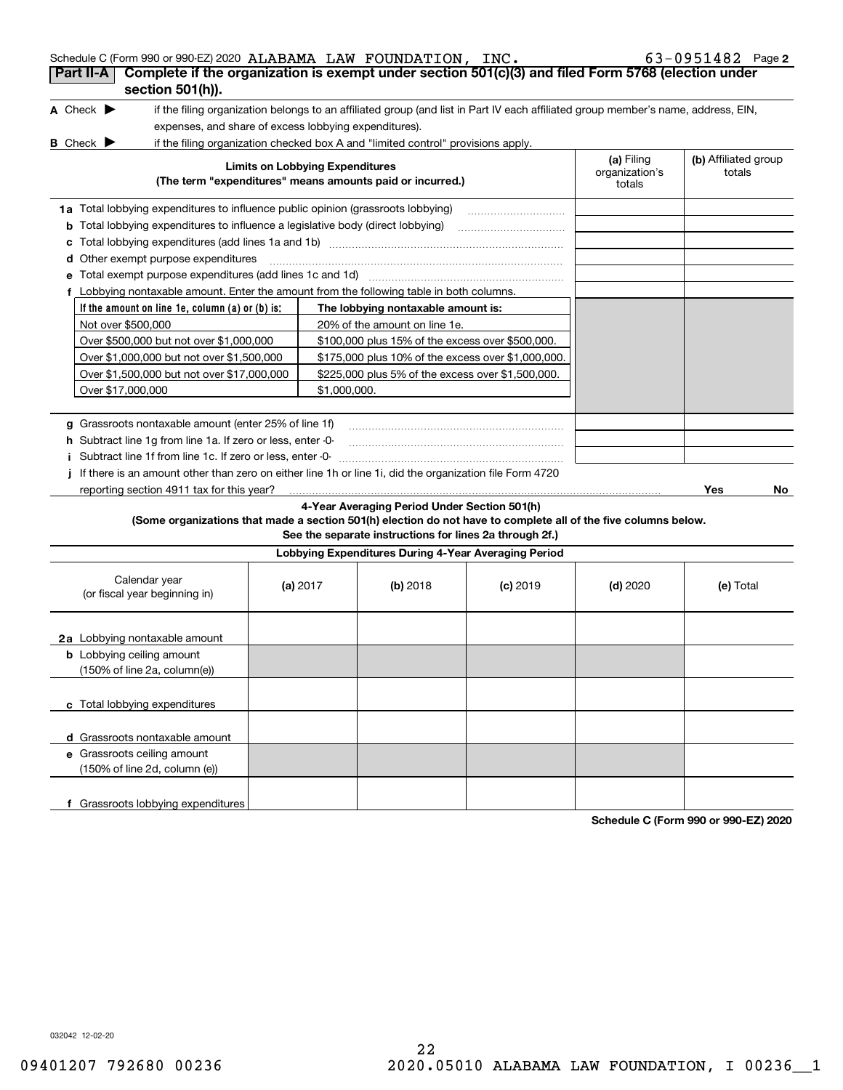| Schedule C (Form 990 or 990-EZ) 2020 ALABAMA LAW FOUNDATION, INC.<br>Complete if the organization is exempt under section 501(c)(3) and filed Form 5768 (election under<br>Part II-A |                                        |                                                                                                                                   |            |                                        | 63-0951482 Page 2              |
|--------------------------------------------------------------------------------------------------------------------------------------------------------------------------------------|----------------------------------------|-----------------------------------------------------------------------------------------------------------------------------------|------------|----------------------------------------|--------------------------------|
| section 501(h)).                                                                                                                                                                     |                                        |                                                                                                                                   |            |                                        |                                |
| A Check $\blacktriangleright$                                                                                                                                                        |                                        | if the filing organization belongs to an affiliated group (and list in Part IV each affiliated group member's name, address, EIN, |            |                                        |                                |
| expenses, and share of excess lobbying expenditures).                                                                                                                                |                                        |                                                                                                                                   |            |                                        |                                |
| <b>B</b> Check $\blacktriangleright$                                                                                                                                                 |                                        | if the filing organization checked box A and "limited control" provisions apply.                                                  |            |                                        |                                |
|                                                                                                                                                                                      | <b>Limits on Lobbying Expenditures</b> | (The term "expenditures" means amounts paid or incurred.)                                                                         |            | (a) Filing<br>organization's<br>totals | (b) Affiliated group<br>totals |
| 1a Total lobbying expenditures to influence public opinion (grassroots lobbying)                                                                                                     |                                        |                                                                                                                                   |            |                                        |                                |
| <b>b</b> Total lobbying expenditures to influence a legislative body (direct lobbying)                                                                                               |                                        |                                                                                                                                   |            |                                        |                                |
| c                                                                                                                                                                                    |                                        |                                                                                                                                   |            |                                        |                                |
| <b>d</b> Other exempt purpose expenditures                                                                                                                                           |                                        |                                                                                                                                   |            |                                        |                                |
| Total exempt purpose expenditures (add lines 1c and 1d)<br>е                                                                                                                         |                                        |                                                                                                                                   |            |                                        |                                |
| f Lobbying nontaxable amount. Enter the amount from the following table in both columns.                                                                                             |                                        |                                                                                                                                   |            |                                        |                                |
| If the amount on line 1e, column (a) or (b) is:                                                                                                                                      |                                        | The lobbying nontaxable amount is:                                                                                                |            |                                        |                                |
| Not over \$500,000                                                                                                                                                                   |                                        | 20% of the amount on line 1e.                                                                                                     |            |                                        |                                |
| Over \$500,000 but not over \$1,000,000                                                                                                                                              |                                        | \$100,000 plus 15% of the excess over \$500,000.                                                                                  |            |                                        |                                |
| Over \$1,000,000 but not over \$1,500,000                                                                                                                                            |                                        | \$175,000 plus 10% of the excess over \$1,000,000.                                                                                |            |                                        |                                |
| Over \$1,500,000 but not over \$17,000,000                                                                                                                                           |                                        |                                                                                                                                   |            |                                        |                                |
| Over \$17,000,000                                                                                                                                                                    |                                        |                                                                                                                                   |            |                                        |                                |
|                                                                                                                                                                                      |                                        |                                                                                                                                   |            |                                        |                                |
| g Grassroots nontaxable amount (enter 25% of line 1f)                                                                                                                                |                                        |                                                                                                                                   |            |                                        |                                |
| h Subtract line 1g from line 1a. If zero or less, enter -0-                                                                                                                          |                                        |                                                                                                                                   |            |                                        |                                |
| i Subtract line 1f from line 1c. If zero or less, enter -0-                                                                                                                          |                                        |                                                                                                                                   |            |                                        |                                |
| If there is an amount other than zero on either line 1h or line 1i, did the organization file Form 4720                                                                              |                                        |                                                                                                                                   |            |                                        |                                |
| reporting section 4911 tax for this year?                                                                                                                                            |                                        |                                                                                                                                   |            |                                        | Yes<br>No.                     |
| (Some organizations that made a section 501(h) election do not have to complete all of the five columns below.                                                                       |                                        | 4-Year Averaging Period Under Section 501(h)<br>See the separate instructions for lines 2a through 2f.)                           |            |                                        |                                |
|                                                                                                                                                                                      |                                        | Lobbying Expenditures During 4-Year Averaging Period                                                                              |            |                                        |                                |
| Calendar year<br>(or fiscal year beginning in)                                                                                                                                       | (a) $2017$                             | (b) 2018                                                                                                                          | $(c)$ 2019 | $(d)$ 2020                             | (e) Total                      |
| 2a Lobbying nontaxable amount                                                                                                                                                        |                                        |                                                                                                                                   |            |                                        |                                |
| <b>b</b> Lobbying ceiling amount                                                                                                                                                     |                                        |                                                                                                                                   |            |                                        |                                |
| $(150\% \text{ of line } 2a, \text{ column}(e))$                                                                                                                                     |                                        |                                                                                                                                   |            |                                        |                                |
| c Total lobbying expenditures                                                                                                                                                        |                                        |                                                                                                                                   |            |                                        |                                |
| d Grassroots nontaxable amount                                                                                                                                                       |                                        |                                                                                                                                   |            |                                        |                                |
| e Grassroots ceiling amount                                                                                                                                                          |                                        |                                                                                                                                   |            |                                        |                                |
| (150% of line 2d, column (e))                                                                                                                                                        |                                        |                                                                                                                                   |            |                                        |                                |

**Schedule C (Form 990 or 990-EZ) 2020**

032042 12-02-20

**f** Grassroots lobbying expenditures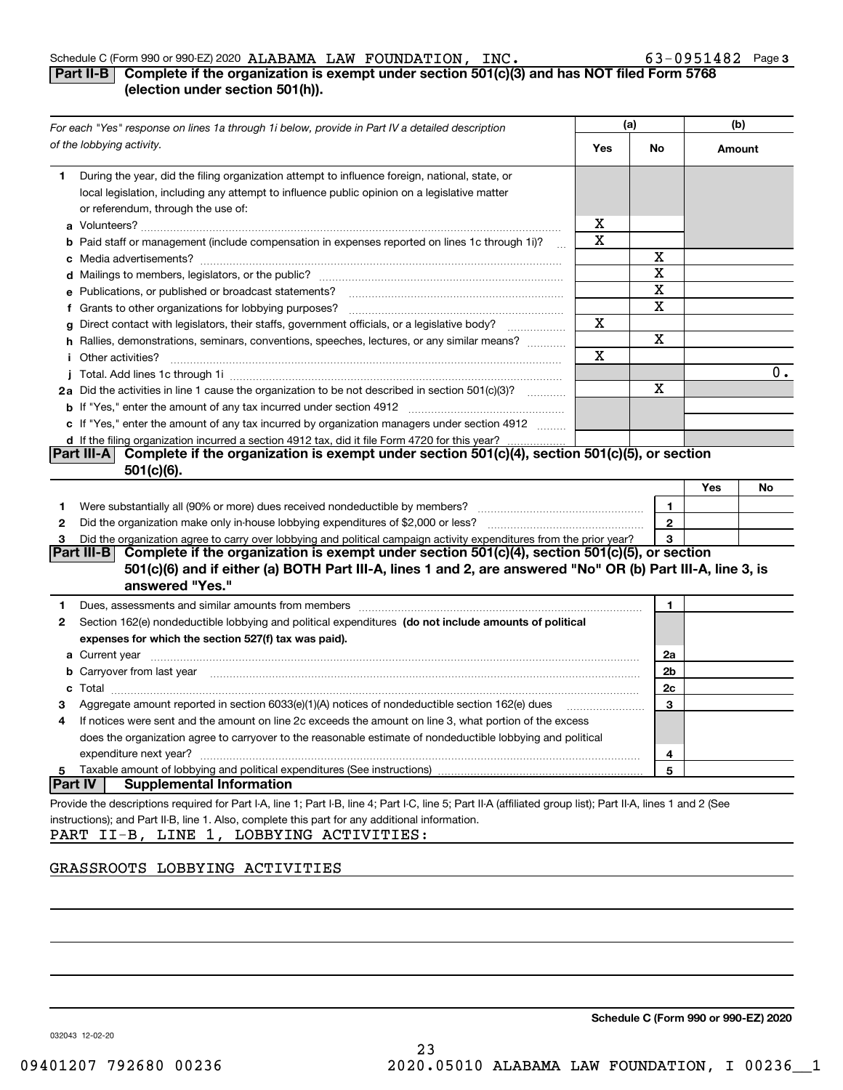## **Part II-B** Complete if the organization is exempt under section 501(c)(3) and has NOT filed Form 5768 **(election under section 501(h)).**

| of the lobbying activity.<br>Yes<br>No<br>Amount<br>During the year, did the filing organization attempt to influence foreign, national, state, or<br>1<br>local legislation, including any attempt to influence public opinion on a legislative matter<br>or referendum, through the use of:<br>x<br>х<br>b Paid staff or management (include compensation in expenses reported on lines 1c through 1i)?<br>X<br>X<br>X<br>e Publications, or published or broadcast statements?<br>Χ<br>f Grants to other organizations for lobbying purposes?<br>Χ<br>Direct contact with legislators, their staffs, government officials, or a legislative body?<br>g<br>$\mathcal{L} = \{1, 2, \ldots, 2, \ldots, 2, \ldots \}$<br>X<br>h Rallies, demonstrations, seminars, conventions, speeches, lectures, or any similar means?<br>Χ<br><i>i</i> Other activities?<br>0.<br>x<br>2a Did the activities in line 1 cause the organization to be not described in section 501(c)(3)?<br>c If "Yes," enter the amount of any tax incurred by organization managers under section 4912<br>d If the filing organization incurred a section 4912 tax, did it file Form 4720 for this year?<br>Complete if the organization is exempt under section 501(c)(4), section 501(c)(5), or section<br> Part III-A <br>$501(c)(6)$ .<br>Yes<br>No<br>1<br>1.<br>$\overline{2}$<br>2<br>Did the organization agree to carry over lobbying and political campaign activity expenditures from the prior year?<br>3<br>З<br>Complete if the organization is exempt under section 501(c)(4), section 501(c)(5), or section<br> Part III-B <br>501(c)(6) and if either (a) BOTH Part III-A, lines 1 and 2, are answered "No" OR (b) Part III-A, line 3, is<br>answered "Yes."<br>Dues, assessments and similar amounts from members [11] matter contracts and similar amounts from members [11] matter contracts and similar amounts from members [11] matter contracts and similar amounts from members [11] m<br>1<br>1.<br>Section 162(e) nondeductible lobbying and political expenditures (do not include amounts of political<br>2<br>expenses for which the section 527(f) tax was paid).<br><b>a</b> Current year<br>2a<br><b>b</b> Carryover from last year <i>maching and a content of the content of the content of the content of the content of the content of the content of the content of the content of the content of the content of the content of th</i><br>2b<br>2c<br><b>c</b> Total<br>Aggregate amount reported in section 6033(e)(1)(A) notices of nondeductible section 162(e) dues<br>3<br>If notices were sent and the amount on line 2c exceeds the amount on line 3, what portion of the excess<br>4<br>does the organization agree to carryover to the reasonable estimate of nondeductible lobbying and political<br>expenditure next year?<br>4<br>Taxable amount of lobbying and political expenditures (See instructions)<br>5<br>5<br><b>Part IV</b><br><b>Supplemental Information</b><br>Provide the descriptions required for Part I-A, line 1; Part I-B, line 4; Part I-C, line 5; Part II-A (affiliated group list); Part II-A, lines 1 and 2 (See<br>instructions); and Part II-B, line 1. Also, complete this part for any additional information.<br>PART II-B, LINE 1, LOBBYING ACTIVITIES: | For each "Yes" response on lines 1a through 1i below, provide in Part IV a detailed description | (a) |  | (b) |
|--------------------------------------------------------------------------------------------------------------------------------------------------------------------------------------------------------------------------------------------------------------------------------------------------------------------------------------------------------------------------------------------------------------------------------------------------------------------------------------------------------------------------------------------------------------------------------------------------------------------------------------------------------------------------------------------------------------------------------------------------------------------------------------------------------------------------------------------------------------------------------------------------------------------------------------------------------------------------------------------------------------------------------------------------------------------------------------------------------------------------------------------------------------------------------------------------------------------------------------------------------------------------------------------------------------------------------------------------------------------------------------------------------------------------------------------------------------------------------------------------------------------------------------------------------------------------------------------------------------------------------------------------------------------------------------------------------------------------------------------------------------------------------------------------------------------------------------------------------------------------------------------------------------------------------------------------------------------------------------------------------------------------------------------------------------------------------------------------------------------------------------------------------------------------------------------------------------------------------------------------------------------------------------------------------------------------------------------------------------------------------------------------------------------------------------------------------------------------------------------------------------------------------------------------------------------------------------------------------------------------------------------------------------------------------------------------------------------------------------------------------------------------------------------------------------------------------------------------------------------------------------------------------------------------------------------------------------------------------------------------------------------------------------------------------------------------------------------------------------------------------------------------------------------------------------------------------------------------------------------------------------------------------------------------------------|-------------------------------------------------------------------------------------------------|-----|--|-----|
|                                                                                                                                                                                                                                                                                                                                                                                                                                                                                                                                                                                                                                                                                                                                                                                                                                                                                                                                                                                                                                                                                                                                                                                                                                                                                                                                                                                                                                                                                                                                                                                                                                                                                                                                                                                                                                                                                                                                                                                                                                                                                                                                                                                                                                                                                                                                                                                                                                                                                                                                                                                                                                                                                                                                                                                                                                                                                                                                                                                                                                                                                                                                                                                                                                                                                                              |                                                                                                 |     |  |     |
|                                                                                                                                                                                                                                                                                                                                                                                                                                                                                                                                                                                                                                                                                                                                                                                                                                                                                                                                                                                                                                                                                                                                                                                                                                                                                                                                                                                                                                                                                                                                                                                                                                                                                                                                                                                                                                                                                                                                                                                                                                                                                                                                                                                                                                                                                                                                                                                                                                                                                                                                                                                                                                                                                                                                                                                                                                                                                                                                                                                                                                                                                                                                                                                                                                                                                                              |                                                                                                 |     |  |     |
|                                                                                                                                                                                                                                                                                                                                                                                                                                                                                                                                                                                                                                                                                                                                                                                                                                                                                                                                                                                                                                                                                                                                                                                                                                                                                                                                                                                                                                                                                                                                                                                                                                                                                                                                                                                                                                                                                                                                                                                                                                                                                                                                                                                                                                                                                                                                                                                                                                                                                                                                                                                                                                                                                                                                                                                                                                                                                                                                                                                                                                                                                                                                                                                                                                                                                                              |                                                                                                 |     |  |     |
|                                                                                                                                                                                                                                                                                                                                                                                                                                                                                                                                                                                                                                                                                                                                                                                                                                                                                                                                                                                                                                                                                                                                                                                                                                                                                                                                                                                                                                                                                                                                                                                                                                                                                                                                                                                                                                                                                                                                                                                                                                                                                                                                                                                                                                                                                                                                                                                                                                                                                                                                                                                                                                                                                                                                                                                                                                                                                                                                                                                                                                                                                                                                                                                                                                                                                                              |                                                                                                 |     |  |     |
|                                                                                                                                                                                                                                                                                                                                                                                                                                                                                                                                                                                                                                                                                                                                                                                                                                                                                                                                                                                                                                                                                                                                                                                                                                                                                                                                                                                                                                                                                                                                                                                                                                                                                                                                                                                                                                                                                                                                                                                                                                                                                                                                                                                                                                                                                                                                                                                                                                                                                                                                                                                                                                                                                                                                                                                                                                                                                                                                                                                                                                                                                                                                                                                                                                                                                                              |                                                                                                 |     |  |     |
|                                                                                                                                                                                                                                                                                                                                                                                                                                                                                                                                                                                                                                                                                                                                                                                                                                                                                                                                                                                                                                                                                                                                                                                                                                                                                                                                                                                                                                                                                                                                                                                                                                                                                                                                                                                                                                                                                                                                                                                                                                                                                                                                                                                                                                                                                                                                                                                                                                                                                                                                                                                                                                                                                                                                                                                                                                                                                                                                                                                                                                                                                                                                                                                                                                                                                                              |                                                                                                 |     |  |     |
|                                                                                                                                                                                                                                                                                                                                                                                                                                                                                                                                                                                                                                                                                                                                                                                                                                                                                                                                                                                                                                                                                                                                                                                                                                                                                                                                                                                                                                                                                                                                                                                                                                                                                                                                                                                                                                                                                                                                                                                                                                                                                                                                                                                                                                                                                                                                                                                                                                                                                                                                                                                                                                                                                                                                                                                                                                                                                                                                                                                                                                                                                                                                                                                                                                                                                                              |                                                                                                 |     |  |     |
|                                                                                                                                                                                                                                                                                                                                                                                                                                                                                                                                                                                                                                                                                                                                                                                                                                                                                                                                                                                                                                                                                                                                                                                                                                                                                                                                                                                                                                                                                                                                                                                                                                                                                                                                                                                                                                                                                                                                                                                                                                                                                                                                                                                                                                                                                                                                                                                                                                                                                                                                                                                                                                                                                                                                                                                                                                                                                                                                                                                                                                                                                                                                                                                                                                                                                                              |                                                                                                 |     |  |     |
|                                                                                                                                                                                                                                                                                                                                                                                                                                                                                                                                                                                                                                                                                                                                                                                                                                                                                                                                                                                                                                                                                                                                                                                                                                                                                                                                                                                                                                                                                                                                                                                                                                                                                                                                                                                                                                                                                                                                                                                                                                                                                                                                                                                                                                                                                                                                                                                                                                                                                                                                                                                                                                                                                                                                                                                                                                                                                                                                                                                                                                                                                                                                                                                                                                                                                                              |                                                                                                 |     |  |     |
|                                                                                                                                                                                                                                                                                                                                                                                                                                                                                                                                                                                                                                                                                                                                                                                                                                                                                                                                                                                                                                                                                                                                                                                                                                                                                                                                                                                                                                                                                                                                                                                                                                                                                                                                                                                                                                                                                                                                                                                                                                                                                                                                                                                                                                                                                                                                                                                                                                                                                                                                                                                                                                                                                                                                                                                                                                                                                                                                                                                                                                                                                                                                                                                                                                                                                                              |                                                                                                 |     |  |     |
|                                                                                                                                                                                                                                                                                                                                                                                                                                                                                                                                                                                                                                                                                                                                                                                                                                                                                                                                                                                                                                                                                                                                                                                                                                                                                                                                                                                                                                                                                                                                                                                                                                                                                                                                                                                                                                                                                                                                                                                                                                                                                                                                                                                                                                                                                                                                                                                                                                                                                                                                                                                                                                                                                                                                                                                                                                                                                                                                                                                                                                                                                                                                                                                                                                                                                                              |                                                                                                 |     |  |     |
|                                                                                                                                                                                                                                                                                                                                                                                                                                                                                                                                                                                                                                                                                                                                                                                                                                                                                                                                                                                                                                                                                                                                                                                                                                                                                                                                                                                                                                                                                                                                                                                                                                                                                                                                                                                                                                                                                                                                                                                                                                                                                                                                                                                                                                                                                                                                                                                                                                                                                                                                                                                                                                                                                                                                                                                                                                                                                                                                                                                                                                                                                                                                                                                                                                                                                                              |                                                                                                 |     |  |     |
|                                                                                                                                                                                                                                                                                                                                                                                                                                                                                                                                                                                                                                                                                                                                                                                                                                                                                                                                                                                                                                                                                                                                                                                                                                                                                                                                                                                                                                                                                                                                                                                                                                                                                                                                                                                                                                                                                                                                                                                                                                                                                                                                                                                                                                                                                                                                                                                                                                                                                                                                                                                                                                                                                                                                                                                                                                                                                                                                                                                                                                                                                                                                                                                                                                                                                                              |                                                                                                 |     |  |     |
|                                                                                                                                                                                                                                                                                                                                                                                                                                                                                                                                                                                                                                                                                                                                                                                                                                                                                                                                                                                                                                                                                                                                                                                                                                                                                                                                                                                                                                                                                                                                                                                                                                                                                                                                                                                                                                                                                                                                                                                                                                                                                                                                                                                                                                                                                                                                                                                                                                                                                                                                                                                                                                                                                                                                                                                                                                                                                                                                                                                                                                                                                                                                                                                                                                                                                                              |                                                                                                 |     |  |     |
|                                                                                                                                                                                                                                                                                                                                                                                                                                                                                                                                                                                                                                                                                                                                                                                                                                                                                                                                                                                                                                                                                                                                                                                                                                                                                                                                                                                                                                                                                                                                                                                                                                                                                                                                                                                                                                                                                                                                                                                                                                                                                                                                                                                                                                                                                                                                                                                                                                                                                                                                                                                                                                                                                                                                                                                                                                                                                                                                                                                                                                                                                                                                                                                                                                                                                                              |                                                                                                 |     |  |     |
|                                                                                                                                                                                                                                                                                                                                                                                                                                                                                                                                                                                                                                                                                                                                                                                                                                                                                                                                                                                                                                                                                                                                                                                                                                                                                                                                                                                                                                                                                                                                                                                                                                                                                                                                                                                                                                                                                                                                                                                                                                                                                                                                                                                                                                                                                                                                                                                                                                                                                                                                                                                                                                                                                                                                                                                                                                                                                                                                                                                                                                                                                                                                                                                                                                                                                                              |                                                                                                 |     |  |     |
|                                                                                                                                                                                                                                                                                                                                                                                                                                                                                                                                                                                                                                                                                                                                                                                                                                                                                                                                                                                                                                                                                                                                                                                                                                                                                                                                                                                                                                                                                                                                                                                                                                                                                                                                                                                                                                                                                                                                                                                                                                                                                                                                                                                                                                                                                                                                                                                                                                                                                                                                                                                                                                                                                                                                                                                                                                                                                                                                                                                                                                                                                                                                                                                                                                                                                                              |                                                                                                 |     |  |     |
|                                                                                                                                                                                                                                                                                                                                                                                                                                                                                                                                                                                                                                                                                                                                                                                                                                                                                                                                                                                                                                                                                                                                                                                                                                                                                                                                                                                                                                                                                                                                                                                                                                                                                                                                                                                                                                                                                                                                                                                                                                                                                                                                                                                                                                                                                                                                                                                                                                                                                                                                                                                                                                                                                                                                                                                                                                                                                                                                                                                                                                                                                                                                                                                                                                                                                                              |                                                                                                 |     |  |     |
|                                                                                                                                                                                                                                                                                                                                                                                                                                                                                                                                                                                                                                                                                                                                                                                                                                                                                                                                                                                                                                                                                                                                                                                                                                                                                                                                                                                                                                                                                                                                                                                                                                                                                                                                                                                                                                                                                                                                                                                                                                                                                                                                                                                                                                                                                                                                                                                                                                                                                                                                                                                                                                                                                                                                                                                                                                                                                                                                                                                                                                                                                                                                                                                                                                                                                                              |                                                                                                 |     |  |     |
|                                                                                                                                                                                                                                                                                                                                                                                                                                                                                                                                                                                                                                                                                                                                                                                                                                                                                                                                                                                                                                                                                                                                                                                                                                                                                                                                                                                                                                                                                                                                                                                                                                                                                                                                                                                                                                                                                                                                                                                                                                                                                                                                                                                                                                                                                                                                                                                                                                                                                                                                                                                                                                                                                                                                                                                                                                                                                                                                                                                                                                                                                                                                                                                                                                                                                                              |                                                                                                 |     |  |     |
|                                                                                                                                                                                                                                                                                                                                                                                                                                                                                                                                                                                                                                                                                                                                                                                                                                                                                                                                                                                                                                                                                                                                                                                                                                                                                                                                                                                                                                                                                                                                                                                                                                                                                                                                                                                                                                                                                                                                                                                                                                                                                                                                                                                                                                                                                                                                                                                                                                                                                                                                                                                                                                                                                                                                                                                                                                                                                                                                                                                                                                                                                                                                                                                                                                                                                                              |                                                                                                 |     |  |     |
|                                                                                                                                                                                                                                                                                                                                                                                                                                                                                                                                                                                                                                                                                                                                                                                                                                                                                                                                                                                                                                                                                                                                                                                                                                                                                                                                                                                                                                                                                                                                                                                                                                                                                                                                                                                                                                                                                                                                                                                                                                                                                                                                                                                                                                                                                                                                                                                                                                                                                                                                                                                                                                                                                                                                                                                                                                                                                                                                                                                                                                                                                                                                                                                                                                                                                                              |                                                                                                 |     |  |     |
|                                                                                                                                                                                                                                                                                                                                                                                                                                                                                                                                                                                                                                                                                                                                                                                                                                                                                                                                                                                                                                                                                                                                                                                                                                                                                                                                                                                                                                                                                                                                                                                                                                                                                                                                                                                                                                                                                                                                                                                                                                                                                                                                                                                                                                                                                                                                                                                                                                                                                                                                                                                                                                                                                                                                                                                                                                                                                                                                                                                                                                                                                                                                                                                                                                                                                                              |                                                                                                 |     |  |     |
|                                                                                                                                                                                                                                                                                                                                                                                                                                                                                                                                                                                                                                                                                                                                                                                                                                                                                                                                                                                                                                                                                                                                                                                                                                                                                                                                                                                                                                                                                                                                                                                                                                                                                                                                                                                                                                                                                                                                                                                                                                                                                                                                                                                                                                                                                                                                                                                                                                                                                                                                                                                                                                                                                                                                                                                                                                                                                                                                                                                                                                                                                                                                                                                                                                                                                                              |                                                                                                 |     |  |     |
|                                                                                                                                                                                                                                                                                                                                                                                                                                                                                                                                                                                                                                                                                                                                                                                                                                                                                                                                                                                                                                                                                                                                                                                                                                                                                                                                                                                                                                                                                                                                                                                                                                                                                                                                                                                                                                                                                                                                                                                                                                                                                                                                                                                                                                                                                                                                                                                                                                                                                                                                                                                                                                                                                                                                                                                                                                                                                                                                                                                                                                                                                                                                                                                                                                                                                                              |                                                                                                 |     |  |     |
|                                                                                                                                                                                                                                                                                                                                                                                                                                                                                                                                                                                                                                                                                                                                                                                                                                                                                                                                                                                                                                                                                                                                                                                                                                                                                                                                                                                                                                                                                                                                                                                                                                                                                                                                                                                                                                                                                                                                                                                                                                                                                                                                                                                                                                                                                                                                                                                                                                                                                                                                                                                                                                                                                                                                                                                                                                                                                                                                                                                                                                                                                                                                                                                                                                                                                                              |                                                                                                 |     |  |     |
|                                                                                                                                                                                                                                                                                                                                                                                                                                                                                                                                                                                                                                                                                                                                                                                                                                                                                                                                                                                                                                                                                                                                                                                                                                                                                                                                                                                                                                                                                                                                                                                                                                                                                                                                                                                                                                                                                                                                                                                                                                                                                                                                                                                                                                                                                                                                                                                                                                                                                                                                                                                                                                                                                                                                                                                                                                                                                                                                                                                                                                                                                                                                                                                                                                                                                                              |                                                                                                 |     |  |     |
|                                                                                                                                                                                                                                                                                                                                                                                                                                                                                                                                                                                                                                                                                                                                                                                                                                                                                                                                                                                                                                                                                                                                                                                                                                                                                                                                                                                                                                                                                                                                                                                                                                                                                                                                                                                                                                                                                                                                                                                                                                                                                                                                                                                                                                                                                                                                                                                                                                                                                                                                                                                                                                                                                                                                                                                                                                                                                                                                                                                                                                                                                                                                                                                                                                                                                                              |                                                                                                 |     |  |     |
|                                                                                                                                                                                                                                                                                                                                                                                                                                                                                                                                                                                                                                                                                                                                                                                                                                                                                                                                                                                                                                                                                                                                                                                                                                                                                                                                                                                                                                                                                                                                                                                                                                                                                                                                                                                                                                                                                                                                                                                                                                                                                                                                                                                                                                                                                                                                                                                                                                                                                                                                                                                                                                                                                                                                                                                                                                                                                                                                                                                                                                                                                                                                                                                                                                                                                                              |                                                                                                 |     |  |     |
|                                                                                                                                                                                                                                                                                                                                                                                                                                                                                                                                                                                                                                                                                                                                                                                                                                                                                                                                                                                                                                                                                                                                                                                                                                                                                                                                                                                                                                                                                                                                                                                                                                                                                                                                                                                                                                                                                                                                                                                                                                                                                                                                                                                                                                                                                                                                                                                                                                                                                                                                                                                                                                                                                                                                                                                                                                                                                                                                                                                                                                                                                                                                                                                                                                                                                                              |                                                                                                 |     |  |     |
|                                                                                                                                                                                                                                                                                                                                                                                                                                                                                                                                                                                                                                                                                                                                                                                                                                                                                                                                                                                                                                                                                                                                                                                                                                                                                                                                                                                                                                                                                                                                                                                                                                                                                                                                                                                                                                                                                                                                                                                                                                                                                                                                                                                                                                                                                                                                                                                                                                                                                                                                                                                                                                                                                                                                                                                                                                                                                                                                                                                                                                                                                                                                                                                                                                                                                                              |                                                                                                 |     |  |     |
|                                                                                                                                                                                                                                                                                                                                                                                                                                                                                                                                                                                                                                                                                                                                                                                                                                                                                                                                                                                                                                                                                                                                                                                                                                                                                                                                                                                                                                                                                                                                                                                                                                                                                                                                                                                                                                                                                                                                                                                                                                                                                                                                                                                                                                                                                                                                                                                                                                                                                                                                                                                                                                                                                                                                                                                                                                                                                                                                                                                                                                                                                                                                                                                                                                                                                                              |                                                                                                 |     |  |     |
|                                                                                                                                                                                                                                                                                                                                                                                                                                                                                                                                                                                                                                                                                                                                                                                                                                                                                                                                                                                                                                                                                                                                                                                                                                                                                                                                                                                                                                                                                                                                                                                                                                                                                                                                                                                                                                                                                                                                                                                                                                                                                                                                                                                                                                                                                                                                                                                                                                                                                                                                                                                                                                                                                                                                                                                                                                                                                                                                                                                                                                                                                                                                                                                                                                                                                                              |                                                                                                 |     |  |     |
|                                                                                                                                                                                                                                                                                                                                                                                                                                                                                                                                                                                                                                                                                                                                                                                                                                                                                                                                                                                                                                                                                                                                                                                                                                                                                                                                                                                                                                                                                                                                                                                                                                                                                                                                                                                                                                                                                                                                                                                                                                                                                                                                                                                                                                                                                                                                                                                                                                                                                                                                                                                                                                                                                                                                                                                                                                                                                                                                                                                                                                                                                                                                                                                                                                                                                                              |                                                                                                 |     |  |     |
|                                                                                                                                                                                                                                                                                                                                                                                                                                                                                                                                                                                                                                                                                                                                                                                                                                                                                                                                                                                                                                                                                                                                                                                                                                                                                                                                                                                                                                                                                                                                                                                                                                                                                                                                                                                                                                                                                                                                                                                                                                                                                                                                                                                                                                                                                                                                                                                                                                                                                                                                                                                                                                                                                                                                                                                                                                                                                                                                                                                                                                                                                                                                                                                                                                                                                                              |                                                                                                 |     |  |     |
|                                                                                                                                                                                                                                                                                                                                                                                                                                                                                                                                                                                                                                                                                                                                                                                                                                                                                                                                                                                                                                                                                                                                                                                                                                                                                                                                                                                                                                                                                                                                                                                                                                                                                                                                                                                                                                                                                                                                                                                                                                                                                                                                                                                                                                                                                                                                                                                                                                                                                                                                                                                                                                                                                                                                                                                                                                                                                                                                                                                                                                                                                                                                                                                                                                                                                                              |                                                                                                 |     |  |     |
|                                                                                                                                                                                                                                                                                                                                                                                                                                                                                                                                                                                                                                                                                                                                                                                                                                                                                                                                                                                                                                                                                                                                                                                                                                                                                                                                                                                                                                                                                                                                                                                                                                                                                                                                                                                                                                                                                                                                                                                                                                                                                                                                                                                                                                                                                                                                                                                                                                                                                                                                                                                                                                                                                                                                                                                                                                                                                                                                                                                                                                                                                                                                                                                                                                                                                                              |                                                                                                 |     |  |     |
|                                                                                                                                                                                                                                                                                                                                                                                                                                                                                                                                                                                                                                                                                                                                                                                                                                                                                                                                                                                                                                                                                                                                                                                                                                                                                                                                                                                                                                                                                                                                                                                                                                                                                                                                                                                                                                                                                                                                                                                                                                                                                                                                                                                                                                                                                                                                                                                                                                                                                                                                                                                                                                                                                                                                                                                                                                                                                                                                                                                                                                                                                                                                                                                                                                                                                                              |                                                                                                 |     |  |     |
|                                                                                                                                                                                                                                                                                                                                                                                                                                                                                                                                                                                                                                                                                                                                                                                                                                                                                                                                                                                                                                                                                                                                                                                                                                                                                                                                                                                                                                                                                                                                                                                                                                                                                                                                                                                                                                                                                                                                                                                                                                                                                                                                                                                                                                                                                                                                                                                                                                                                                                                                                                                                                                                                                                                                                                                                                                                                                                                                                                                                                                                                                                                                                                                                                                                                                                              |                                                                                                 |     |  |     |

## GRASSROOTS LOBBYING ACTIVITIES

**Schedule C (Form 990 or 990-EZ) 2020**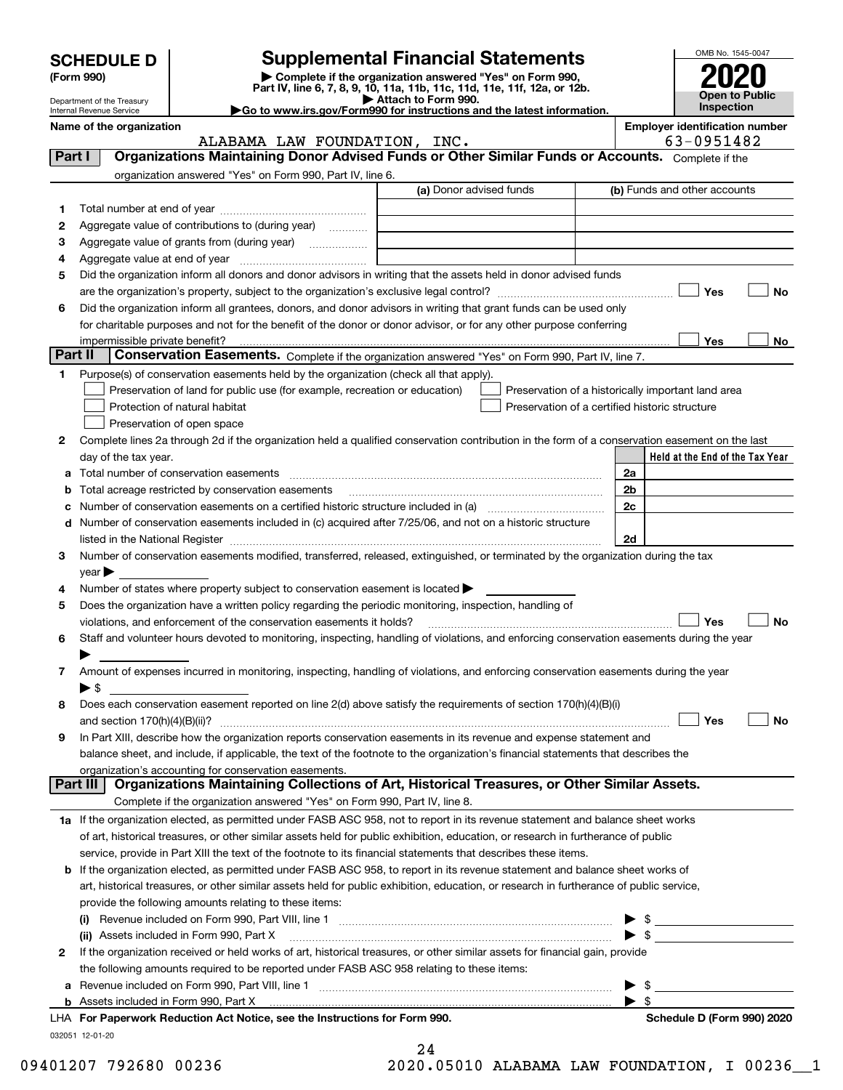|         |                                                      |                                                                                                                |                                                                                                                                                |          | OMB No. 1545-0047                     |
|---------|------------------------------------------------------|----------------------------------------------------------------------------------------------------------------|------------------------------------------------------------------------------------------------------------------------------------------------|----------|---------------------------------------|
|         | <b>SCHEDULE D</b>                                    |                                                                                                                | <b>Supplemental Financial Statements</b>                                                                                                       |          |                                       |
|         | (Form 990)                                           |                                                                                                                | Complete if the organization answered "Yes" on Form 990,<br>Part IV, line 6, 7, 8, 9, 10, 11a, 11b, 11c, 11d, 11e, 11f, 12a, or 12b.           |          |                                       |
|         | Department of the Treasury                           |                                                                                                                | Attach to Form 990.                                                                                                                            |          | Open to Public<br>Inspection          |
|         | Internal Revenue Service<br>Name of the organization |                                                                                                                | Go to www.irs.gov/Form990 for instructions and the latest information.                                                                         |          | <b>Employer identification number</b> |
|         |                                                      | ALABAMA LAW FOUNDATION, INC.                                                                                   |                                                                                                                                                |          | 63-0951482                            |
| Part I  |                                                      |                                                                                                                | Organizations Maintaining Donor Advised Funds or Other Similar Funds or Accounts. Complete if the                                              |          |                                       |
|         |                                                      | organization answered "Yes" on Form 990, Part IV, line 6.                                                      |                                                                                                                                                |          |                                       |
|         |                                                      |                                                                                                                | (a) Donor advised funds                                                                                                                        |          | (b) Funds and other accounts          |
| 1       |                                                      |                                                                                                                |                                                                                                                                                |          |                                       |
| 2       |                                                      | Aggregate value of contributions to (during year)                                                              |                                                                                                                                                |          |                                       |
| 3       |                                                      | Aggregate value of grants from (during year)                                                                   |                                                                                                                                                |          |                                       |
| 4       |                                                      |                                                                                                                |                                                                                                                                                |          |                                       |
| 5       |                                                      |                                                                                                                | Did the organization inform all donors and donor advisors in writing that the assets held in donor advised funds                               |          |                                       |
|         |                                                      |                                                                                                                |                                                                                                                                                |          | Yes<br>No                             |
| 6       |                                                      |                                                                                                                | Did the organization inform all grantees, donors, and donor advisors in writing that grant funds can be used only                              |          |                                       |
|         |                                                      |                                                                                                                | for charitable purposes and not for the benefit of the donor or donor advisor, or for any other purpose conferring                             |          |                                       |
| Part II |                                                      |                                                                                                                |                                                                                                                                                |          | Yes<br>No.                            |
|         |                                                      |                                                                                                                | Conservation Easements. Complete if the organization answered "Yes" on Form 990, Part IV, line 7.                                              |          |                                       |
| 1       |                                                      | Purpose(s) of conservation easements held by the organization (check all that apply).                          |                                                                                                                                                |          |                                       |
|         |                                                      | Preservation of land for public use (for example, recreation or education)                                     | Preservation of a historically important land area                                                                                             |          |                                       |
|         |                                                      | Protection of natural habitat                                                                                  | Preservation of a certified historic structure                                                                                                 |          |                                       |
|         |                                                      | Preservation of open space                                                                                     |                                                                                                                                                |          |                                       |
| 2       |                                                      |                                                                                                                | Complete lines 2a through 2d if the organization held a qualified conservation contribution in the form of a conservation easement on the last |          |                                       |
|         | day of the tax year.                                 |                                                                                                                |                                                                                                                                                |          | Held at the End of the Tax Year       |
| а       |                                                      | Total number of conservation easements<br>Total acreage restricted by conservation easements                   |                                                                                                                                                | 2a<br>2b |                                       |
| b<br>с  |                                                      |                                                                                                                |                                                                                                                                                | 2c       |                                       |
| d       |                                                      | Number of conservation easements included in (c) acquired after 7/25/06, and not on a historic structure       |                                                                                                                                                |          |                                       |
|         |                                                      |                                                                                                                |                                                                                                                                                | 2d       |                                       |
| З       |                                                      |                                                                                                                | Number of conservation easements modified, transferred, released, extinguished, or terminated by the organization during the tax               |          |                                       |
|         | $year \blacktriangleright$                           |                                                                                                                |                                                                                                                                                |          |                                       |
| 4       |                                                      | Number of states where property subject to conservation easement is located $\blacktriangleright$              |                                                                                                                                                |          |                                       |
| 5       |                                                      | Does the organization have a written policy regarding the periodic monitoring, inspection, handling of         |                                                                                                                                                |          |                                       |
|         |                                                      | violations, and enforcement of the conservation easements it holds?                                            |                                                                                                                                                |          | Yes<br>Nο                             |
| 6       |                                                      |                                                                                                                | Staff and volunteer hours devoted to monitoring, inspecting, handling of violations, and enforcing conservation easements during the year      |          |                                       |
|         |                                                      |                                                                                                                |                                                                                                                                                |          |                                       |
| 7       |                                                      |                                                                                                                | Amount of expenses incurred in monitoring, inspecting, handling of violations, and enforcing conservation easements during the year            |          |                                       |
|         | ► \$                                                 |                                                                                                                |                                                                                                                                                |          |                                       |
| 8       |                                                      |                                                                                                                | Does each conservation easement reported on line 2(d) above satisfy the requirements of section 170(h)(4)(B)(i)                                |          |                                       |
|         |                                                      |                                                                                                                |                                                                                                                                                |          | Yes<br>No                             |
| 9       |                                                      |                                                                                                                | In Part XIII, describe how the organization reports conservation easements in its revenue and expense statement and                            |          |                                       |
|         |                                                      |                                                                                                                | balance sheet, and include, if applicable, the text of the footnote to the organization's financial statements that describes the              |          |                                       |
|         |                                                      | organization's accounting for conservation easements.                                                          |                                                                                                                                                |          |                                       |
|         | Part III                                             |                                                                                                                | Organizations Maintaining Collections of Art, Historical Treasures, or Other Similar Assets.                                                   |          |                                       |
|         |                                                      | Complete if the organization answered "Yes" on Form 990, Part IV, line 8.                                      |                                                                                                                                                |          |                                       |
|         |                                                      |                                                                                                                | 1a If the organization elected, as permitted under FASB ASC 958, not to report in its revenue statement and balance sheet works                |          |                                       |
|         |                                                      |                                                                                                                | of art, historical treasures, or other similar assets held for public exhibition, education, or research in furtherance of public              |          |                                       |
|         |                                                      | service, provide in Part XIII the text of the footnote to its financial statements that describes these items. |                                                                                                                                                |          |                                       |

| <b>b</b> If the organization elected, as permitted under FASB ASC 958, to report in its revenue statement and balance sheet works of    |                          |  |
|-----------------------------------------------------------------------------------------------------------------------------------------|--------------------------|--|
| art, historical treasures, or other similar assets held for public exhibition, education, or research in furtherance of public service, |                          |  |
| provide the following amounts relating to these items:                                                                                  |                          |  |
| (i) Revenue included on Form 990. Part VIII, line 1                                                                                     | $\blacktriangleright$ \$ |  |

|   | Revenue included on Form 990, Part VIII, line 1<br>(i)                                                                       |                            |
|---|------------------------------------------------------------------------------------------------------------------------------|----------------------------|
|   | Assets included in Form 990, Part X<br>(ii)                                                                                  |                            |
| 2 | If the organization received or held works of art, historical treasures, or other similar assets for financial gain, provide |                            |
|   | the following amounts required to be reported under FASB ASC 958 relating to these items:                                    |                            |
|   | a Revenue included on Form 990, Part VIII, line 1                                                                            |                            |
|   |                                                                                                                              |                            |
|   | LHA For Paperwork Reduction Act Notice, see the Instructions for Form 990.                                                   | Schedule D (Form 990) 2020 |
|   | 032051 12-01-20                                                                                                              |                            |
|   |                                                                                                                              |                            |

| 09401207 792680 00236 |  |  | 2020.05010 ALABAMA LAW FOUNDATION, I 00236 1 |  |  |
|-----------------------|--|--|----------------------------------------------|--|--|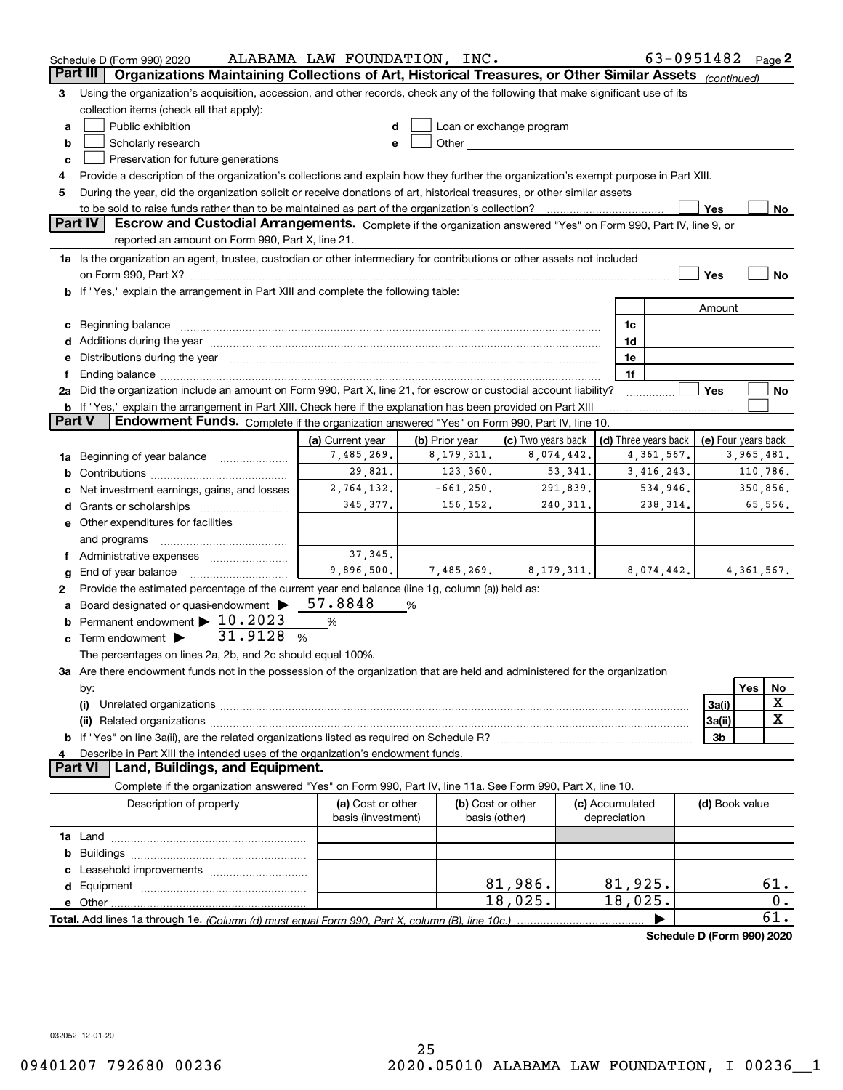|          | Schedule D (Form 990) 2020                                                                                                                                                                                                     | ALABAMA LAW FOUNDATION, INC. |                |                                                                                                                                                                                                                                |                 | 63-0951482 Page 2          |                     |              |             |
|----------|--------------------------------------------------------------------------------------------------------------------------------------------------------------------------------------------------------------------------------|------------------------------|----------------|--------------------------------------------------------------------------------------------------------------------------------------------------------------------------------------------------------------------------------|-----------------|----------------------------|---------------------|--------------|-------------|
| Part III | Organizations Maintaining Collections of Art, Historical Treasures, or Other Similar Assets (continued)                                                                                                                        |                              |                |                                                                                                                                                                                                                                |                 |                            |                     |              |             |
| з        | Using the organization's acquisition, accession, and other records, check any of the following that make significant use of its                                                                                                |                              |                |                                                                                                                                                                                                                                |                 |                            |                     |              |             |
|          | collection items (check all that apply):                                                                                                                                                                                       |                              |                |                                                                                                                                                                                                                                |                 |                            |                     |              |             |
| a        | Public exhibition                                                                                                                                                                                                              |                              |                | Loan or exchange program                                                                                                                                                                                                       |                 |                            |                     |              |             |
| b        | Scholarly research                                                                                                                                                                                                             |                              |                | Other and the control of the control of the control of the control of the control of the control of the control of the control of the control of the control of the control of the control of the control of the control of th |                 |                            |                     |              |             |
| c        | Preservation for future generations                                                                                                                                                                                            |                              |                |                                                                                                                                                                                                                                |                 |                            |                     |              |             |
| 4        | Provide a description of the organization's collections and explain how they further the organization's exempt purpose in Part XIII.                                                                                           |                              |                |                                                                                                                                                                                                                                |                 |                            |                     |              |             |
| 5        | During the year, did the organization solicit or receive donations of art, historical treasures, or other similar assets                                                                                                       |                              |                |                                                                                                                                                                                                                                |                 |                            |                     |              |             |
|          | to be sold to raise funds rather than to be maintained as part of the organization's collection?                                                                                                                               |                              |                |                                                                                                                                                                                                                                |                 |                            | Yes                 |              | No          |
|          | <b>Part IV</b><br>Escrow and Custodial Arrangements. Complete if the organization answered "Yes" on Form 990, Part IV, line 9, or                                                                                              |                              |                |                                                                                                                                                                                                                                |                 |                            |                     |              |             |
|          | reported an amount on Form 990, Part X, line 21.                                                                                                                                                                               |                              |                |                                                                                                                                                                                                                                |                 |                            |                     |              |             |
|          | 1a Is the organization an agent, trustee, custodian or other intermediary for contributions or other assets not included                                                                                                       |                              |                |                                                                                                                                                                                                                                |                 |                            |                     |              |             |
|          |                                                                                                                                                                                                                                |                              |                |                                                                                                                                                                                                                                |                 |                            | Yes                 |              | No          |
|          | b If "Yes," explain the arrangement in Part XIII and complete the following table:                                                                                                                                             |                              |                |                                                                                                                                                                                                                                |                 |                            |                     |              |             |
|          |                                                                                                                                                                                                                                |                              |                |                                                                                                                                                                                                                                |                 |                            | Amount              |              |             |
| c        | Beginning balance measurements and contain a series of the series of the series of the series of the series of                                                                                                                 |                              |                |                                                                                                                                                                                                                                | 1c              |                            |                     |              |             |
|          |                                                                                                                                                                                                                                |                              |                |                                                                                                                                                                                                                                | 1d              |                            |                     |              |             |
|          | e Distributions during the year manufactured and continuum and contained and the year manufactured and contained and the year manufactured and contained and contained and contained and contained and contained and contained |                              |                |                                                                                                                                                                                                                                | 1e              |                            |                     |              |             |
| Ť.       |                                                                                                                                                                                                                                |                              |                |                                                                                                                                                                                                                                | 1f              |                            |                     |              |             |
|          | 2a Did the organization include an amount on Form 990, Part X, line 21, for escrow or custodial account liability?                                                                                                             |                              |                |                                                                                                                                                                                                                                |                 |                            | Yes                 |              | No          |
|          | <b>b</b> If "Yes," explain the arrangement in Part XIII. Check here if the explanation has been provided on Part XIII                                                                                                          |                              |                |                                                                                                                                                                                                                                |                 |                            |                     |              |             |
| Part V   | Endowment Funds. Complete if the organization answered "Yes" on Form 990, Part IV, line 10.                                                                                                                                    |                              |                |                                                                                                                                                                                                                                |                 |                            |                     |              |             |
|          |                                                                                                                                                                                                                                | (a) Current year             | (b) Prior year | (c) Two years back                                                                                                                                                                                                             |                 | (d) Three years back       | (e) Four years back |              |             |
| 1a       | Beginning of year balance                                                                                                                                                                                                      | 7,485,269.                   | 8, 179, 311.   | 8,074,442.                                                                                                                                                                                                                     |                 | 4,361,567.                 |                     | 3,965,481.   |             |
| b        |                                                                                                                                                                                                                                | 29,821.                      | 123,360.       | 53, 341.                                                                                                                                                                                                                       |                 | 3,416,243.                 |                     |              | 110,786.    |
|          | Net investment earnings, gains, and losses                                                                                                                                                                                     | 2,764,132.                   | $-661, 250.$   | 291,839.                                                                                                                                                                                                                       |                 | 534,946.                   |                     |              | 350,856.    |
| d        |                                                                                                                                                                                                                                | 345.377.                     | 156,152.       | 240, 311.                                                                                                                                                                                                                      |                 | 238, 314.                  |                     |              | 65,556.     |
|          | <b>e</b> Other expenditures for facilities                                                                                                                                                                                     |                              |                |                                                                                                                                                                                                                                |                 |                            |                     |              |             |
|          | and programs                                                                                                                                                                                                                   |                              |                |                                                                                                                                                                                                                                |                 |                            |                     |              |             |
|          | f Administrative expenses                                                                                                                                                                                                      | 37, 345.                     |                |                                                                                                                                                                                                                                |                 |                            |                     |              |             |
| g        | End of year balance                                                                                                                                                                                                            | 9,896,500.                   | 7,485,269.     | 8, 179, 311.                                                                                                                                                                                                                   |                 | 8,074,442.                 |                     | 4, 361, 567. |             |
| 2        | Provide the estimated percentage of the current year end balance (line 1g, column (a)) held as:                                                                                                                                |                              |                |                                                                                                                                                                                                                                |                 |                            |                     |              |             |
| a        | Board designated or quasi-endowment >                                                                                                                                                                                          | 57.8848                      | %              |                                                                                                                                                                                                                                |                 |                            |                     |              |             |
| b        | Permanent endowment > 10.2023                                                                                                                                                                                                  | $\%$                         |                |                                                                                                                                                                                                                                |                 |                            |                     |              |             |
| c        | 31.9128<br>Term endowment >                                                                                                                                                                                                    | %                            |                |                                                                                                                                                                                                                                |                 |                            |                     |              |             |
|          | The percentages on lines 2a, 2b, and 2c should equal 100%.                                                                                                                                                                     |                              |                |                                                                                                                                                                                                                                |                 |                            |                     |              |             |
|          | 3a Are there endowment funds not in the possession of the organization that are held and administered for the organization                                                                                                     |                              |                |                                                                                                                                                                                                                                |                 |                            |                     |              |             |
|          | by:                                                                                                                                                                                                                            |                              |                |                                                                                                                                                                                                                                |                 |                            |                     | Yes          | No          |
|          | (i)                                                                                                                                                                                                                            |                              |                |                                                                                                                                                                                                                                |                 |                            | 3a(i)               |              | X           |
|          |                                                                                                                                                                                                                                |                              |                |                                                                                                                                                                                                                                |                 |                            | 3a(ii)              |              | $\mathbf X$ |
|          |                                                                                                                                                                                                                                |                              |                |                                                                                                                                                                                                                                |                 |                            | 3b                  |              |             |
|          | Describe in Part XIII the intended uses of the organization's endowment funds.                                                                                                                                                 |                              |                |                                                                                                                                                                                                                                |                 |                            |                     |              |             |
|          | Land, Buildings, and Equipment.<br>Part VI                                                                                                                                                                                     |                              |                |                                                                                                                                                                                                                                |                 |                            |                     |              |             |
|          | Complete if the organization answered "Yes" on Form 990, Part IV, line 11a. See Form 990, Part X, line 10.                                                                                                                     |                              |                |                                                                                                                                                                                                                                |                 |                            |                     |              |             |
|          | Description of property                                                                                                                                                                                                        | (a) Cost or other            |                | (b) Cost or other                                                                                                                                                                                                              | (c) Accumulated |                            | (d) Book value      |              |             |
|          |                                                                                                                                                                                                                                | basis (investment)           |                | basis (other)                                                                                                                                                                                                                  | depreciation    |                            |                     |              |             |
|          |                                                                                                                                                                                                                                |                              |                |                                                                                                                                                                                                                                |                 |                            |                     |              |             |
| b        |                                                                                                                                                                                                                                |                              |                |                                                                                                                                                                                                                                |                 |                            |                     |              |             |
|          |                                                                                                                                                                                                                                |                              |                |                                                                                                                                                                                                                                |                 |                            |                     |              |             |
|          |                                                                                                                                                                                                                                |                              |                | 81,986.                                                                                                                                                                                                                        |                 | 81,925.                    |                     |              | 61.         |
|          |                                                                                                                                                                                                                                |                              |                | 18,025.                                                                                                                                                                                                                        |                 | 18,025.                    |                     |              | 0.          |
|          |                                                                                                                                                                                                                                |                              |                |                                                                                                                                                                                                                                |                 |                            |                     |              | 61.         |
|          |                                                                                                                                                                                                                                |                              |                |                                                                                                                                                                                                                                |                 | Schedule D (Form 990) 2020 |                     |              |             |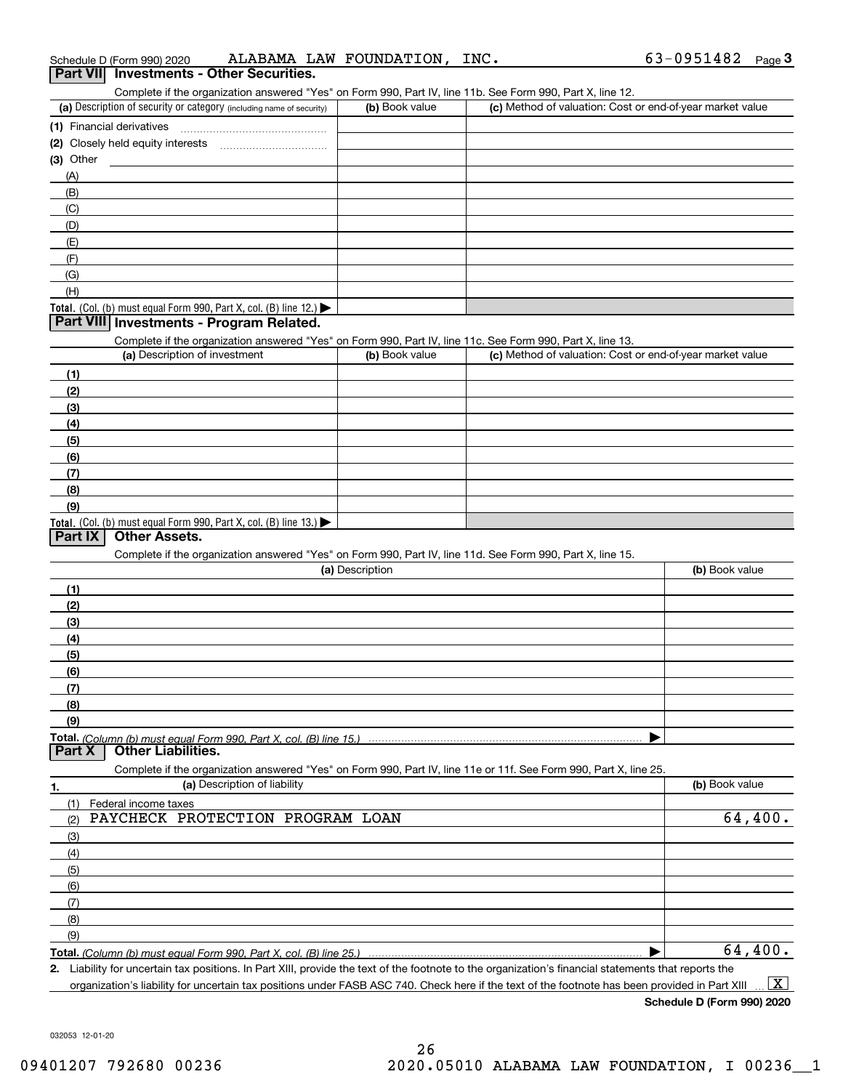| Schedule D (Form 990) 2020 |                                                 | ALABAMA LAW FOUNDATION, | $\_$ INC . | $63 - 0951482$ Page |  |
|----------------------------|-------------------------------------------------|-------------------------|------------|---------------------|--|
|                            | <b>Part VII</b> Investments - Other Securities. |                         |            |                     |  |

| Complete if the organization answered "Yes" on Form 990, Part IV, line 11b. See Form 990, Part X, line 12.<br>(a) Description of security or category (including name of security) | (b) Book value  | (c) Method of valuation: Cost or end-of-year market value |                |
|------------------------------------------------------------------------------------------------------------------------------------------------------------------------------------|-----------------|-----------------------------------------------------------|----------------|
|                                                                                                                                                                                    |                 |                                                           |                |
|                                                                                                                                                                                    |                 |                                                           |                |
|                                                                                                                                                                                    |                 |                                                           |                |
| (3) Other                                                                                                                                                                          |                 |                                                           |                |
| (A)                                                                                                                                                                                |                 |                                                           |                |
| (B)                                                                                                                                                                                |                 |                                                           |                |
| (C)                                                                                                                                                                                |                 |                                                           |                |
| (D)                                                                                                                                                                                |                 |                                                           |                |
| (E)                                                                                                                                                                                |                 |                                                           |                |
| (F)                                                                                                                                                                                |                 |                                                           |                |
| (G)                                                                                                                                                                                |                 |                                                           |                |
| (H)                                                                                                                                                                                |                 |                                                           |                |
| Total. (Col. (b) must equal Form 990, Part X, col. (B) line 12.)                                                                                                                   |                 |                                                           |                |
| Part VIII Investments - Program Related.                                                                                                                                           |                 |                                                           |                |
| Complete if the organization answered "Yes" on Form 990, Part IV, line 11c. See Form 990, Part X, line 13.                                                                         |                 |                                                           |                |
| (a) Description of investment                                                                                                                                                      | (b) Book value  | (c) Method of valuation: Cost or end-of-year market value |                |
| (1)                                                                                                                                                                                |                 |                                                           |                |
| (2)                                                                                                                                                                                |                 |                                                           |                |
| (3)                                                                                                                                                                                |                 |                                                           |                |
|                                                                                                                                                                                    |                 |                                                           |                |
| (4)                                                                                                                                                                                |                 |                                                           |                |
| (5)                                                                                                                                                                                |                 |                                                           |                |
| (6)                                                                                                                                                                                |                 |                                                           |                |
| (7)                                                                                                                                                                                |                 |                                                           |                |
| (8)                                                                                                                                                                                |                 |                                                           |                |
| (9)                                                                                                                                                                                |                 |                                                           |                |
| Total. (Col. (b) must equal Form 990, Part X, col. (B) line 13.)                                                                                                                   |                 |                                                           |                |
| Part IX<br><b>Other Assets.</b>                                                                                                                                                    |                 |                                                           |                |
| Complete if the organization answered "Yes" on Form 990, Part IV, line 11d. See Form 990, Part X, line 15.                                                                         |                 |                                                           |                |
|                                                                                                                                                                                    | (a) Description |                                                           | (b) Book value |
| (1)                                                                                                                                                                                |                 |                                                           |                |
| (2)                                                                                                                                                                                |                 |                                                           |                |
| (3)                                                                                                                                                                                |                 |                                                           |                |
| (4)                                                                                                                                                                                |                 |                                                           |                |
| (5)                                                                                                                                                                                |                 |                                                           |                |
| (6)                                                                                                                                                                                |                 |                                                           |                |
| (7)                                                                                                                                                                                |                 |                                                           |                |
| (8)                                                                                                                                                                                |                 |                                                           |                |
| (9)                                                                                                                                                                                |                 |                                                           |                |
|                                                                                                                                                                                    |                 |                                                           |                |
| Total. (Column (b) must equal Form 990, Part X, col. (B) line 15.)<br><b>Other Liabilities.</b><br>Part X                                                                          |                 |                                                           |                |
| Complete if the organization answered "Yes" on Form 990, Part IV, line 11e or 11f. See Form 990, Part X, line 25.                                                                  |                 |                                                           |                |
| (a) Description of liability<br>1.                                                                                                                                                 |                 |                                                           | (b) Book value |
| Federal income taxes<br>(1)                                                                                                                                                        |                 |                                                           |                |
| PAYCHECK PROTECTION PROGRAM LOAN<br>(2)                                                                                                                                            |                 |                                                           | 64,400.        |
| (3)                                                                                                                                                                                |                 |                                                           |                |
| (4)                                                                                                                                                                                |                 |                                                           |                |
|                                                                                                                                                                                    |                 |                                                           |                |
| (5)                                                                                                                                                                                |                 |                                                           |                |
| (6)                                                                                                                                                                                |                 |                                                           |                |
| (7)                                                                                                                                                                                |                 |                                                           |                |
| (8)                                                                                                                                                                                |                 |                                                           |                |
|                                                                                                                                                                                    |                 |                                                           |                |
| (9)<br>Total. (Column (b) must equal Form 990, Part X, col. (B) line 25.)                                                                                                          |                 |                                                           | 64,400.        |

**2.** Liability for uncertain tax positions. In Part XIII, provide the text of the footnote to the organization's financial statements that reports the organization's liability for uncertain tax positions under FASB ASC 740. Check here if the text of the footnote has been provided in Part XIII  $\boxed{\text{X}}$ 

**Schedule D (Form 990) 2020**

032053 12-01-20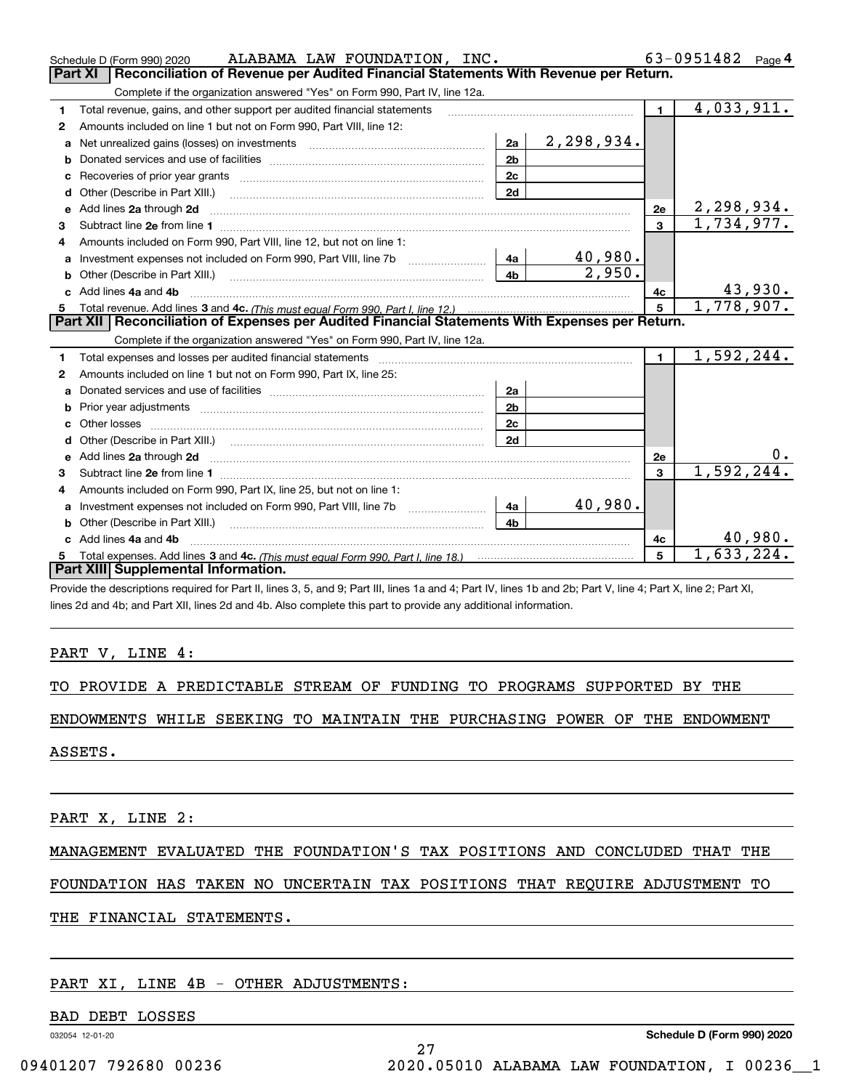|    | ALABAMA LAW FOUNDATION, INC.<br>Schedule D (Form 990) 2020                                                                                                                                                                         |                |            |                         | 63-0951482 $_{Page}$ 4  |
|----|------------------------------------------------------------------------------------------------------------------------------------------------------------------------------------------------------------------------------------|----------------|------------|-------------------------|-------------------------|
|    | Reconciliation of Revenue per Audited Financial Statements With Revenue per Return.<br><b>Part XI</b>                                                                                                                              |                |            |                         |                         |
|    | Complete if the organization answered "Yes" on Form 990, Part IV, line 12a.                                                                                                                                                        |                |            |                         |                         |
| 1  | Total revenue, gains, and other support per audited financial statements                                                                                                                                                           |                |            | 1 <sup>1</sup>          | $\overline{4,033,911.}$ |
| 2  | Amounts included on line 1 but not on Form 990, Part VIII, line 12:                                                                                                                                                                |                |            |                         |                         |
| a  | Net unrealized gains (losses) on investments [11] matter contracts and the unrealized gains (losses) on investments                                                                                                                | 2a             | 2,298,934. |                         |                         |
| b  |                                                                                                                                                                                                                                    | 2 <sub>b</sub> |            |                         |                         |
| c  |                                                                                                                                                                                                                                    | 2 <sub>c</sub> |            |                         |                         |
| d  | Other (Describe in Part XIII.)                                                                                                                                                                                                     | 2d             |            |                         |                         |
| е  | Add lines 2a through 2d <b>must be a constructed as the constant of the constant of the constant of the construction</b>                                                                                                           |                |            | 2e                      | 2,298,934.              |
| 3  |                                                                                                                                                                                                                                    |                |            | $\overline{\mathbf{3}}$ | 1, 734, 977.            |
| 4  | Amounts included on Form 990, Part VIII, line 12, but not on line 1:                                                                                                                                                               |                |            |                         |                         |
|    |                                                                                                                                                                                                                                    | l 4a           | 40,980.    |                         |                         |
| b  | Other (Describe in Part XIII.) <b>Construction Contract Construction</b> Chemistry Chemistry Chemistry Chemistry Chemistry                                                                                                         | 4 <sub>b</sub> | 2,950.     |                         |                         |
| c. | Add lines 4a and 4b                                                                                                                                                                                                                |                |            | 4c                      | 43,930.                 |
|    |                                                                                                                                                                                                                                    |                |            | $5^{\circ}$             | 1,778,907.              |
|    | Part XII   Reconciliation of Expenses per Audited Financial Statements With Expenses per Return.                                                                                                                                   |                |            |                         |                         |
|    | Complete if the organization answered "Yes" on Form 990, Part IV, line 12a.                                                                                                                                                        |                |            |                         |                         |
|    |                                                                                                                                                                                                                                    |                |            |                         |                         |
| 1  | Total expenses and losses per audited financial statements [11,11] [11] Total expenses and losses per audited financial statements [11] [11] Total expenses and losses per audited financial statements                            |                |            | $\mathbf{1}$            | 1,592,244.              |
| 2  | Amounts included on line 1 but not on Form 990, Part IX, line 25:                                                                                                                                                                  |                |            |                         |                         |
| a  |                                                                                                                                                                                                                                    | 2a             |            |                         |                         |
| b  |                                                                                                                                                                                                                                    | 2 <sub>b</sub> |            |                         |                         |
| c  |                                                                                                                                                                                                                                    | 2c             |            |                         |                         |
| d  |                                                                                                                                                                                                                                    | 2d             |            |                         |                         |
| e  | Add lines 2a through 2d <b>contained a contained a contained a contained a</b> contained a contained a contained a contained a contact a contact a contact a contact a contact a contact a contact a contact a contact a contact a |                |            | 2e                      | 0.                      |
| 3  | Subtract line 2e from line 1 <b>Manual Community and Community</b> Subtract line 2e from line 1                                                                                                                                    |                |            | 3                       | 1,592,244.              |
| 4  | Amounts included on Form 990, Part IX, line 25, but not on line 1:                                                                                                                                                                 |                |            |                         |                         |
| a  |                                                                                                                                                                                                                                    | 4a             | 40,980.    |                         |                         |
|    | Other (Describe in Part XIII.)                                                                                                                                                                                                     | 4 <sub>b</sub> |            |                         |                         |
|    | c Add lines 4a and 4b                                                                                                                                                                                                              |                |            | 4c                      | 40,980.                 |
|    | Part XIII Supplemental Information.                                                                                                                                                                                                |                |            | 5                       | 1,633,224               |

Provide the descriptions required for Part II, lines 3, 5, and 9; Part III, lines 1a and 4; Part IV, lines 1b and 2b; Part V, line 4; Part X, line 2; Part XI, lines 2d and 4b; and Part XII, lines 2d and 4b. Also complete this part to provide any additional information.

### PART V, LINE 4:

|  |  | TO PROVIDE A PREDICTABLE STREAM OF FUNDING TO PROGRAMS SUPPORTED BY THE |  |  |  |  |  |  |  |  |
|--|--|-------------------------------------------------------------------------|--|--|--|--|--|--|--|--|
|--|--|-------------------------------------------------------------------------|--|--|--|--|--|--|--|--|

## ENDOWMENTS WHILE SEEKING TO MAINTAIN THE PURCHASING POWER OF THE ENDOWMENT

ASSETS.

PART X, LINE 2:

## MANAGEMENT EVALUATED THE FOUNDATION'S TAX POSITIONS AND CONCLUDED THAT THE

## FOUNDATION HAS TAKEN NO UNCERTAIN TAX POSITIONS THAT REQUIRE ADJUSTMENT TO

27

## THE FINANCIAL STATEMENTS.

## PART XI, LINE 4B - OTHER ADJUSTMENTS:

## BAD DEBT LOSSES

032054 12-01-20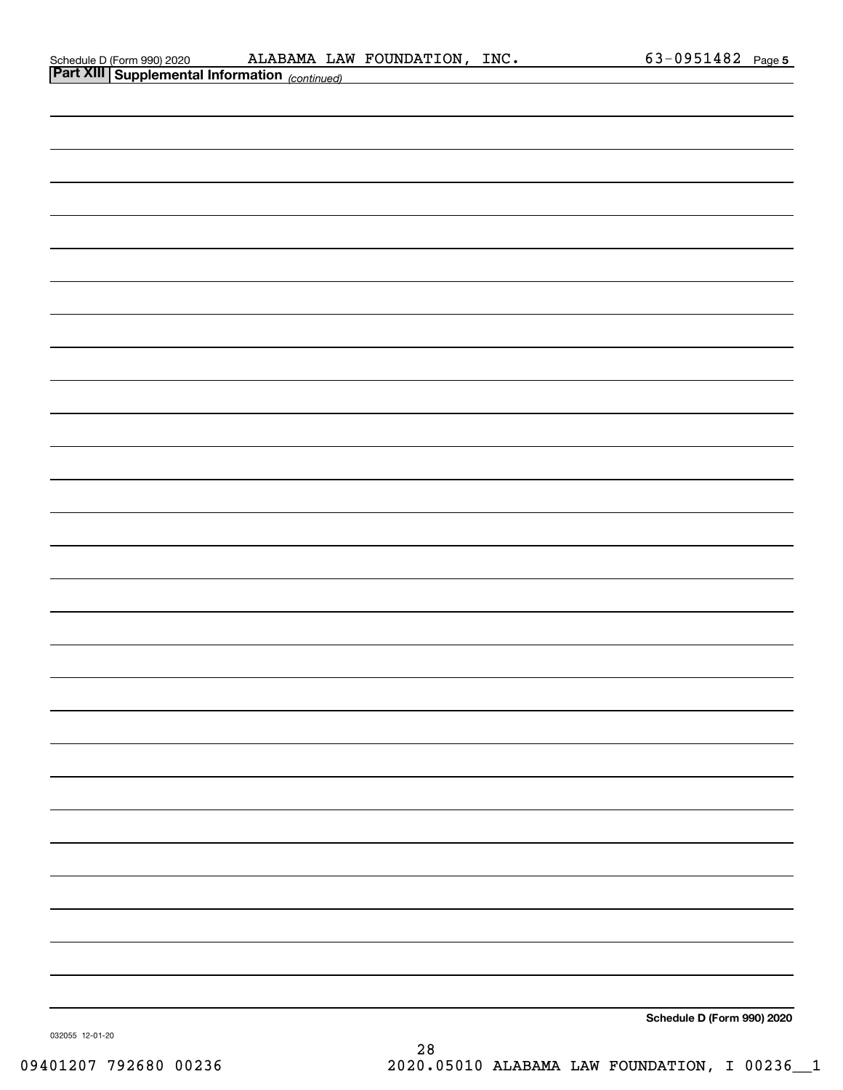| Schedule D (Form 990) 202 |  |  |
|---------------------------|--|--|
|                           |  |  |

| <b>Part XIII Supplemental Information</b> (continued) |                            |
|-------------------------------------------------------|----------------------------|
|                                                       |                            |
|                                                       |                            |
|                                                       |                            |
|                                                       |                            |
|                                                       |                            |
|                                                       |                            |
|                                                       |                            |
|                                                       |                            |
|                                                       |                            |
|                                                       |                            |
|                                                       |                            |
|                                                       |                            |
|                                                       |                            |
|                                                       |                            |
|                                                       |                            |
|                                                       |                            |
|                                                       |                            |
|                                                       |                            |
|                                                       |                            |
|                                                       |                            |
|                                                       |                            |
|                                                       |                            |
|                                                       |                            |
|                                                       |                            |
|                                                       |                            |
|                                                       |                            |
|                                                       |                            |
|                                                       |                            |
|                                                       |                            |
|                                                       |                            |
|                                                       |                            |
|                                                       |                            |
|                                                       | Schedule D (Form 990) 2020 |

032055 12-01-20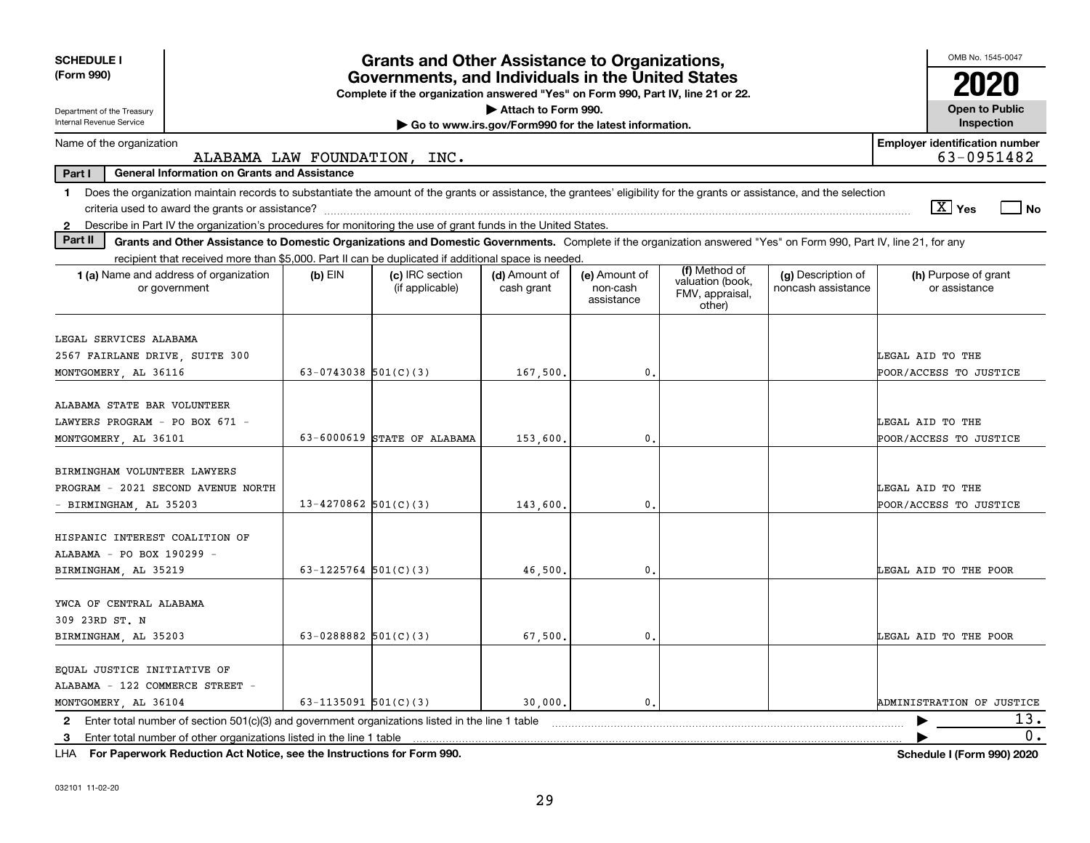| <b>SCHEDULE I</b><br>(Form 990)                                                                                                                                                                                                                                                                                 | <b>Grants and Other Assistance to Organizations,</b><br>Governments, and Individuals in the United States |                                                                                  |                             |                                         |                                                                |                                          | OMB No. 1545-0047                                   |
|-----------------------------------------------------------------------------------------------------------------------------------------------------------------------------------------------------------------------------------------------------------------------------------------------------------------|-----------------------------------------------------------------------------------------------------------|----------------------------------------------------------------------------------|-----------------------------|-----------------------------------------|----------------------------------------------------------------|------------------------------------------|-----------------------------------------------------|
|                                                                                                                                                                                                                                                                                                                 |                                                                                                           | Complete if the organization answered "Yes" on Form 990, Part IV, line 21 or 22. |                             |                                         |                                                                |                                          |                                                     |
| Attach to Form 990.<br>Department of the Treasury                                                                                                                                                                                                                                                               |                                                                                                           |                                                                                  |                             |                                         |                                                                |                                          | <b>Open to Public</b>                               |
| Internal Revenue Service<br>Inspection<br>Go to www.irs.gov/Form990 for the latest information.                                                                                                                                                                                                                 |                                                                                                           |                                                                                  |                             |                                         |                                                                |                                          |                                                     |
| Name of the organization                                                                                                                                                                                                                                                                                        |                                                                                                           | ALABAMA LAW FOUNDATION, INC.                                                     |                             |                                         |                                                                |                                          | <b>Employer identification number</b><br>63-0951482 |
| <b>General Information on Grants and Assistance</b><br>Part I                                                                                                                                                                                                                                                   |                                                                                                           |                                                                                  |                             |                                         |                                                                |                                          |                                                     |
| Does the organization maintain records to substantiate the amount of the grants or assistance, the grantees' eligibility for the grants or assistance, and the selection<br>1.<br>Describe in Part IV the organization's procedures for monitoring the use of grant funds in the United States.<br>$\mathbf{2}$ |                                                                                                           |                                                                                  |                             |                                         |                                                                |                                          | $\boxed{\text{X}}$ Yes<br>  No                      |
| Part II<br>Grants and Other Assistance to Domestic Organizations and Domestic Governments. Complete if the organization answered "Yes" on Form 990, Part IV, line 21, for any                                                                                                                                   |                                                                                                           |                                                                                  |                             |                                         |                                                                |                                          |                                                     |
| recipient that received more than \$5,000. Part II can be duplicated if additional space is needed.                                                                                                                                                                                                             |                                                                                                           |                                                                                  |                             |                                         |                                                                |                                          |                                                     |
| 1 (a) Name and address of organization<br>or government                                                                                                                                                                                                                                                         | $(b)$ EIN                                                                                                 | (c) IRC section<br>(if applicable)                                               | (d) Amount of<br>cash grant | (e) Amount of<br>non-cash<br>assistance | (f) Method of<br>valuation (book,<br>FMV, appraisal,<br>other) | (g) Description of<br>noncash assistance | (h) Purpose of grant<br>or assistance               |
| LEGAL SERVICES ALABAMA<br>2567 FAIRLANE DRIVE, SUITE 300<br>MONTGOMERY, AL 36116                                                                                                                                                                                                                                | 63-0743038 $501(C)(3)$                                                                                    |                                                                                  | 167,500,                    | 0.                                      |                                                                |                                          | LEGAL AID TO THE<br>POOR/ACCESS TO JUSTICE          |
| ALABAMA STATE BAR VOLUNTEER<br>LAWYERS PROGRAM - PO BOX 671 -<br>MONTGOMERY, AL 36101                                                                                                                                                                                                                           |                                                                                                           | 63-6000619 STATE OF ALABAMA                                                      | 153,600,                    | $\mathbf{0}$ .                          |                                                                |                                          | LEGAL AID TO THE<br>POOR/ACCESS TO JUSTICE          |
| BIRMINGHAM VOLUNTEER LAWYERS<br>PROGRAM - 2021 SECOND AVENUE NORTH<br>BIRMINGHAM, AL 35203                                                                                                                                                                                                                      | $13 - 4270862$ 501(C)(3)                                                                                  |                                                                                  | 143,600                     | 0.                                      |                                                                |                                          | LEGAL AID TO THE<br>POOR/ACCESS TO JUSTICE          |
| HISPANIC INTEREST COALITION OF<br>ALABAMA - PO BOX 190299 -<br>BIRMINGHAM, AL 35219                                                                                                                                                                                                                             | 63-1225764 $501(C)(3)$                                                                                    |                                                                                  | 46,500.                     | 0.                                      |                                                                |                                          | <b>LEGAL AID TO THE POOR</b>                        |
| YWCA OF CENTRAL ALABAMA<br>309 23RD ST. N<br>BIRMINGHAM, AL 35203                                                                                                                                                                                                                                               | 63-0288882 $501(C)(3)$                                                                                    |                                                                                  | 67,500.                     | 0.                                      |                                                                |                                          | LEGAL AID TO THE POOR                               |
| EQUAL JUSTICE INITIATIVE OF<br>ALABAMA - 122 COMMERCE STREET -<br>MONTGOMERY AL 36104                                                                                                                                                                                                                           | 63-1135091 $501(C)(3)$                                                                                    |                                                                                  | 30,000.                     | 0.                                      |                                                                |                                          | ADMINISTRATION OF JUSTICE                           |
| Enter total number of section $501(c)(3)$ and government organizations listed in the line 1 table<br>$\mathbf{2}$                                                                                                                                                                                               |                                                                                                           |                                                                                  |                             |                                         |                                                                |                                          | 13.                                                 |
| Enter total number of other organizations listed in the line 1 table<br>3                                                                                                                                                                                                                                       |                                                                                                           |                                                                                  |                             |                                         |                                                                |                                          | 0.                                                  |
| LHA For Paperwork Reduction Act Notice, see the Instructions for Form 990.                                                                                                                                                                                                                                      |                                                                                                           |                                                                                  |                             |                                         |                                                                |                                          | Schedule I (Form 990) 2020                          |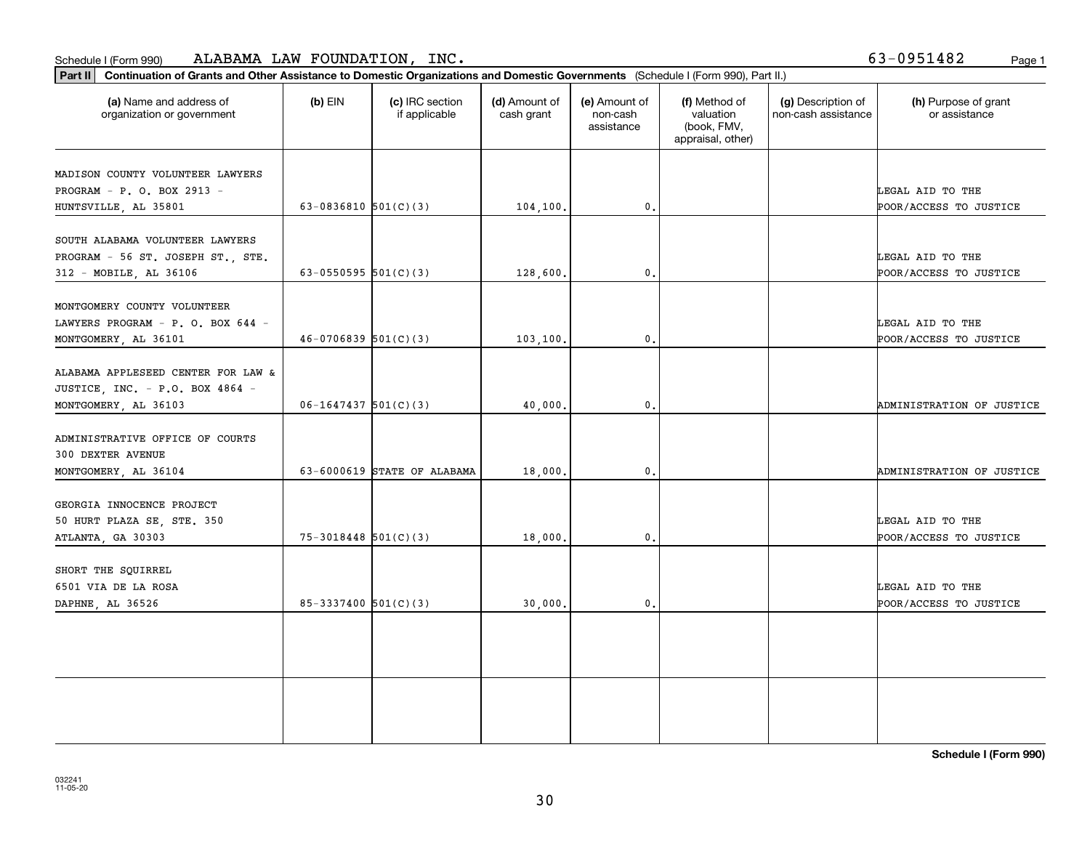| ALABAMA LAW FOUNDATION, INC.<br>Schedule I (Form 990)                                                                                      |                            |                                  |                             |                                         |                                                                |                                           | 63-0951482<br>Page 1                       |
|--------------------------------------------------------------------------------------------------------------------------------------------|----------------------------|----------------------------------|-----------------------------|-----------------------------------------|----------------------------------------------------------------|-------------------------------------------|--------------------------------------------|
| Part II   Continuation of Grants and Other Assistance to Domestic Organizations and Domestic Governments (Schedule I (Form 990), Part II.) |                            |                                  |                             |                                         |                                                                |                                           |                                            |
| (a) Name and address of<br>organization or government                                                                                      | $(b)$ EIN                  | (c) IRC section<br>if applicable | (d) Amount of<br>cash grant | (e) Amount of<br>non-cash<br>assistance | (f) Method of<br>valuation<br>(book, FMV,<br>appraisal, other) | (g) Description of<br>non-cash assistance | (h) Purpose of grant<br>or assistance      |
| MADISON COUNTY VOLUNTEER LAWYERS<br>PROGRAM - P. O. BOX 2913 -<br>HUNTSVILLE, AL 35801                                                     | $63-0836810$ $501(C)(3)$   |                                  | 104, 100.                   | 0.                                      |                                                                |                                           | LEGAL AID TO THE<br>POOR/ACCESS TO JUSTICE |
| SOUTH ALABAMA VOLUNTEER LAWYERS<br>PROGRAM - 56 ST. JOSEPH ST., STE.<br>312 - MOBILE, AL 36106                                             | 63-0550595 $501(C)(3)$     |                                  | 128,600.                    | 0.                                      |                                                                |                                           | LEGAL AID TO THE<br>POOR/ACCESS TO JUSTICE |
| MONTGOMERY COUNTY VOLUNTEER<br>LAWYERS PROGRAM - P. O. BOX 644 -<br>MONTGOMERY, AL 36101                                                   | $46-0706839$ 501(C)(3)     |                                  | 103, 100.                   | 0.                                      |                                                                |                                           | LEGAL AID TO THE<br>POOR/ACCESS TO JUSTICE |
| ALABAMA APPLESEED CENTER FOR LAW &<br>JUSTICE, INC. - P.O. BOX 4864 -<br>MONTGOMERY AL 36103                                               | $06 - 1647437$ 501(C)(3)   |                                  | 40.000.                     | 0.                                      |                                                                |                                           | ADMINISTRATION OF JUSTICE                  |
| ADMINISTRATIVE OFFICE OF COURTS<br>300 DEXTER AVENUE<br>MONTGOMERY, AL 36104                                                               |                            | 63-6000619 STATE OF ALABAMA      | 18,000.                     | 0.                                      |                                                                |                                           | ADMINISTRATION OF JUSTICE                  |
| GEORGIA INNOCENCE PROJECT<br>50 HURT PLAZA SE, STE. 350<br>ATLANTA, GA 30303                                                               | $75 - 3018448$ $501(C)(3)$ |                                  | 18,000.                     | 0.                                      |                                                                |                                           | LEGAL AID TO THE<br>POOR/ACCESS TO JUSTICE |
| SHORT THE SQUIRREL<br>6501 VIA DE LA ROSA<br>DAPHNE, AL 36526                                                                              | $85 - 3337400$ 501(C)(3)   |                                  | 30,000.                     | $^{\rm 0}$ .                            |                                                                |                                           | LEGAL AID TO THE<br>POOR/ACCESS TO JUSTICE |
|                                                                                                                                            |                            |                                  |                             |                                         |                                                                |                                           |                                            |

**Schedule I (Form 990)**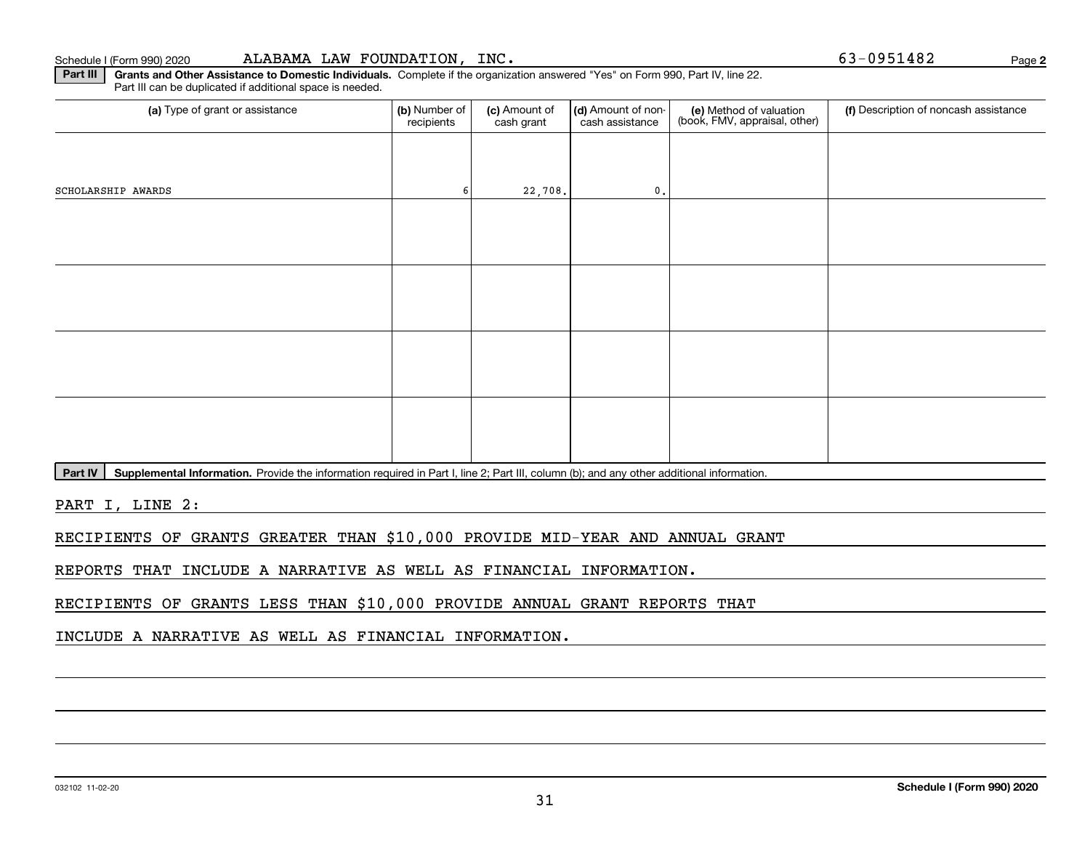**Part III | Grants and Other Assistance to Domestic Individuals. Complete if the organization answered "Yes" on Form 990, Part IV, line 22.** 

(a) Type of grant or assistance **Audity Commet Audio Commet Commet Commet Commet Commet Commet Commet Commet Comme** Part III can be duplicated if additional space is needed. (e) Method of valuation (book, FMV, appraisal, other) recipients(c) Amount of cash grant (d) Amount of noncash assistance Description of noncash assistance SCHOLARSHIP AWARDS  $\begin{array}{ccc} 6 & 22,708 \end{array}$  0.

Part IV | Supplemental Information. Provide the information required in Part I, line 2; Part III, column (b); and any other additional information.

PART I, LINE 2:

RECIPIENTS OF GRANTS GREATER THAN \$10,000 PROVIDE MID-YEAR AND ANNUAL GRANT

REPORTS THAT INCLUDE A NARRATIVE AS WELL AS FINANCIAL INFORMATION.

RECIPIENTS OF GRANTS LESS THAN \$10,000 PROVIDE ANNUAL GRANT REPORTS THAT

INCLUDE A NARRATIVE AS WELL AS FINANCIAL INFORMATION.

**2**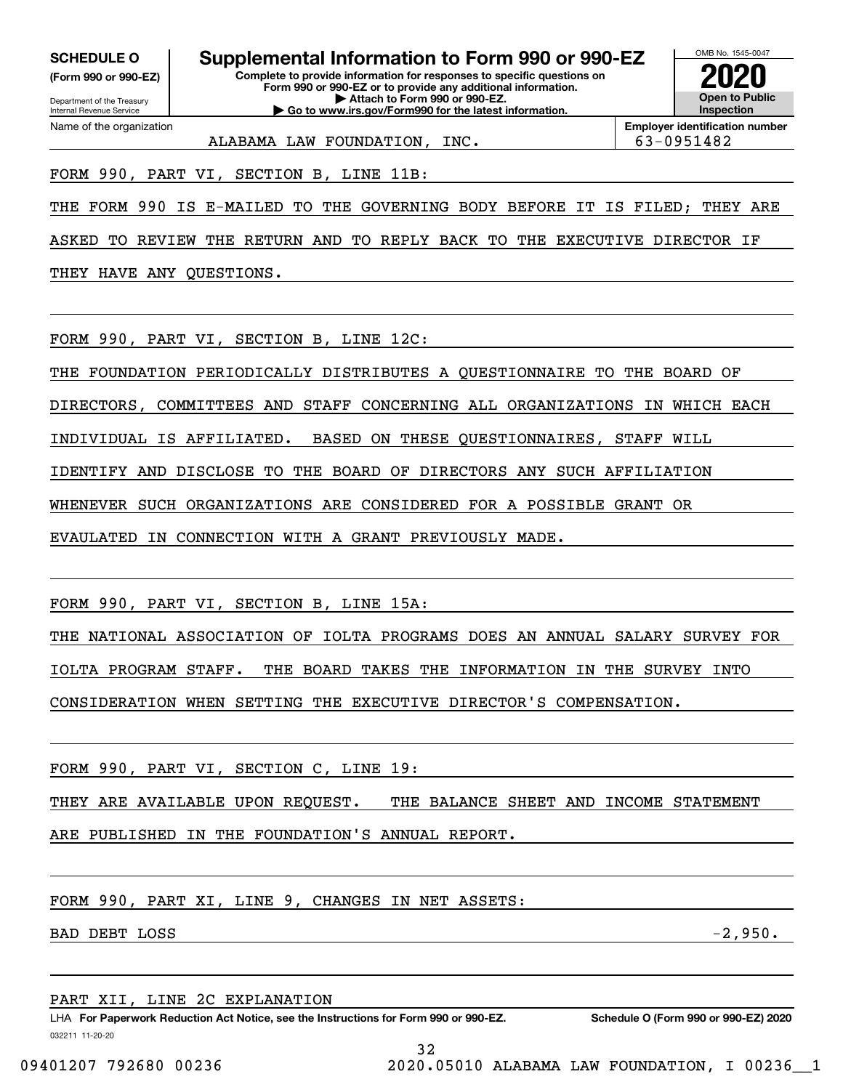**(Form 990 or 990-EZ)**

Department of the Treasury Internal Revenue Service Name of the organization

**SCHEDULE O Supplemental Information to Form 990 or 990-EZ**

**Complete to provide information for responses to specific questions on Form 990 or 990-EZ or to provide any additional information. | Attach to Form 990 or 990-EZ. | Go to www.irs.gov/Form990 for the latest information.**



**Employer identification number** ALABAMA LAW FOUNDATION, INC. 63-0951482

FORM 990, PART VI, SECTION B, LINE 11B:

THE FORM 990 IS E-MAILED TO THE GOVERNING BODY BEFORE IT IS FILED; THEY ARE

ASKED TO REVIEW THE RETURN AND TO REPLY BACK TO THE EXECUTIVE DIRECTOR IF

THEY HAVE ANY QUESTIONS.

FORM 990, PART VI, SECTION B, LINE 12C:

THE FOUNDATION PERIODICALLY DISTRIBUTES A QUESTIONNAIRE TO THE BOARD OF

DIRECTORS, COMMITTEES AND STAFF CONCERNING ALL ORGANIZATIONS IN WHICH EACH

INDIVIDUAL IS AFFILIATED. BASED ON THESE QUESTIONNAIRES, STAFF WILL

IDENTIFY AND DISCLOSE TO THE BOARD OF DIRECTORS ANY SUCH AFFILIATION

WHENEVER SUCH ORGANIZATIONS ARE CONSIDERED FOR A POSSIBLE GRANT OR

EVAULATED IN CONNECTION WITH A GRANT PREVIOUSLY MADE.

FORM 990, PART VI, SECTION B, LINE 15A:

THE NATIONAL ASSOCIATION OF IOLTA PROGRAMS DOES AN ANNUAL SALARY SURVEY FOR IOLTA PROGRAM STAFF. THE BOARD TAKES THE INFORMATION IN THE SURVEY INTO CONSIDERATION WHEN SETTING THE EXECUTIVE DIRECTOR'S COMPENSATION.

FORM 990, PART VI, SECTION C, LINE 19:

THEY ARE AVAILABLE UPON REQUEST. THE BALANCE SHEET AND INCOME STATEMENT

ARE PUBLISHED IN THE FOUNDATION'S ANNUAL REPORT.

FORM 990, PART XI, LINE 9, CHANGES IN NET ASSETS:

BAD DEBT LOSS  $-2,950$ .

## PART XII, LINE 2C EXPLANATION

032211 11-20-20 LHA For Paperwork Reduction Act Notice, see the Instructions for Form 990 or 990-EZ. Schedule O (Form 990 or 990-EZ) 2020